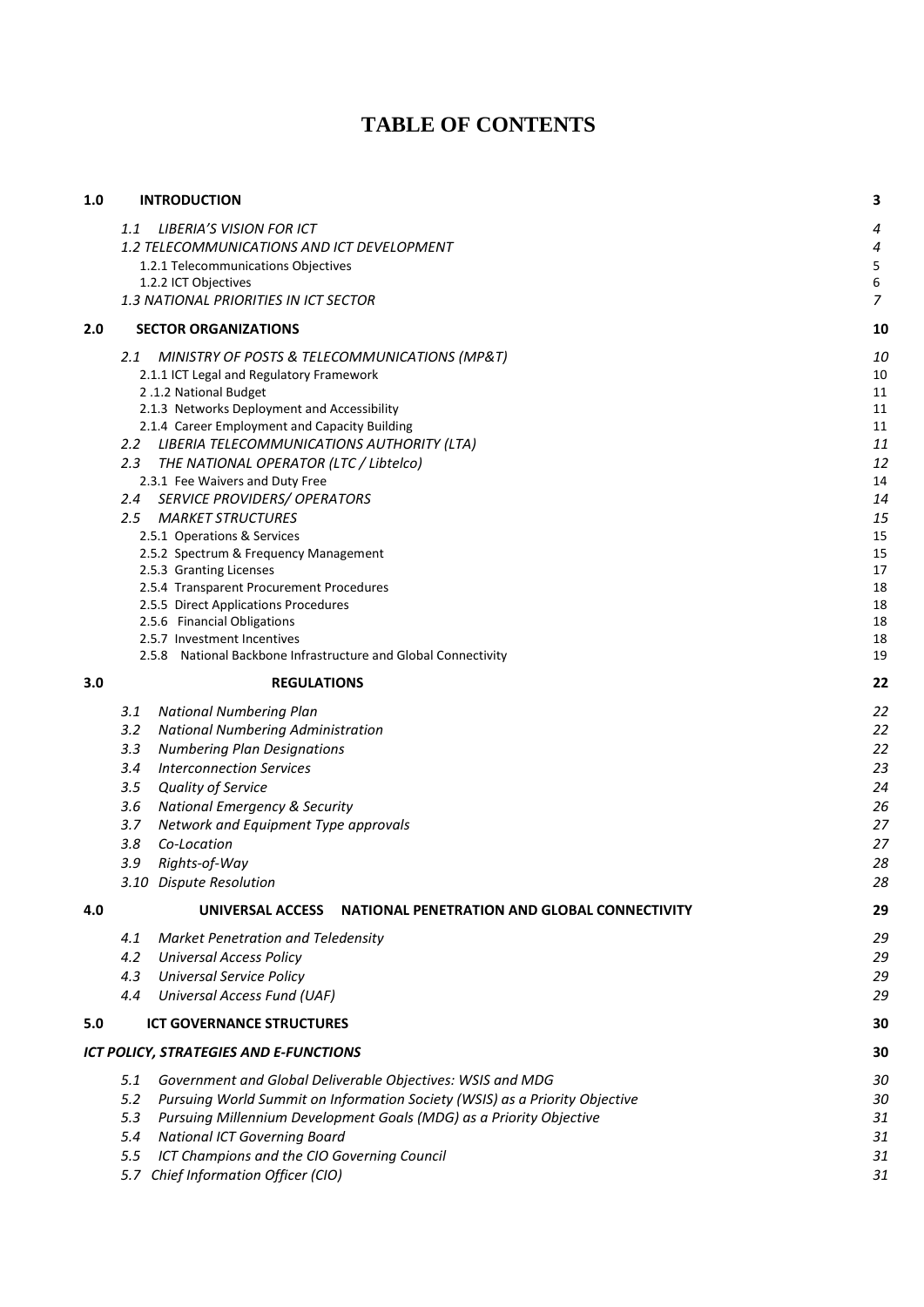# **TABLE OF CONTENTS**

| 1.0 | <b>INTRODUCTION</b>                                                                              | 3              |
|-----|--------------------------------------------------------------------------------------------------|----------------|
|     | <b>LIBERIA'S VISION FOR ICT</b><br>1.1                                                           | 4              |
|     | 1.2 TELECOMMUNICATIONS AND ICT DEVELOPMENT                                                       | $\overline{a}$ |
|     | 1.2.1 Telecommunications Objectives                                                              | $\sqrt{5}$     |
|     | 1.2.2 ICT Objectives                                                                             | 6              |
|     | 1.3 NATIONAL PRIORITIES IN ICT SECTOR                                                            | $\overline{z}$ |
| 2.0 | <b>SECTOR ORGANIZATIONS</b>                                                                      | 10             |
|     | 2.1<br>MINISTRY OF POSTS & TELECOMMUNICATIONS (MP&T)                                             | 10             |
|     | 2.1.1 ICT Legal and Regulatory Framework<br>2.1.2 National Budget                                | 10             |
|     | 2.1.3 Networks Deployment and Accessibility                                                      | 11<br>11       |
|     | 2.1.4 Career Employment and Capacity Building                                                    | 11             |
|     | LIBERIA TELECOMMUNICATIONS AUTHORITY (LTA)<br>$2.2^{\circ}$                                      | 11             |
|     | THE NATIONAL OPERATOR (LTC / Libtelco)<br>2.3                                                    | 12             |
|     | 2.3.1 Fee Waivers and Duty Free                                                                  | 14             |
|     | <b>SERVICE PROVIDERS/ OPERATORS</b><br>2.4                                                       | 14             |
|     | <b>MARKET STRUCTURES</b><br>2.5                                                                  | 15             |
|     | 2.5.1 Operations & Services<br>2.5.2 Spectrum & Frequency Management                             | 15<br>15       |
|     | 2.5.3 Granting Licenses                                                                          | 17             |
|     | 2.5.4 Transparent Procurement Procedures                                                         | 18             |
|     | 2.5.5 Direct Applications Procedures                                                             | 18             |
|     | 2.5.6 Financial Obligations                                                                      | 18             |
|     | 2.5.7 Investment Incentives<br>2.5.8 National Backbone Infrastructure and Global Connectivity    | 18<br>19       |
| 3.0 | <b>REGULATIONS</b>                                                                               | 22             |
|     | 3.1<br><b>National Numbering Plan</b>                                                            | 22             |
|     | 3.2<br><b>National Numbering Administration</b>                                                  | 22             |
|     | 3.3<br><b>Numbering Plan Designations</b>                                                        | 22             |
|     | 3.4<br><b>Interconnection Services</b>                                                           | 23             |
|     | Quality of Service<br>3.5                                                                        | 24             |
|     | 3.6<br><b>National Emergency &amp; Security</b>                                                  | 26             |
|     | Network and Equipment Type approvals<br>3.7                                                      | 27             |
|     | 3.8<br>Co-Location                                                                               | 27             |
|     | 3.9<br>Rights-of-Way                                                                             | 28             |
|     | 3.10 Dispute Resolution                                                                          | 28             |
| 4.0 | UNIVERSAL ACCESS<br><b>NATIONAL PENETRATION AND GLOBAL CONNECTIVITY</b>                          | 29             |
|     | Market Penetration and Teledensity<br>4.1                                                        | 29             |
|     | 4.2<br><b>Universal Access Policy</b>                                                            | 29             |
|     | <b>Universal Service Policy</b><br>4.3                                                           | 29             |
|     | Universal Access Fund (UAF)<br>4.4                                                               | 29             |
| 5.0 | <b>ICT GOVERNANCE STRUCTURES</b>                                                                 | 30             |
|     | ICT POLICY, STRATEGIES AND E-FUNCTIONS                                                           | 30             |
|     | Government and Global Deliverable Objectives: WSIS and MDG<br>5.1                                | зс             |
|     | 5.2<br>Pursuing World Summit on Information Society (WSIS) as a Priority Objective               | 30             |
|     | 5.3<br>Pursuing Millennium Development Goals (MDG) as a Priority Objective                       | 31             |
|     | 5.4<br><b>National ICT Governing Board</b><br>5.5<br>ICT Champions and the CIO Governing Council | 31<br>31       |
|     | 5.7 Chief Information Officer (CIO)                                                              | 31             |
|     |                                                                                                  |                |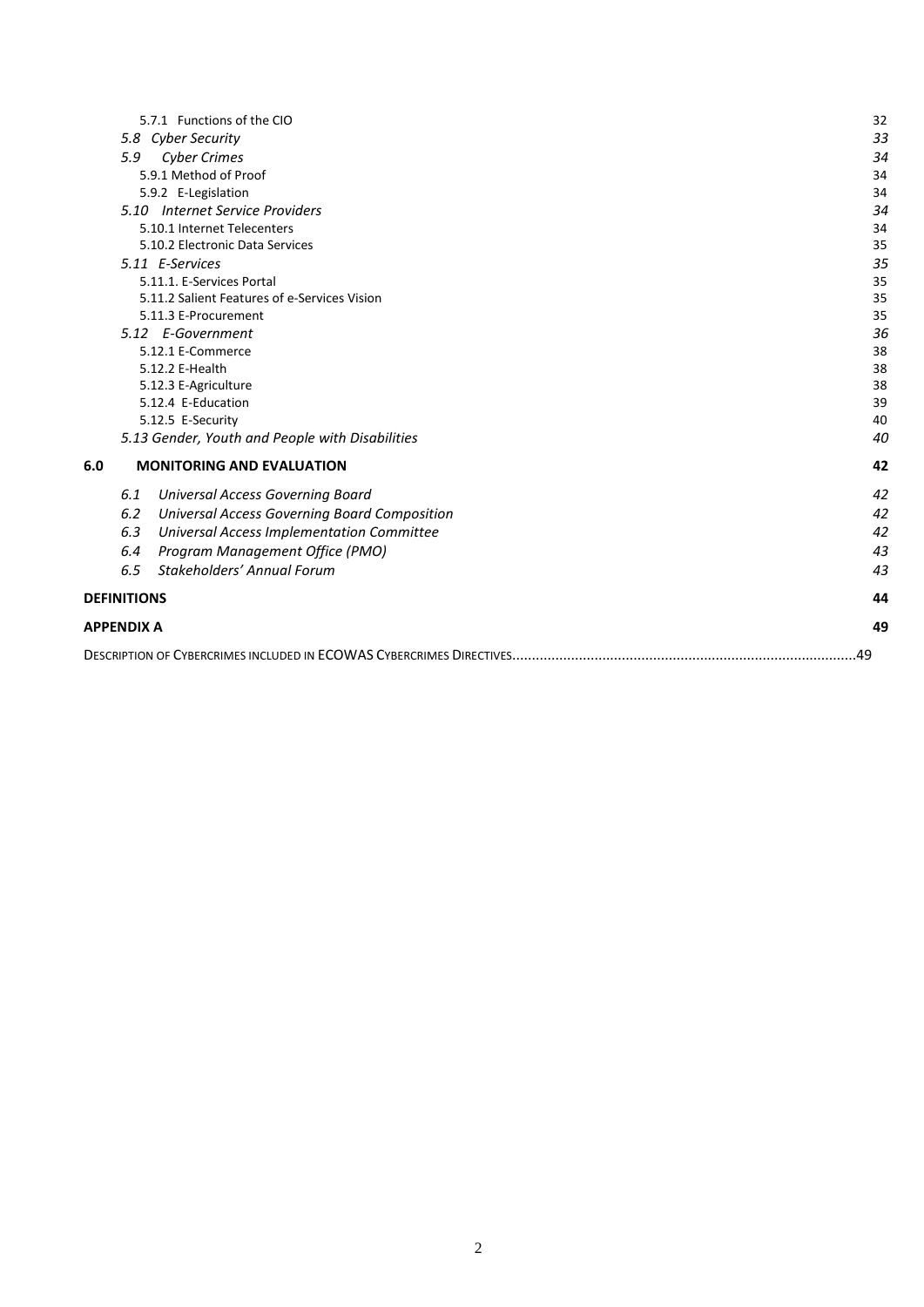| 5.7.1 Functions of the CIO                                 | 32  |  |  |
|------------------------------------------------------------|-----|--|--|
| 5.8 Cyber Security                                         | 33  |  |  |
| <b>Cyber Crimes</b><br>5.9                                 | 34  |  |  |
| 5.9.1 Method of Proof                                      | 34  |  |  |
| 5.9.2 E-Legislation                                        | 34  |  |  |
| 5.10 Internet Service Providers                            | 34  |  |  |
| 5.10.1 Internet Telecenters                                | 34  |  |  |
| 5.10.2 Electronic Data Services                            | 35  |  |  |
| 5.11 E-Services                                            | 35  |  |  |
| 5.11.1. E-Services Portal                                  | 35  |  |  |
| 5.11.2 Salient Features of e-Services Vision               | 35  |  |  |
| 5.11.3 E-Procurement                                       | 35  |  |  |
| 5.12 E-Government                                          | 36  |  |  |
| 5.12.1 E-Commerce                                          | 38  |  |  |
| 5.12.2 E-Health                                            | 38  |  |  |
| 5.12.3 E-Agriculture                                       | 38  |  |  |
| 5.12.4 E-Education                                         | 39  |  |  |
| 5.12.5 E-Security                                          | 40  |  |  |
| 5.13 Gender, Youth and People with Disabilities            | 40  |  |  |
| <b>MONITORING AND EVALUATION</b><br>6.0                    | 42  |  |  |
| <b>Universal Access Governing Board</b><br>6.1             | 42  |  |  |
| 6.2<br><b>Universal Access Governing Board Composition</b> | 42  |  |  |
| <b>Universal Access Implementation Committee</b><br>6.3    | 42  |  |  |
| Program Management Office (PMO)<br>6.4                     | 43  |  |  |
| Stakeholders' Annual Forum<br>6.5                          | 43  |  |  |
| <b>DEFINITIONS</b>                                         | 44  |  |  |
| <b>APPENDIX A</b>                                          |     |  |  |
|                                                            | .49 |  |  |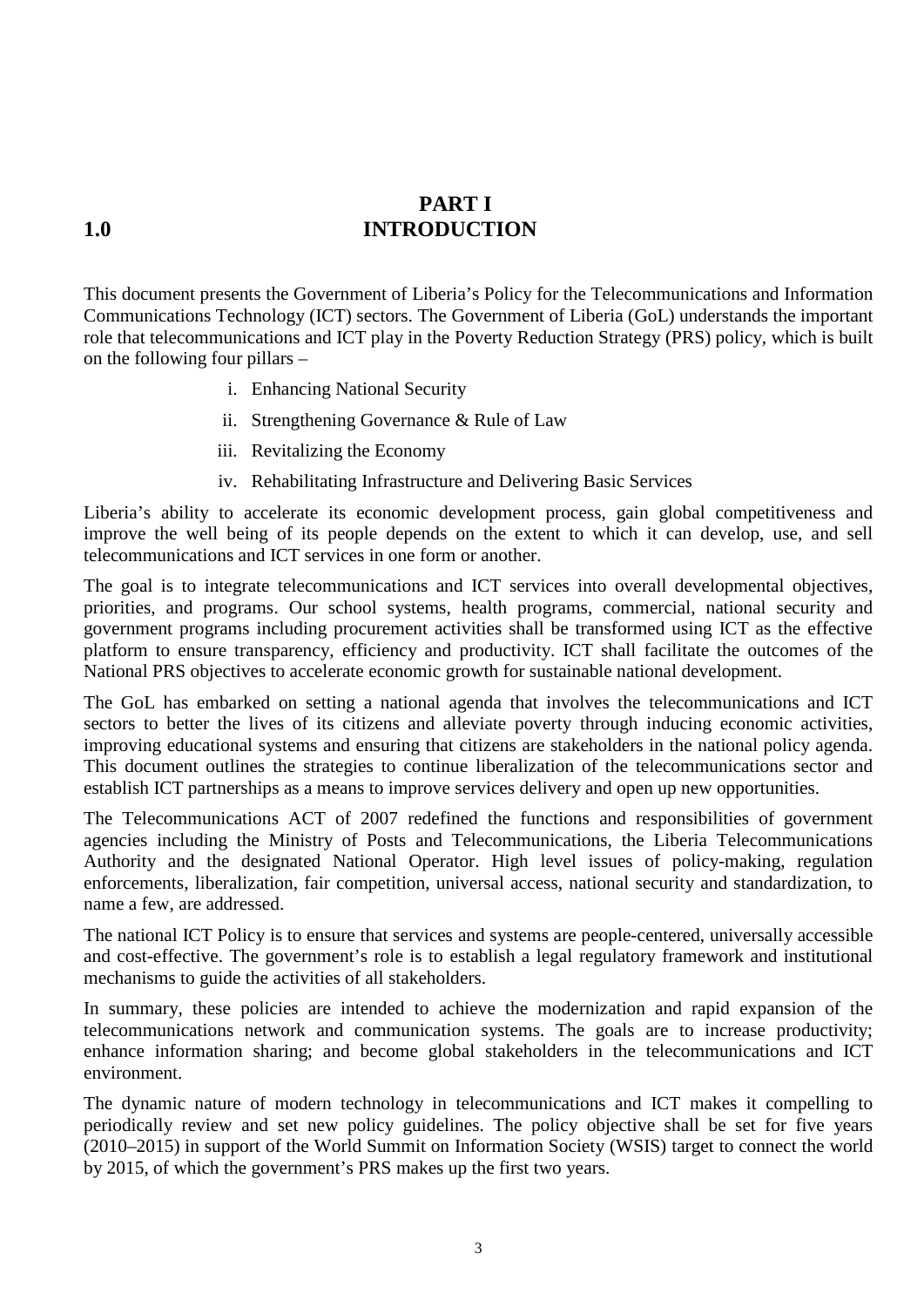## <span id="page-2-0"></span>**PART I 1.0 INTRODUCTION**

This document presents the Government of Liberia's Policy for the Telecommunications and Information Communications Technology (ICT) sectors. The Government of Liberia (GoL) understands the important role that telecommunications and ICT play in the Poverty Reduction Strategy (PRS) policy, which is built on the following four pillars –

- i. Enhancing National Security
- ii. Strengthening Governance & Rule of Law
- iii. Revitalizing the Economy
- iv. Rehabilitating Infrastructure and Delivering Basic Services

Liberia's ability to accelerate its economic development process, gain global competitiveness and improve the well being of its people depends on the extent to which it can develop, use, and sell telecommunications and ICT services in one form or another.

The goal is to integrate telecommunications and ICT services into overall developmental objectives, priorities, and programs. Our school systems, health programs, commercial, national security and government programs including procurement activities shall be transformed using ICT as the effective platform to ensure transparency, efficiency and productivity. ICT shall facilitate the outcomes of the National PRS objectives to accelerate economic growth for sustainable national development.

The GoL has embarked on setting a national agenda that involves the telecommunications and ICT sectors to better the lives of its citizens and alleviate poverty through inducing economic activities, improving educational systems and ensuring that citizens are stakeholders in the national policy agenda. This document outlines the strategies to continue liberalization of the telecommunications sector and establish ICT partnerships as a means to improve services delivery and open up new opportunities.

The Telecommunications ACT of 2007 redefined the functions and responsibilities of government agencies including the Ministry of Posts and Telecommunications, the Liberia Telecommunications Authority and the designated National Operator. High level issues of policy-making, regulation enforcements, liberalization, fair competition, universal access, national security and standardization, to name a few, are addressed.

The national ICT Policy is to ensure that services and systems are people-centered, universally accessible and cost-effective. The government's role is to establish a legal regulatory framework and institutional mechanisms to guide the activities of all stakeholders.

In summary, these policies are intended to achieve the modernization and rapid expansion of the telecommunications network and communication systems. The goals are to increase productivity; enhance information sharing; and become global stakeholders in the telecommunications and ICT environment.

The dynamic nature of modern technology in telecommunications and ICT makes it compelling to periodically review and set new policy guidelines. The policy objective shall be set for five years (2010–2015) in support of the World Summit on Information Society (WSIS) target to connect the world by 2015, of which the government's PRS makes up the first two years.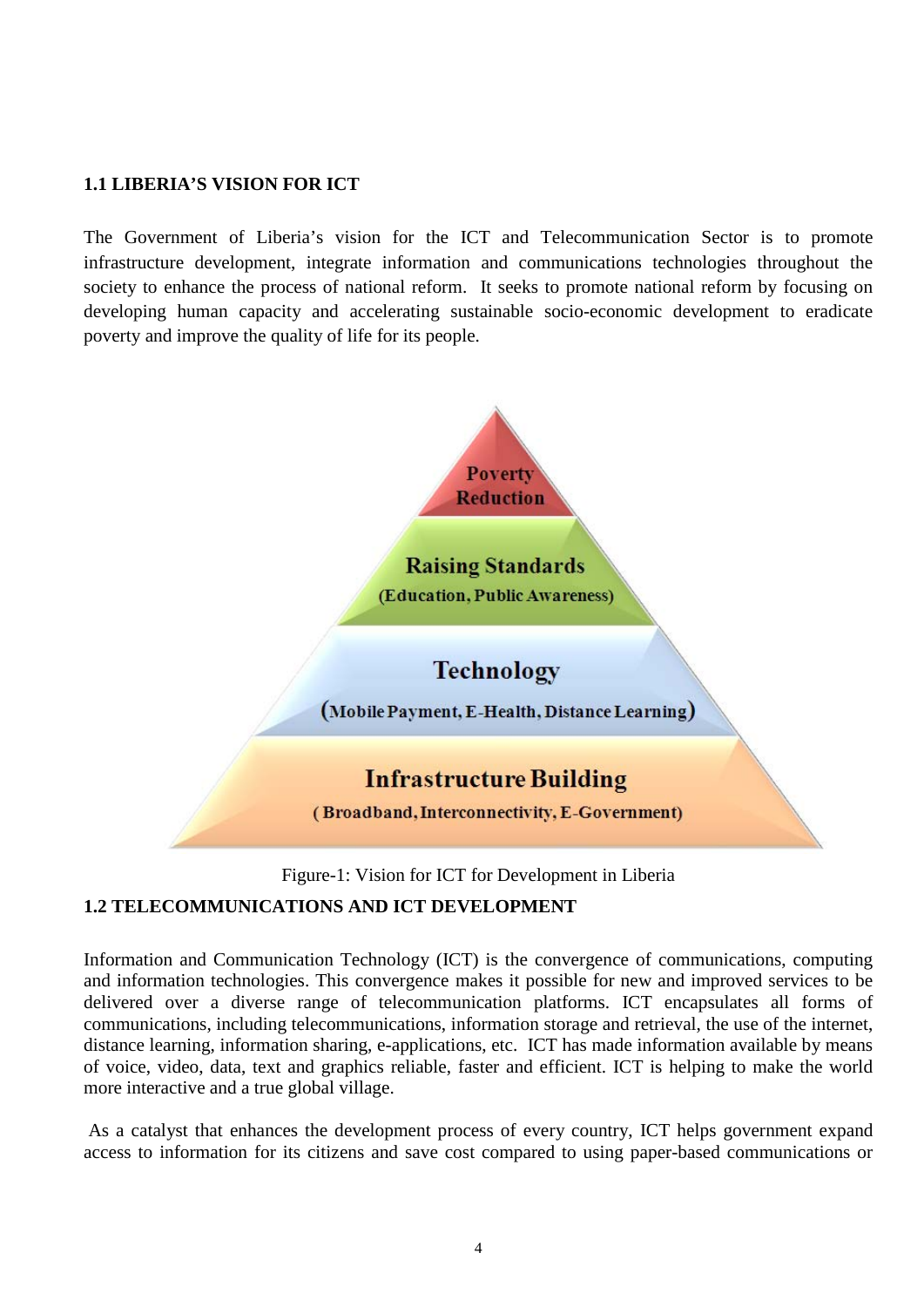#### <span id="page-3-0"></span>**1.1 LIBERIA'S VISION FOR ICT**

The Government of Liberia's vision for the ICT and Telecommunication Sector is to promote infrastructure development, integrate information and communications technologies throughout the society to enhance the process of national reform. It seeks to promote national reform by focusing on developing human capacity and accelerating sustainable socio-economic development to eradicate poverty and improve the quality of life for its people.



Figure-1: Vision for ICT for Development in Liberia

#### <span id="page-3-1"></span>**1.2 TELECOMMUNICATIONS AND ICT DEVELOPMENT**

Information and Communication Technology (ICT) is the convergence of communications, computing and information technologies. This convergence makes it possible for new and improved services to be delivered over a diverse range of telecommunication platforms. ICT encapsulates all forms of communications, including telecommunications, information storage and retrieval, the use of the internet, distance learning, information sharing, e-applications, etc. ICT has made information available by means of voice, video, data, text and graphics reliable, faster and efficient. ICT is helping to make the world more interactive and a true global village.

As a catalyst that enhances the development process of every country, ICT helps government expand access to information for its citizens and save cost compared to using paper-based communications or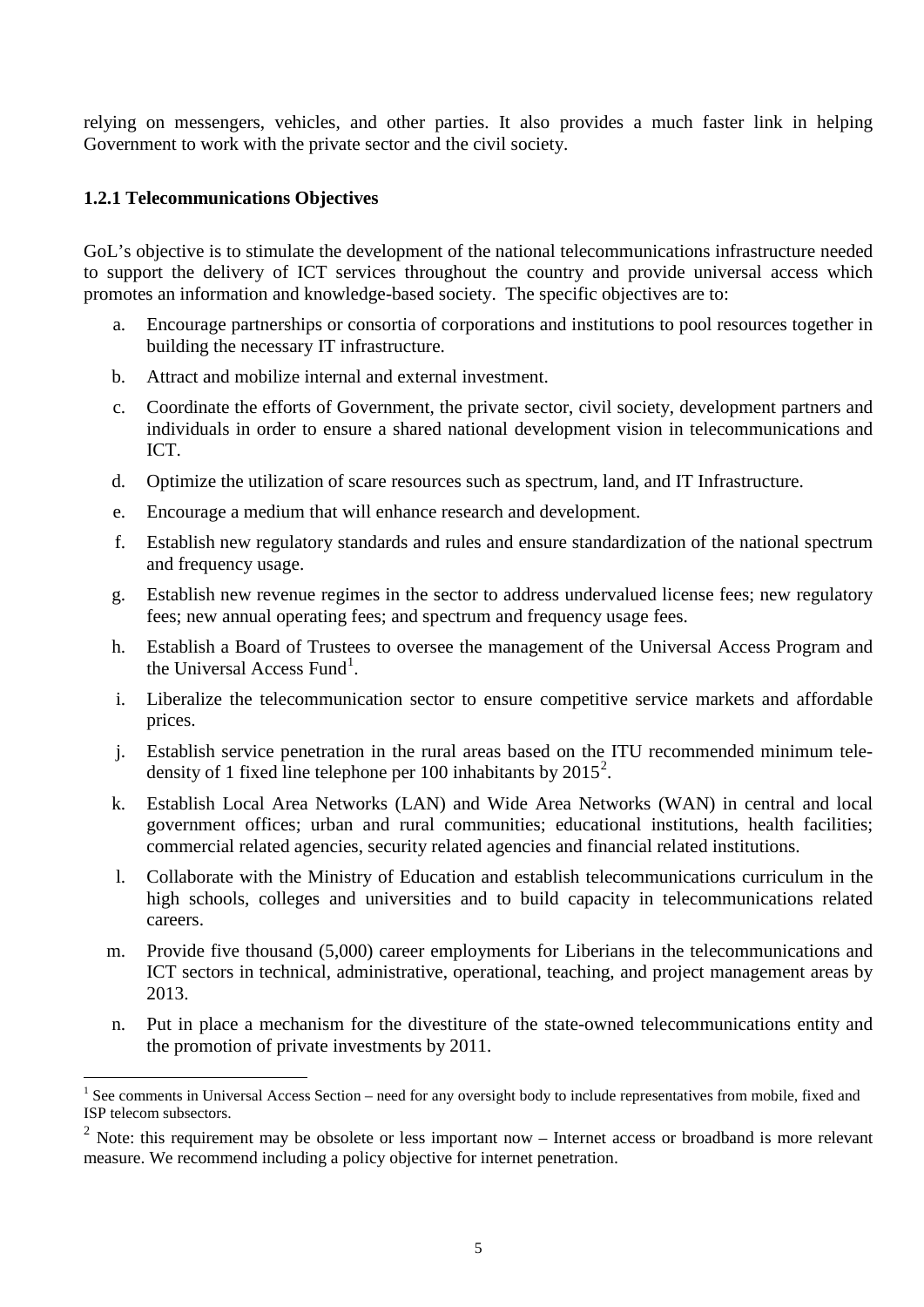relying on messengers, vehicles, and other parties. It also provides a much faster link in helping Government to work with the private sector and the civil society.

#### <span id="page-4-0"></span>**1.2.1 Telecommunications Objectives**

GoL's objective is to stimulate the development of the national telecommunications infrastructure needed to support the delivery of ICT services throughout the country and provide universal access which promotes an information and knowledge-based society. The specific objectives are to:

- a. Encourage partnerships or consortia of corporations and institutions to pool resources together in building the necessary IT infrastructure.
- b. Attract and mobilize internal and external investment.
- c. Coordinate the efforts of Government, the private sector, civil society, development partners and individuals in order to ensure a shared national development vision in telecommunications and ICT.
- d. Optimize the utilization of scare resources such as spectrum, land, and IT Infrastructure.
- e. Encourage a medium that will enhance research and development.
- f. Establish new regulatory standards and rules and ensure standardization of the national spectrum and frequency usage.
- g. Establish new revenue regimes in the sector to address undervalued license fees; new regulatory fees; new annual operating fees; and spectrum and frequency usage fees.
- h. Establish a Board of Trustees to oversee the management of the Universal Access Program and the Universal Access Fund<sup>[1](#page-4-1)</sup>.
- i. Liberalize the telecommunication sector to ensure competitive service markets and affordable prices.
- j. Establish service penetration in the rural areas based on the ITU recommended minimum teledensity of 1 fixed line telephone per 100 inhabitants by  $2015^2$  $2015^2$ .
- k. Establish Local Area Networks (LAN) and Wide Area Networks (WAN) in central and local government offices; urban and rural communities; educational institutions, health facilities; commercial related agencies, security related agencies and financial related institutions.
- l. Collaborate with the Ministry of Education and establish telecommunications curriculum in the high schools, colleges and universities and to build capacity in telecommunications related careers.
- m. Provide five thousand (5,000) career employments for Liberians in the telecommunications and ICT sectors in technical, administrative, operational, teaching, and project management areas by 2013.
- n. Put in place a mechanism for the divestiture of the state-owned telecommunications entity and the promotion of private investments by 2011.

<span id="page-4-1"></span> $1$  See comments in Universal Access Section – need for any oversight body to include representatives from mobile, fixed and ISP telecom subsectors.

<span id="page-4-2"></span> $2$  Note: this requirement may be obsolete or less important now – Internet access or broadband is more relevant measure. We recommend including a policy objective for internet penetration.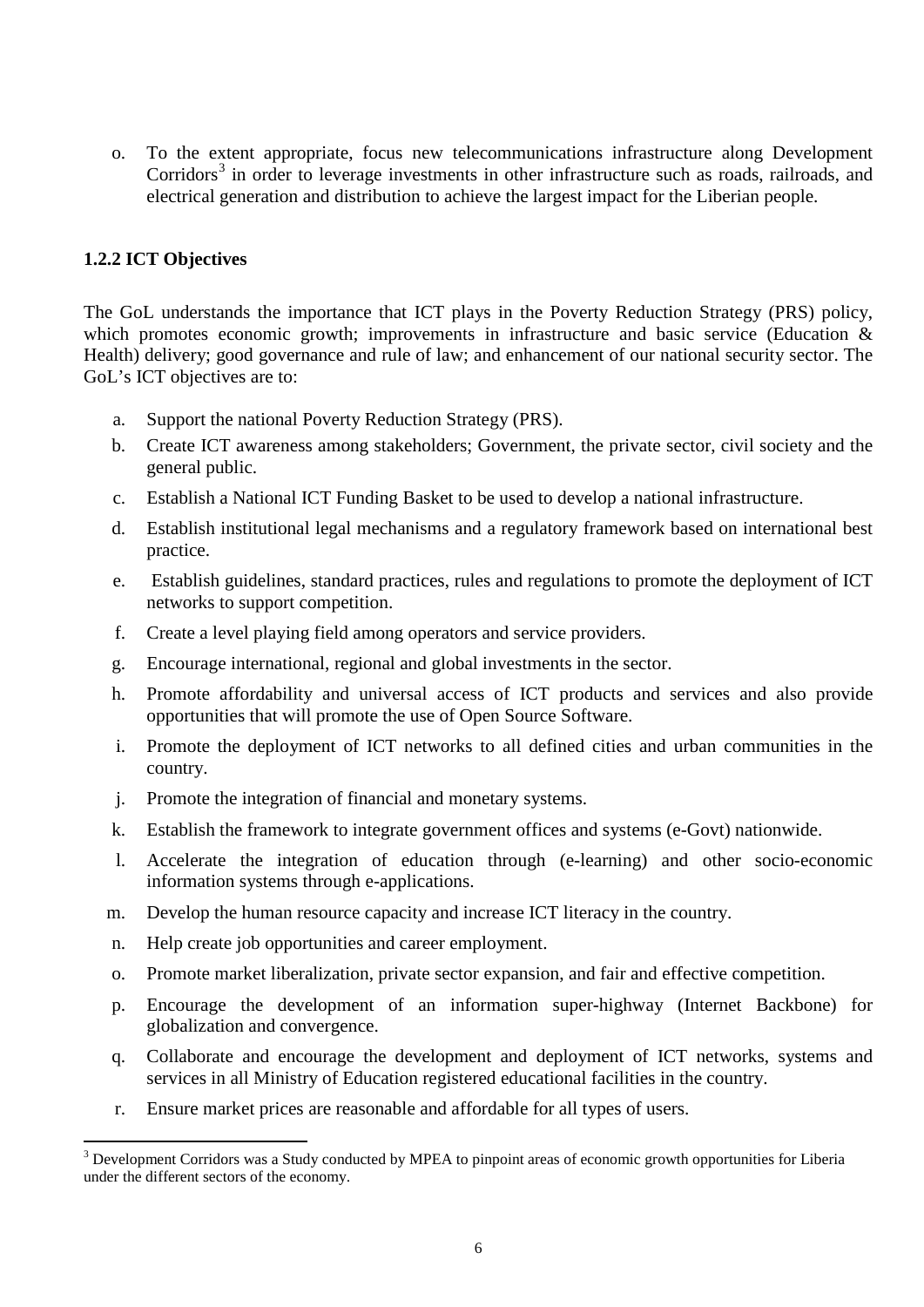o. To the extent appropriate, focus new telecommunications infrastructure along Development Corridors<sup>[3](#page-5-1)</sup> in order to leverage investments in other infrastructure such as roads, railroads, and electrical generation and distribution to achieve the largest impact for the Liberian people.

#### <span id="page-5-0"></span>**1.2.2 ICT Objectives**

The GoL understands the importance that ICT plays in the Poverty Reduction Strategy (PRS) policy, which promotes economic growth; improvements in infrastructure and basic service (Education & Health) delivery; good governance and rule of law; and enhancement of our national security sector. The GoL's ICT objectives are to:

- a. Support the national Poverty Reduction Strategy (PRS).
- b. Create ICT awareness among stakeholders; Government, the private sector, civil society and the general public.
- c. Establish a National ICT Funding Basket to be used to develop a national infrastructure.
- d. Establish institutional legal mechanisms and a regulatory framework based on international best practice.
- e. Establish guidelines, standard practices, rules and regulations to promote the deployment of ICT networks to support competition.
- f. Create a level playing field among operators and service providers.
- g. Encourage international, regional and global investments in the sector.
- h. Promote affordability and universal access of ICT products and services and also provide opportunities that will promote the use of Open Source Software.
- i. Promote the deployment of ICT networks to all defined cities and urban communities in the country.
- j. Promote the integration of financial and monetary systems.
- k. Establish the framework to integrate government offices and systems (e-Govt) nationwide.
- l. Accelerate the integration of education through (e-learning) and other socio-economic information systems through e-applications.
- m. Develop the human resource capacity and increase ICT literacy in the country.
- n. Help create job opportunities and career employment.
- o. Promote market liberalization, private sector expansion, and fair and effective competition.
- p. Encourage the development of an information super-highway (Internet Backbone) for globalization and convergence.
- q. Collaborate and encourage the development and deployment of ICT networks, systems and services in all Ministry of Education registered educational facilities in the country.
- r. Ensure market prices are reasonable and affordable for all types of users.

<span id="page-5-1"></span><sup>&</sup>lt;sup>3</sup> Development Corridors was a Study conducted by MPEA to pinpoint areas of economic growth opportunities for Liberia under the different sectors of the economy.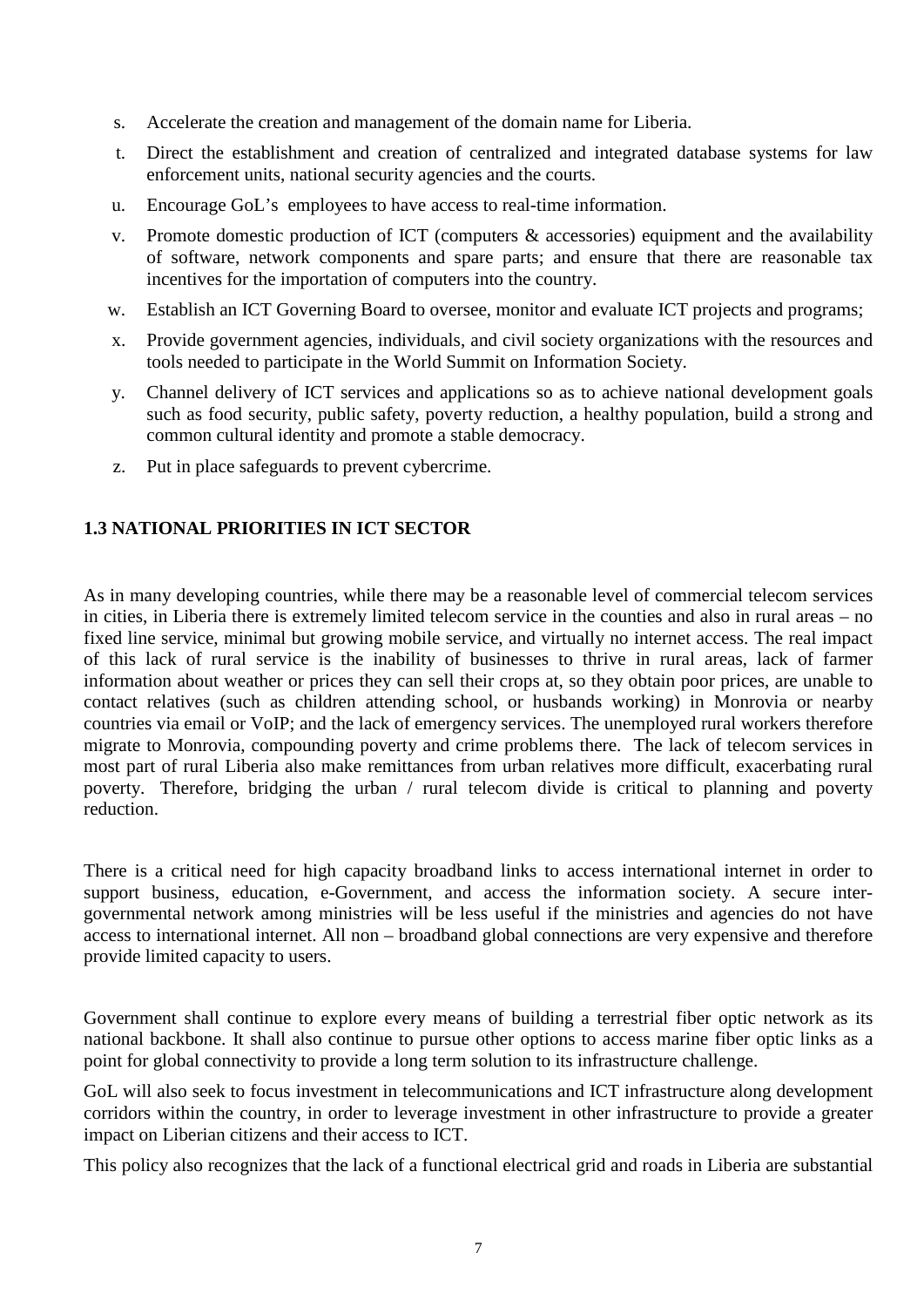- s. Accelerate the creation and management of the domain name for Liberia.
- t. Direct the establishment and creation of centralized and integrated database systems for law enforcement units, national security agencies and the courts.
- u. Encourage GoL's employees to have access to real-time information.
- v. Promote domestic production of ICT (computers & accessories) equipment and the availability of software, network components and spare parts; and ensure that there are reasonable tax incentives for the importation of computers into the country.
- w. Establish an ICT Governing Board to oversee, monitor and evaluate ICT projects and programs;
- x. Provide government agencies, individuals, and civil society organizations with the resources and tools needed to participate in the World Summit on Information Society.
- y. Channel delivery of ICT services and applications so as to achieve national development goals such as food security, public safety, poverty reduction, a healthy population, build a strong and common cultural identity and promote a stable democracy.
- z. Put in place safeguards to prevent cybercrime.

#### <span id="page-6-0"></span>**1.3 NATIONAL PRIORITIES IN ICT SECTOR**

As in many developing countries, while there may be a reasonable level of commercial telecom services in cities, in Liberia there is extremely limited telecom service in the counties and also in rural areas – no fixed line service, minimal but growing mobile service, and virtually no internet access. The real impact of this lack of rural service is the inability of businesses to thrive in rural areas, lack of farmer information about weather or prices they can sell their crops at, so they obtain poor prices, are unable to contact relatives (such as children attending school, or husbands working) in Monrovia or nearby countries via email or VoIP; and the lack of emergency services. The unemployed rural workers therefore migrate to Monrovia, compounding poverty and crime problems there. The lack of telecom services in most part of rural Liberia also make remittances from urban relatives more difficult, exacerbating rural poverty. Therefore, bridging the urban / rural telecom divide is critical to planning and poverty reduction.

There is a critical need for high capacity broadband links to access international internet in order to support business, education, e-Government, and access the information society. A secure intergovernmental network among ministries will be less useful if the ministries and agencies do not have access to international internet. All non – broadband global connections are very expensive and therefore provide limited capacity to users.

Government shall continue to explore every means of building a terrestrial fiber optic network as its national backbone. It shall also continue to pursue other options to access marine fiber optic links as a point for global connectivity to provide a long term solution to its infrastructure challenge.

GoL will also seek to focus investment in telecommunications and ICT infrastructure along development corridors within the country, in order to leverage investment in other infrastructure to provide a greater impact on Liberian citizens and their access to ICT.

This policy also recognizes that the lack of a functional electrical grid and roads in Liberia are substantial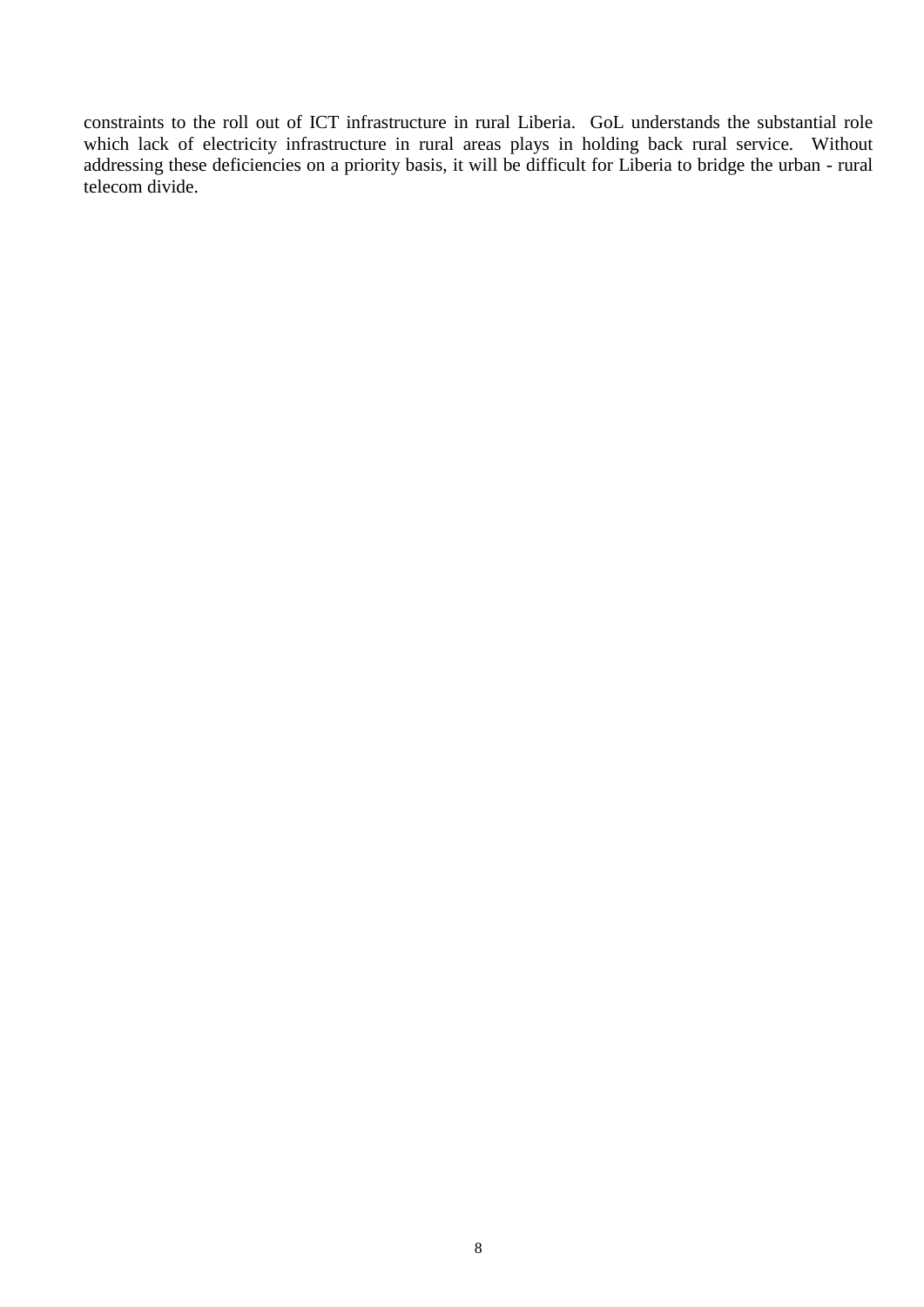constraints to the roll out of ICT infrastructure in rural Liberia. GoL understands the substantial role which lack of electricity infrastructure in rural areas plays in holding back rural service. Without addressing these deficiencies on a priority basis, it will be difficult for Liberia to bridge the urban - rural telecom divide.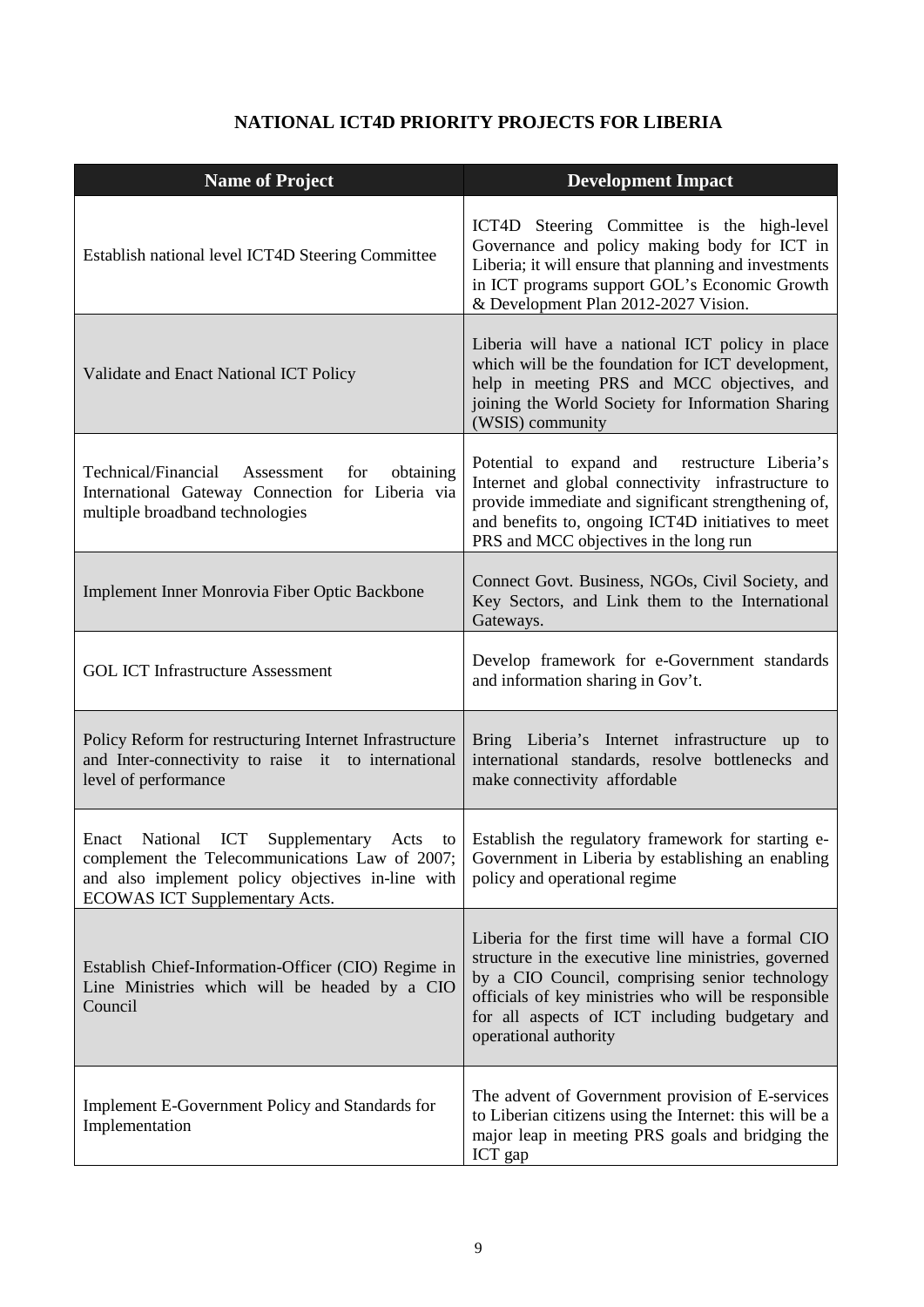# **NATIONAL ICT4D PRIORITY PROJECTS FOR LIBERIA**

| <b>Name of Project</b>                                                                                                                                                                                                  | <b>Development Impact</b>                                                                                                                                                                                                                                                                     |
|-------------------------------------------------------------------------------------------------------------------------------------------------------------------------------------------------------------------------|-----------------------------------------------------------------------------------------------------------------------------------------------------------------------------------------------------------------------------------------------------------------------------------------------|
| Establish national level ICT4D Steering Committee                                                                                                                                                                       | ICT4D Steering Committee is the high-level<br>Governance and policy making body for ICT in<br>Liberia; it will ensure that planning and investments<br>in ICT programs support GOL's Economic Growth<br>& Development Plan 2012-2027 Vision.                                                  |
| Validate and Enact National ICT Policy                                                                                                                                                                                  | Liberia will have a national ICT policy in place<br>which will be the foundation for ICT development,<br>help in meeting PRS and MCC objectives, and<br>joining the World Society for Information Sharing<br>(WSIS) community                                                                 |
| Technical/Financial<br>Assessment<br>for<br>obtaining<br>International Gateway Connection for Liberia via<br>multiple broadband technologies                                                                            | Potential to expand and restructure Liberia's<br>Internet and global connectivity infrastructure to<br>provide immediate and significant strengthening of,<br>and benefits to, ongoing ICT4D initiatives to meet<br>PRS and MCC objectives in the long run                                    |
| Implement Inner Monrovia Fiber Optic Backbone                                                                                                                                                                           | Connect Govt. Business, NGOs, Civil Society, and<br>Key Sectors, and Link them to the International<br>Gateways.                                                                                                                                                                              |
| <b>GOL ICT Infrastructure Assessment</b>                                                                                                                                                                                | Develop framework for e-Government standards<br>and information sharing in Gov't.                                                                                                                                                                                                             |
| Policy Reform for restructuring Internet Infrastructure<br>and Inter-connectivity to raise it to international<br>level of performance                                                                                  | Bring Liberia's Internet infrastructure up<br>to<br>international standards, resolve bottlenecks and<br>make connectivity affordable                                                                                                                                                          |
| National ICT<br>Enact<br>complement the Telecommunications Law of 2007; Government in Liberia by establishing an enabling<br>and also implement policy objectives in-line with<br><b>ECOWAS ICT Supplementary Acts.</b> | Supplementary Acts to Establish the regulatory framework for starting e-<br>policy and operational regime                                                                                                                                                                                     |
| Establish Chief-Information-Officer (CIO) Regime in<br>Line Ministries which will be headed by a CIO<br>Council                                                                                                         | Liberia for the first time will have a formal CIO<br>structure in the executive line ministries, governed<br>by a CIO Council, comprising senior technology<br>officials of key ministries who will be responsible<br>for all aspects of ICT including budgetary and<br>operational authority |
| Implement E-Government Policy and Standards for<br>Implementation                                                                                                                                                       | The advent of Government provision of E-services<br>to Liberian citizens using the Internet: this will be a<br>major leap in meeting PRS goals and bridging the<br>ICT gap                                                                                                                    |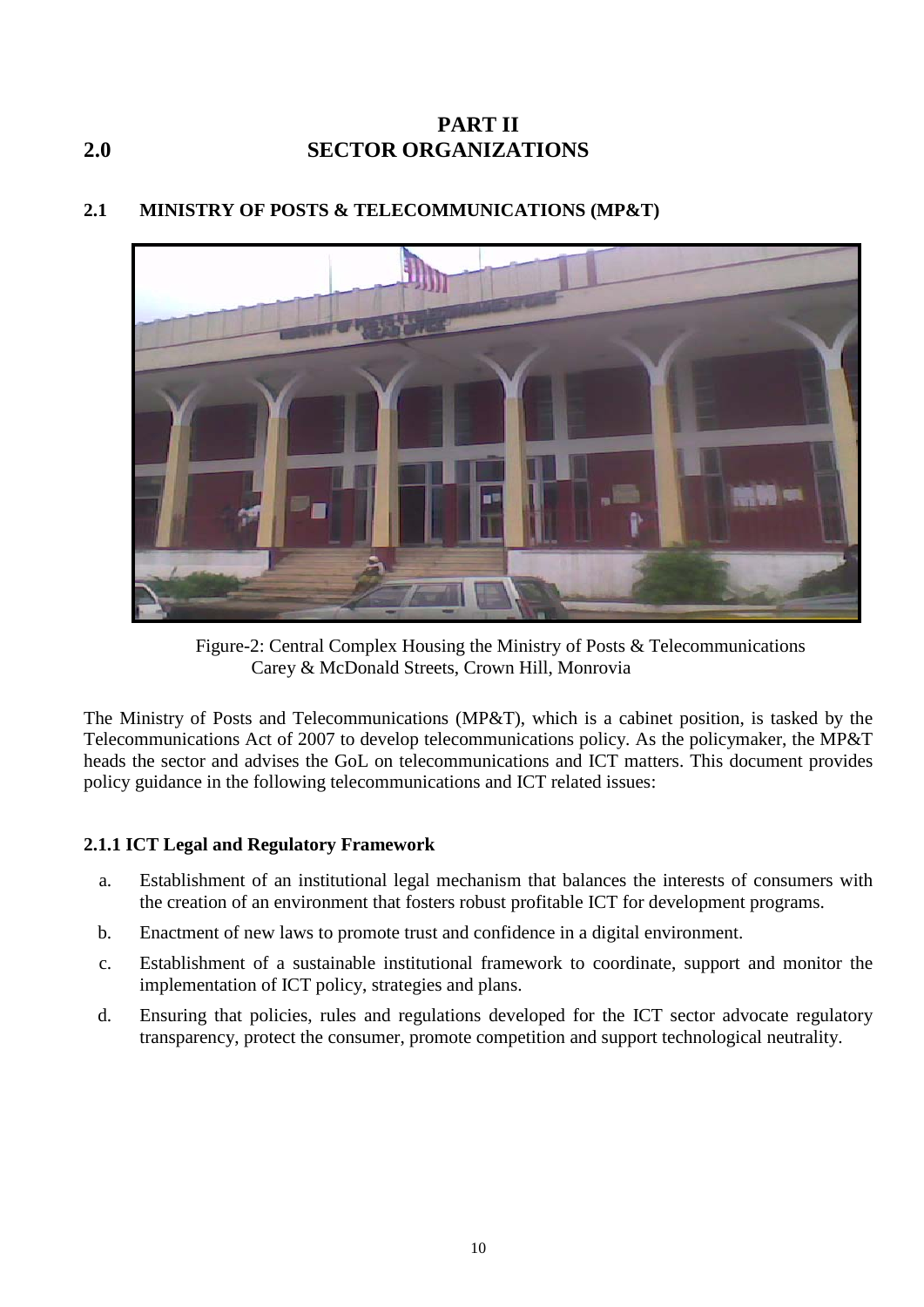# <span id="page-9-0"></span>**PART II 2.0 SECTOR ORGANIZATIONS**



# <span id="page-9-1"></span>**2.1 MINISTRY OF POSTS & TELECOMMUNICATIONS (MP&T)**

Figure-2: Central Complex Housing the Ministry of Posts & Telecommunications Carey & McDonald Streets, Crown Hill, Monrovia

The Ministry of Posts and Telecommunications (MP&T), which is a cabinet position, is tasked by the Telecommunications Act of 2007 to develop telecommunications policy. As the policymaker, the MP&T heads the sector and advises the GoL on telecommunications and ICT matters. This document provides policy guidance in the following telecommunications and ICT related issues:

## <span id="page-9-2"></span>**2.1.1 ICT Legal and Regulatory Framework**

- a. Establishment of an institutional legal mechanism that balances the interests of consumers with the creation of an environment that fosters robust profitable ICT for development programs.
- b. Enactment of new laws to promote trust and confidence in a digital environment.
- c. Establishment of a sustainable institutional framework to coordinate, support and monitor the implementation of ICT policy, strategies and plans.
- d. Ensuring that policies, rules and regulations developed for the ICT sector advocate regulatory transparency, protect the consumer, promote competition and support technological neutrality.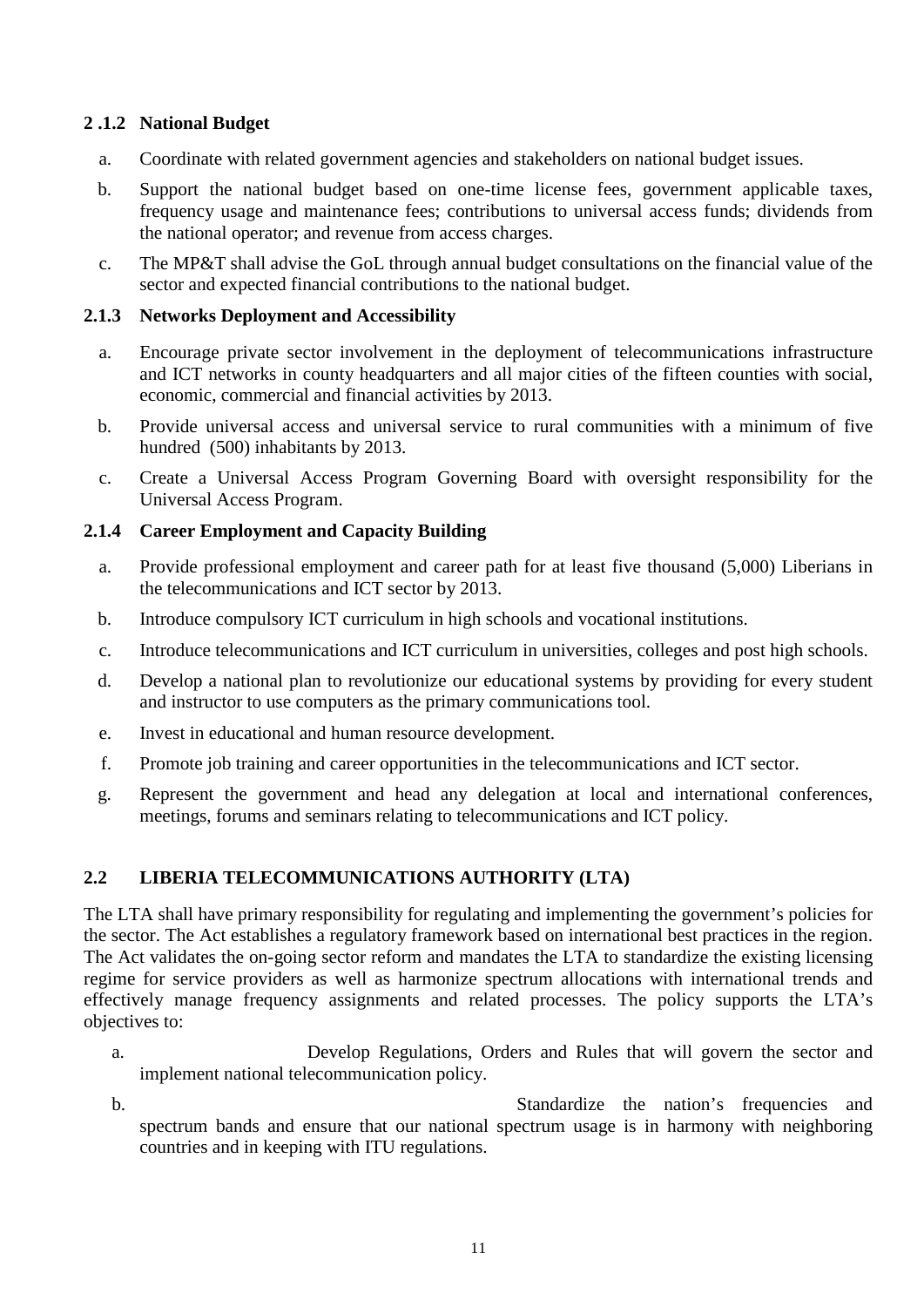#### <span id="page-10-0"></span>**2 .1.2 National Budget**

- a. Coordinate with related government agencies and stakeholders on national budget issues.
- b. Support the national budget based on one-time license fees, government applicable taxes, frequency usage and maintenance fees; contributions to universal access funds; dividends from the national operator; and revenue from access charges.
- c. The MP&T shall advise the GoL through annual budget consultations on the financial value of the sector and expected financial contributions to the national budget.

#### <span id="page-10-1"></span>**2.1.3 Networks Deployment and Accessibility**

- a. Encourage private sector involvement in the deployment of telecommunications infrastructure and ICT networks in county headquarters and all major cities of the fifteen counties with social, economic, commercial and financial activities by 2013.
- b. Provide universal access and universal service to rural communities with a minimum of five hundred (500) inhabitants by 2013.
- c. Create a Universal Access Program Governing Board with oversight responsibility for the Universal Access Program.

#### <span id="page-10-2"></span>**2.1.4 Career Employment and Capacity Building**

- a. Provide professional employment and career path for at least five thousand (5,000) Liberians in the telecommunications and ICT sector by 2013.
- b. Introduce compulsory ICT curriculum in high schools and vocational institutions.
- c. Introduce telecommunications and ICT curriculum in universities, colleges and post high schools.
- d. Develop a national plan to revolutionize our educational systems by providing for every student and instructor to use computers as the primary communications tool.
- e. Invest in educational and human resource development.
- f. Promote job training and career opportunities in the telecommunications and ICT sector.
- g. Represent the government and head any delegation at local and international conferences, meetings, forums and seminars relating to telecommunications and ICT policy.

#### <span id="page-10-3"></span>**2.2 LIBERIA TELECOMMUNICATIONS AUTHORITY (LTA)**

The LTA shall have primary responsibility for regulating and implementing the government's policies for the sector. The Act establishes a regulatory framework based on international best practices in the region. The Act validates the on-going sector reform and mandates the LTA to standardize the existing licensing regime for service providers as well as harmonize spectrum allocations with international trends and effectively manage frequency assignments and related processes. The policy supports the LTA's objectives to:

- a. Develop Regulations, Orders and Rules that will govern the sector and implement national telecommunication policy.
- b. Standardize the nation's frequencies and spectrum bands and ensure that our national spectrum usage is in harmony with neighboring countries and in keeping with ITU regulations.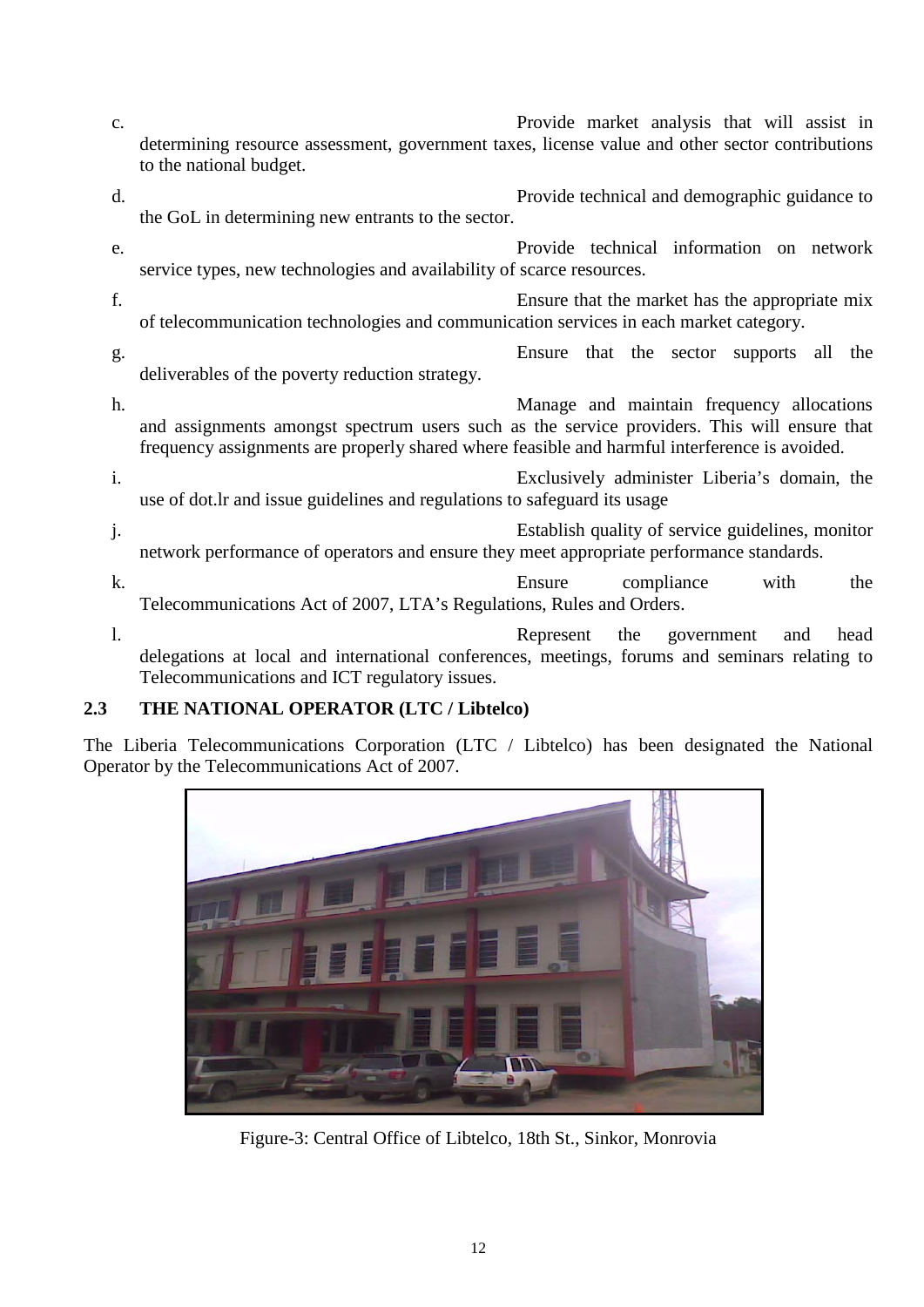- c. Provide market analysis that will assist in determining resource assessment, government taxes, license value and other sector contributions to the national budget.
- d. Provide technical and demographic guidance to the GoL in determining new entrants to the sector.
- e. Provide technical information on network service types, new technologies and availability of scarce resources.
- f. Ensure that the market has the appropriate mix of telecommunication technologies and communication services in each market category.
- g. Ensure that the sector supports all the deliverables of the poverty reduction strategy.
- h. Manage and maintain frequency allocations and assignments amongst spectrum users such as the service providers. This will ensure that frequency assignments are properly shared where feasible and harmful interference is avoided.
- i. Exclusively administer Liberia's domain, the use of dot.lr and issue guidelines and regulations to safeguard its usage
- j. Establish quality of service guidelines, monitor network performance of operators and ensure they meet appropriate performance standards.
- k. Ensure compliance with the Telecommunications Act of 2007, LTA's Regulations, Rules and Orders.
- l. Represent the government and head delegations at local and international conferences, meetings, forums and seminars relating to Telecommunications and ICT regulatory issues.

# <span id="page-11-0"></span>**2.3 THE NATIONAL OPERATOR (LTC / Libtelco)**

The Liberia Telecommunications Corporation (LTC / Libtelco) has been designated the National Operator by the Telecommunications Act of 2007.



Figure-3: Central Office of Libtelco, 18th St., Sinkor, Monrovia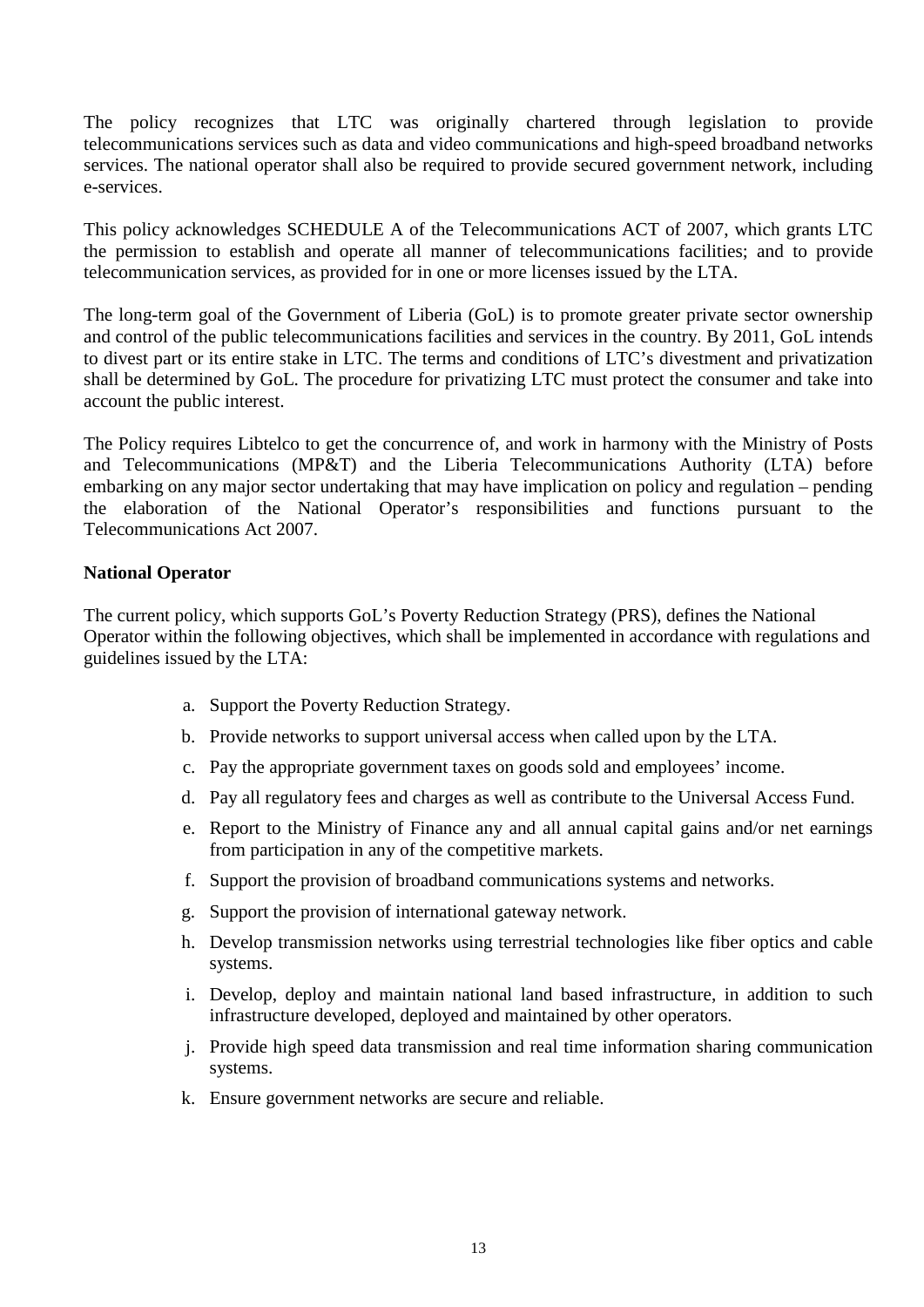The policy recognizes that LTC was originally chartered through legislation to provide telecommunications services such as data and video communications and high-speed broadband networks services. The national operator shall also be required to provide secured government network, including e-services.

This policy acknowledges SCHEDULE A of the Telecommunications ACT of 2007, which grants LTC the permission to establish and operate all manner of telecommunications facilities; and to provide telecommunication services, as provided for in one or more licenses issued by the LTA.

The long-term goal of the Government of Liberia (GoL) is to promote greater private sector ownership and control of the public telecommunications facilities and services in the country. By 2011, GoL intends to divest part or its entire stake in LTC. The terms and conditions of LTC's divestment and privatization shall be determined by GoL. The procedure for privatizing LTC must protect the consumer and take into account the public interest.

The Policy requires Libtelco to get the concurrence of, and work in harmony with the Ministry of Posts and Telecommunications (MP&T) and the Liberia Telecommunications Authority (LTA) before embarking on any major sector undertaking that may have implication on policy and regulation – pending the elaboration of the National Operator's responsibilities and functions pursuant to the Telecommunications Act 2007.

#### **National Operator**

The current policy, which supports GoL's Poverty Reduction Strategy (PRS), defines the National Operator within the following objectives, which shall be implemented in accordance with regulations and guidelines issued by the LTA:

- a. Support the Poverty Reduction Strategy.
- b. Provide networks to support universal access when called upon by the LTA.
- c. Pay the appropriate government taxes on goods sold and employees' income.
- d. Pay all regulatory fees and charges as well as contribute to the Universal Access Fund.
- e. Report to the Ministry of Finance any and all annual capital gains and/or net earnings from participation in any of the competitive markets.
- f. Support the provision of broadband communications systems and networks.
- g. Support the provision of international gateway network.
- h. Develop transmission networks using terrestrial technologies like fiber optics and cable systems.
- i. Develop, deploy and maintain national land based infrastructure, in addition to such infrastructure developed, deployed and maintained by other operators.
- j. Provide high speed data transmission and real time information sharing communication systems.
- k. Ensure government networks are secure and reliable.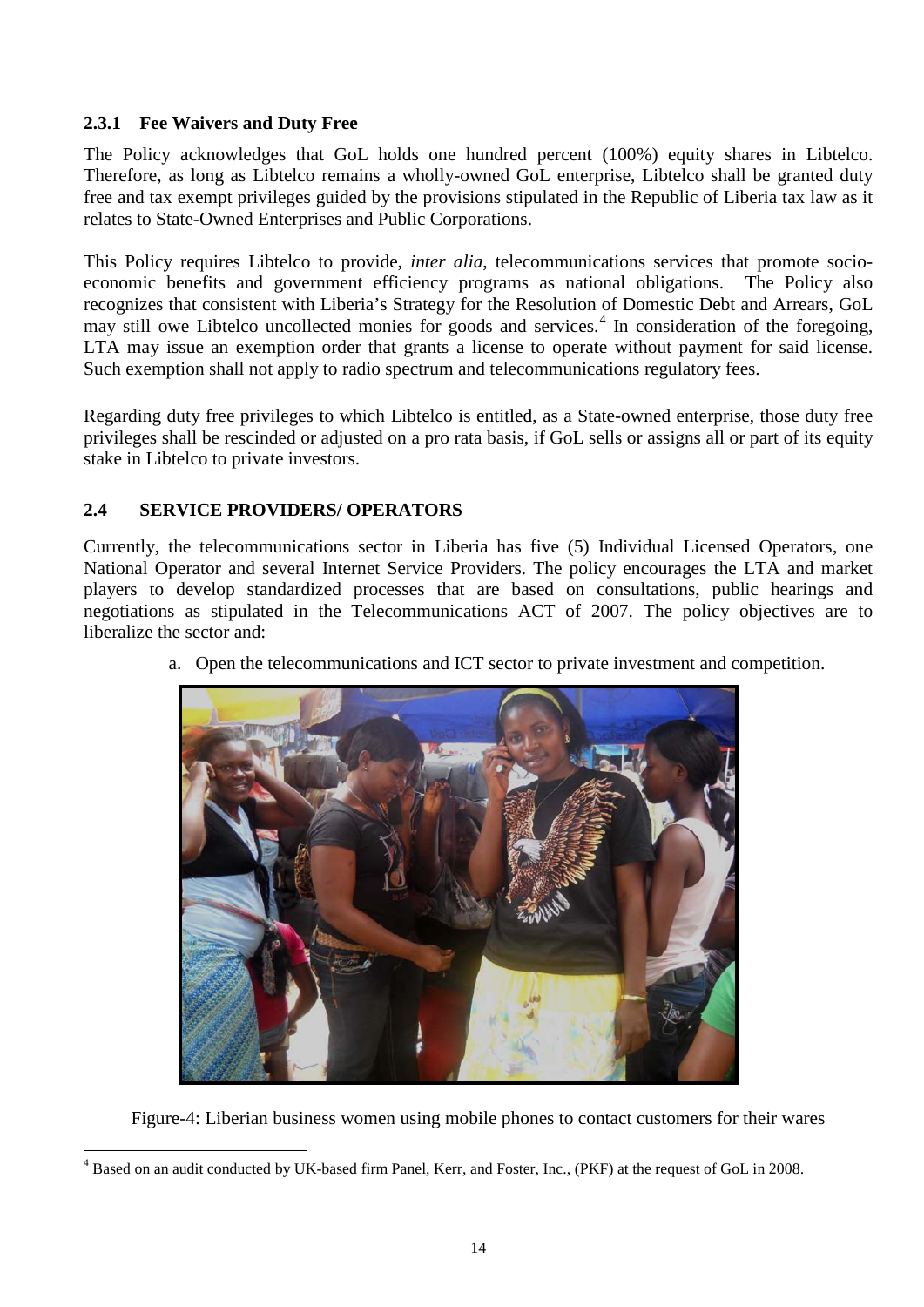#### <span id="page-13-0"></span>**2.3.1 Fee Waivers and Duty Free**

The Policy acknowledges that GoL holds one hundred percent (100%) equity shares in Libtelco. Therefore, as long as Libtelco remains a wholly-owned GoL enterprise, Libtelco shall be granted duty free and tax exempt privileges guided by the provisions stipulated in the Republic of Liberia tax law as it relates to State-Owned Enterprises and Public Corporations.

This Policy requires Libtelco to provide, *inter alia*, telecommunications services that promote socioeconomic benefits and government efficiency programs as national obligations. The Policy also recognizes that consistent with Liberia's Strategy for the Resolution of Domestic Debt and Arrears, GoL may still owe Libtelco uncollected monies for goods and services.<sup>[4](#page-13-2)</sup> In consideration of the foregoing, LTA may issue an exemption order that grants a license to operate without payment for said license. Such exemption shall not apply to radio spectrum and telecommunications regulatory fees.

Regarding duty free privileges to which Libtelco is entitled, as a State-owned enterprise, those duty free privileges shall be rescinded or adjusted on a pro rata basis, if GoL sells or assigns all or part of its equity stake in Libtelco to private investors.

#### <span id="page-13-1"></span>**2.4 SERVICE PROVIDERS/ OPERATORS**

Currently, the telecommunications sector in Liberia has five (5) Individual Licensed Operators, one National Operator and several Internet Service Providers. The policy encourages the LTA and market players to develop standardized processes that are based on consultations, public hearings and negotiations as stipulated in the Telecommunications ACT of 2007. The policy objectives are to liberalize the sector and:

a. Open the telecommunications and ICT sector to private investment and competition.



Figure-4: Liberian business women using mobile phones to contact customers for their wares

<span id="page-13-2"></span> <sup>4</sup> Based on an audit conducted by UK-based firm Panel, Kerr, and Foster, Inc., (PKF) at the request of GoL in 2008.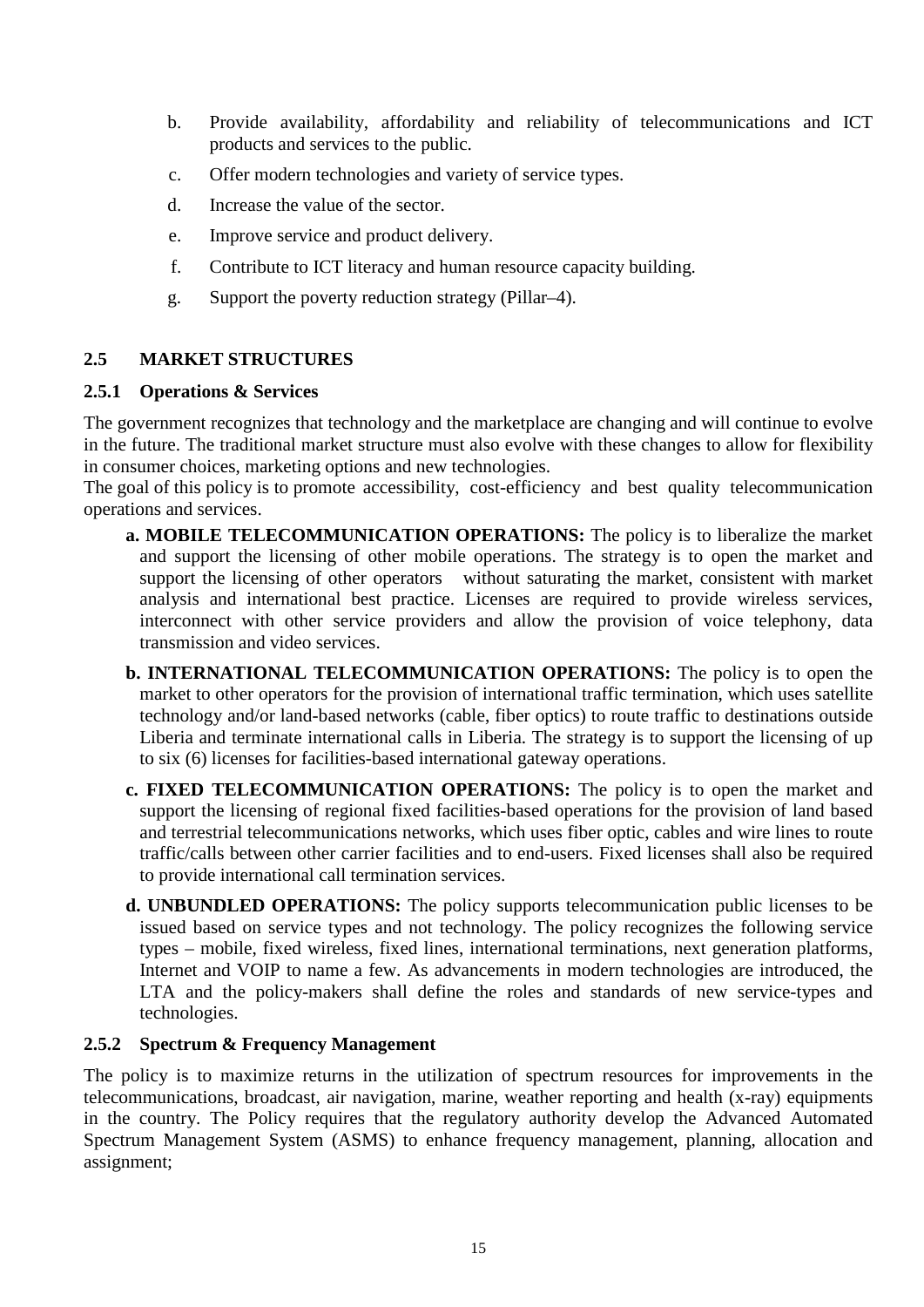- b. Provide availability, affordability and reliability of telecommunications and ICT products and services to the public.
- c. Offer modern technologies and variety of service types.
- d. Increase the value of the sector.
- e. Improve service and product delivery.
- f. Contribute to ICT literacy and human resource capacity building.
- g. Support the poverty reduction strategy (Pillar–4).

## <span id="page-14-0"></span>**2.5 MARKET STRUCTURES**

#### <span id="page-14-1"></span>**2.5.1 Operations & Services**

The government recognizes that technology and the marketplace are changing and will continue to evolve in the future. The traditional market structure must also evolve with these changes to allow for flexibility in consumer choices, marketing options and new technologies.

The goal of this policy is to promote accessibility, cost-efficiency and best quality telecommunication operations and services.

- **a. MOBILE TELECOMMUNICATION OPERATIONS:** The policy is to liberalize the market and support the licensing of other mobile operations. The strategy is to open the market and support the licensing of other operators without saturating the market, consistent with market analysis and international best practice. Licenses are required to provide wireless services, interconnect with other service providers and allow the provision of voice telephony, data transmission and video services.
- **b. INTERNATIONAL TELECOMMUNICATION OPERATIONS:** The policy is to open the market to other operators for the provision of international traffic termination, which uses satellite technology and/or land-based networks (cable, fiber optics) to route traffic to destinations outside Liberia and terminate international calls in Liberia. The strategy is to support the licensing of up to six (6) licenses for facilities-based international gateway operations.
- **c. FIXED TELECOMMUNICATION OPERATIONS:** The policy is to open the market and support the licensing of regional fixed facilities-based operations for the provision of land based and terrestrial telecommunications networks, which uses fiber optic, cables and wire lines to route traffic/calls between other carrier facilities and to end-users. Fixed licenses shall also be required to provide international call termination services.
- **d. UNBUNDLED OPERATIONS:** The policy supports telecommunication public licenses to be issued based on service types and not technology. The policy recognizes the following service types – mobile, fixed wireless, fixed lines, international terminations, next generation platforms, Internet and VOIP to name a few. As advancements in modern technologies are introduced, the LTA and the policy-makers shall define the roles and standards of new service-types and technologies.

#### <span id="page-14-2"></span>**2.5.2 Spectrum & Frequency Management**

The policy is to maximize returns in the utilization of spectrum resources for improvements in the telecommunications, broadcast, air navigation, marine, weather reporting and health (x-ray) equipments in the country. The Policy requires that the regulatory authority develop the Advanced Automated Spectrum Management System (ASMS) to enhance frequency management, planning, allocation and assignment;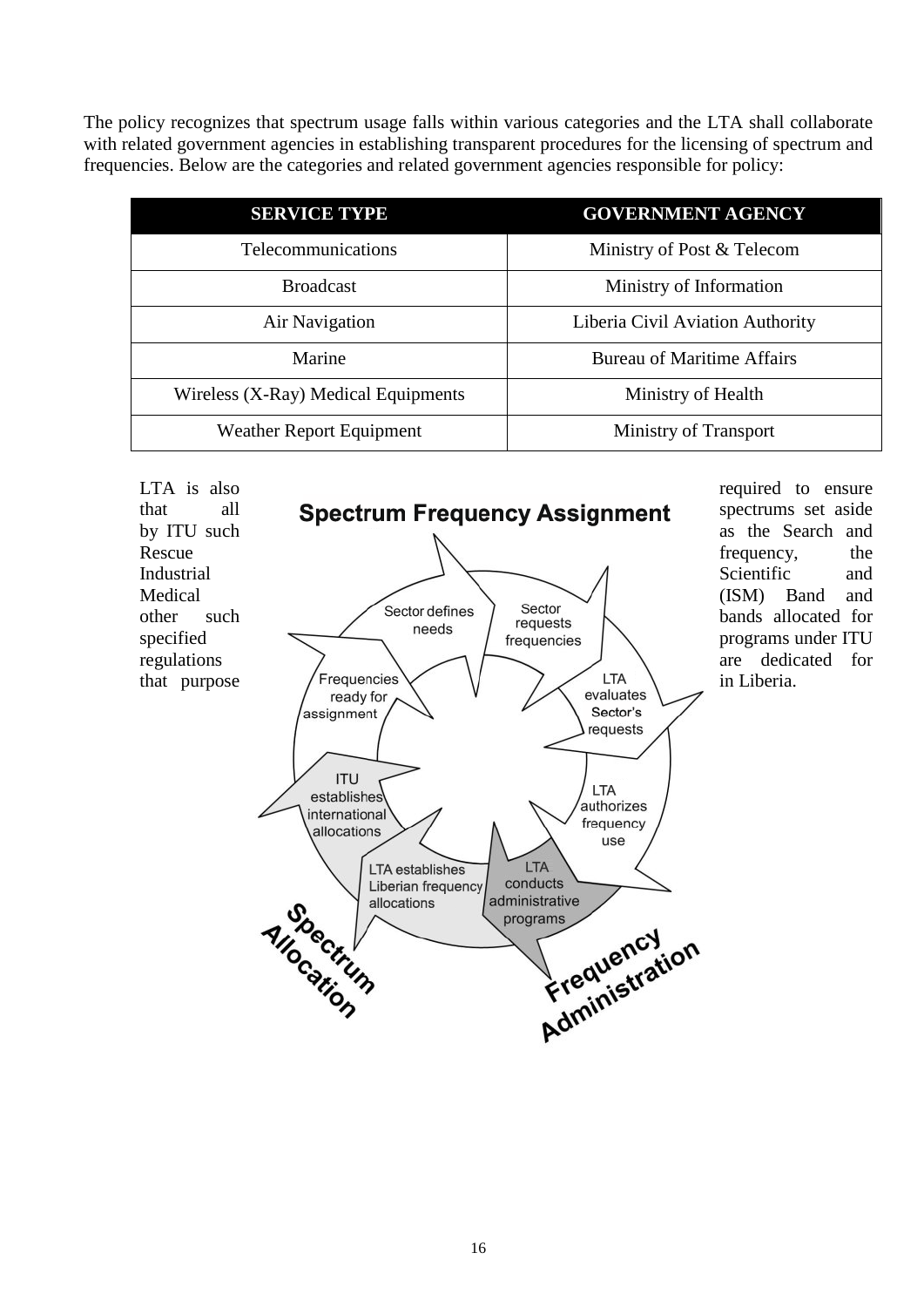The policy recognizes that spectrum usage falls within various categories and the LTA shall collaborate with related government agencies in establishing transparent procedures for the licensing of spectrum and frequencies. Below are the categories and related government agencies responsible for policy:

| <b>SERVICE TYPE</b>                 | <b>GOVERNMENT AGENCY</b>          |
|-------------------------------------|-----------------------------------|
| Telecommunications                  | Ministry of Post & Telecom        |
| <b>Broadcast</b>                    | Ministry of Information           |
| Air Navigation                      | Liberia Civil Aviation Authority  |
| Marine                              | <b>Bureau of Maritime Affairs</b> |
| Wireless (X-Ray) Medical Equipments | Ministry of Health                |
| <b>Weather Report Equipment</b>     | Ministry of Transport             |



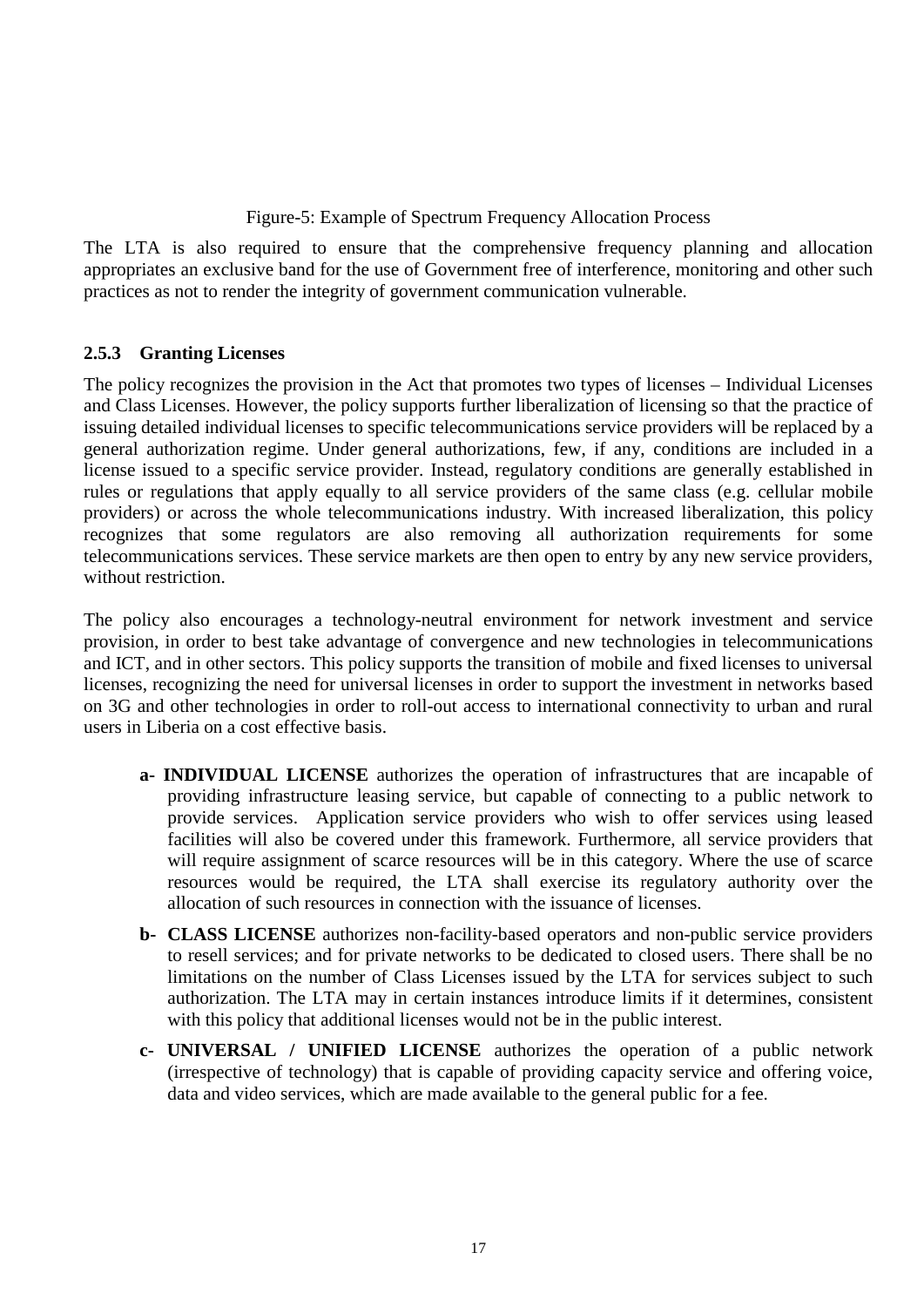#### Figure-5: Example of Spectrum Frequency Allocation Process

The LTA is also required to ensure that the comprehensive frequency planning and allocation appropriates an exclusive band for the use of Government free of interference, monitoring and other such practices as not to render the integrity of government communication vulnerable.

#### <span id="page-16-0"></span>**2.5.3 Granting Licenses**

The policy recognizes the provision in the Act that promotes two types of licenses – Individual Licenses and Class Licenses. However, the policy supports further liberalization of licensing so that the practice of issuing detailed individual licenses to specific telecommunications service providers will be replaced by a general authorization regime. Under general authorizations, few, if any, conditions are included in a license issued to a specific service provider. Instead, regulatory conditions are generally established in rules or regulations that apply equally to all service providers of the same class (e.g. cellular mobile providers) or across the whole telecommunications industry. With increased liberalization, this policy recognizes that some regulators are also removing all authorization requirements for some telecommunications services. These service markets are then open to entry by any new service providers, without restriction.

The policy also encourages a technology-neutral environment for network investment and service provision, in order to best take advantage of convergence and new technologies in telecommunications and ICT, and in other sectors. This policy supports the transition of mobile and fixed licenses to universal licenses, recognizing the need for universal licenses in order to support the investment in networks based on 3G and other technologies in order to roll-out access to international connectivity to urban and rural users in Liberia on a cost effective basis.

- **a- INDIVIDUAL LICENSE** authorizes the operation of infrastructures that are incapable of providing infrastructure leasing service, but capable of connecting to a public network to provide services. Application service providers who wish to offer services using leased facilities will also be covered under this framework. Furthermore, all service providers that will require assignment of scarce resources will be in this category. Where the use of scarce resources would be required, the LTA shall exercise its regulatory authority over the allocation of such resources in connection with the issuance of licenses.
- **b- CLASS LICENSE** authorizes non-facility-based operators and non-public service providers to resell services; and for private networks to be dedicated to closed users. There shall be no limitations on the number of Class Licenses issued by the LTA for services subject to such authorization. The LTA may in certain instances introduce limits if it determines, consistent with this policy that additional licenses would not be in the public interest.
- **c- UNIVERSAL / UNIFIED LICENSE** authorizes the operation of a public network (irrespective of technology) that is capable of providing capacity service and offering voice, data and video services, which are made available to the general public for a fee.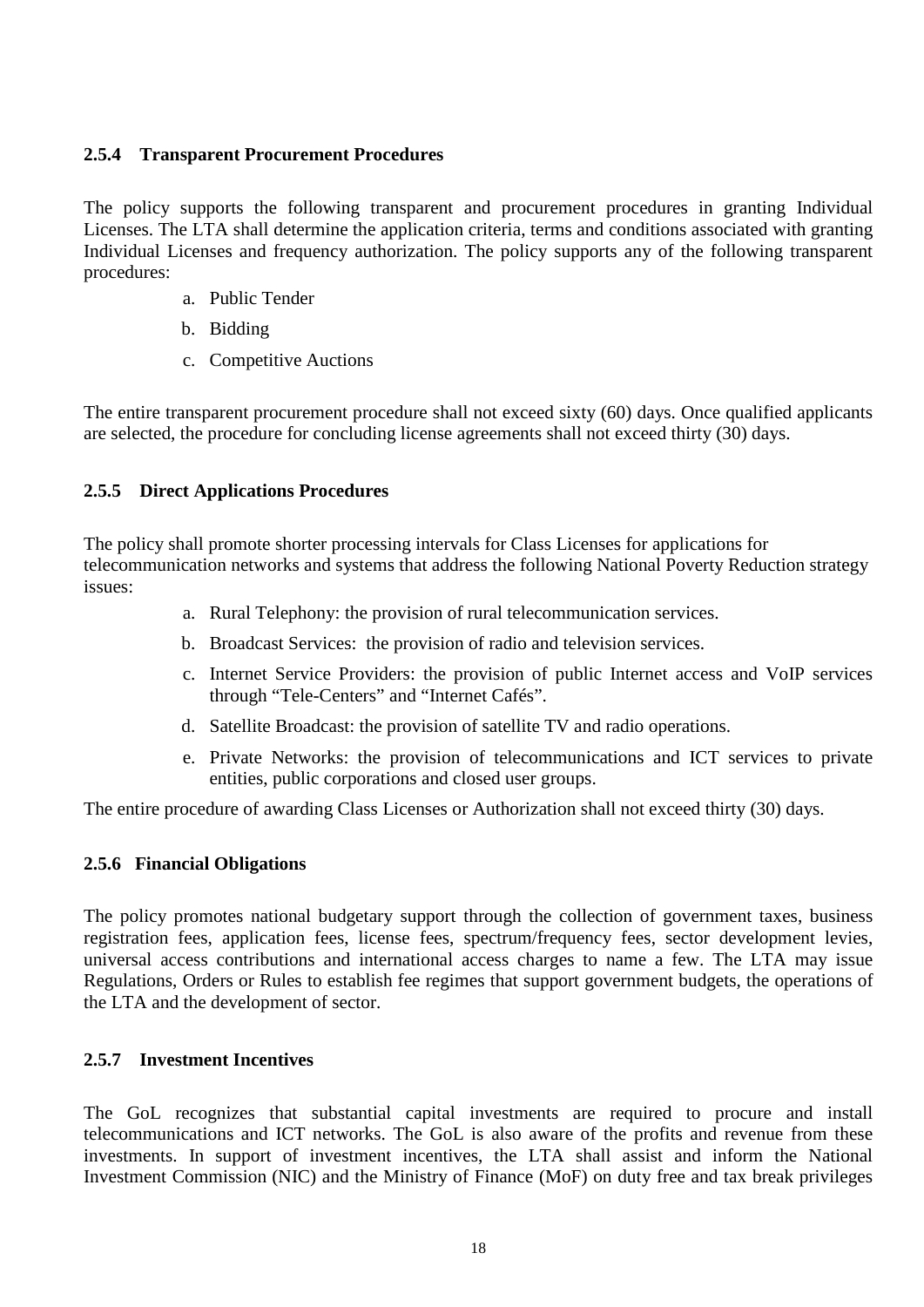#### <span id="page-17-0"></span>**2.5.4 Transparent Procurement Procedures**

The policy supports the following transparent and procurement procedures in granting Individual Licenses. The LTA shall determine the application criteria, terms and conditions associated with granting Individual Licenses and frequency authorization. The policy supports any of the following transparent procedures:

- a. Public Tender
- b. Bidding
- c. Competitive Auctions

The entire transparent procurement procedure shall not exceed sixty (60) days. Once qualified applicants are selected, the procedure for concluding license agreements shall not exceed thirty (30) days.

#### <span id="page-17-1"></span>**2.5.5 Direct Applications Procedures**

The policy shall promote shorter processing intervals for Class Licenses for applications for telecommunication networks and systems that address the following National Poverty Reduction strategy issues:

- a. Rural Telephony: the provision of rural telecommunication services.
- b. Broadcast Services: the provision of radio and television services.
- c. Internet Service Providers: the provision of public Internet access and VoIP services through "Tele-Centers" and "Internet Cafés".
- d. Satellite Broadcast: the provision of satellite TV and radio operations.
- e. Private Networks: the provision of telecommunications and ICT services to private entities, public corporations and closed user groups.

The entire procedure of awarding Class Licenses or Authorization shall not exceed thirty (30) days.

#### <span id="page-17-2"></span>**2.5.6 Financial Obligations**

The policy promotes national budgetary support through the collection of government taxes, business registration fees, application fees, license fees, spectrum/frequency fees, sector development levies, universal access contributions and international access charges to name a few. The LTA may issue Regulations, Orders or Rules to establish fee regimes that support government budgets, the operations of the LTA and the development of sector.

#### <span id="page-17-3"></span>**2.5.7 Investment Incentives**

The GoL recognizes that substantial capital investments are required to procure and install telecommunications and ICT networks. The GoL is also aware of the profits and revenue from these investments. In support of investment incentives, the LTA shall assist and inform the National Investment Commission (NIC) and the Ministry of Finance (MoF) on duty free and tax break privileges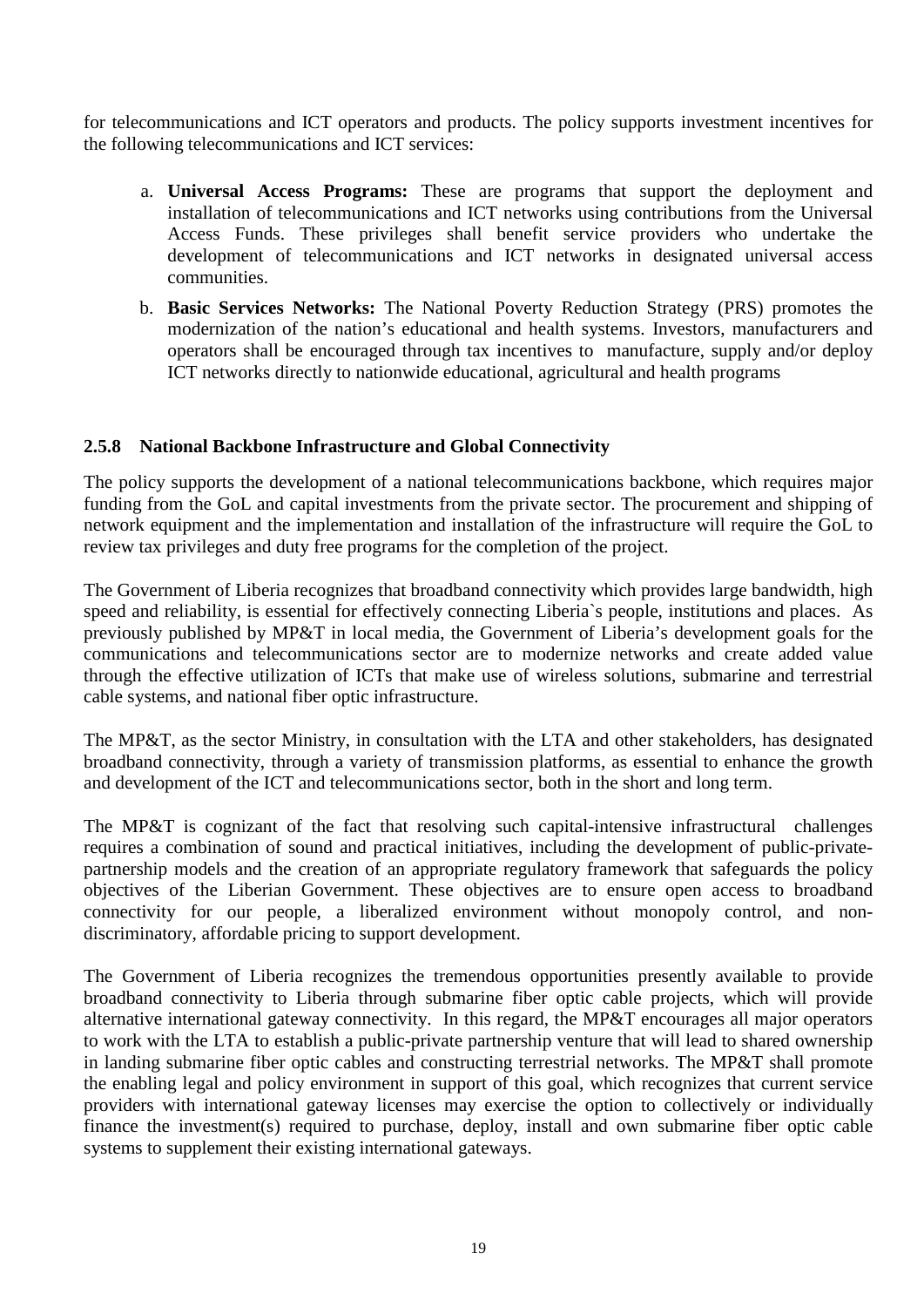for telecommunications and ICT operators and products. The policy supports investment incentives for the following telecommunications and ICT services:

- a. **Universal Access Programs:** These are programs that support the deployment and installation of telecommunications and ICT networks using contributions from the Universal Access Funds. These privileges shall benefit service providers who undertake the development of telecommunications and ICT networks in designated universal access communities.
- b. **Basic Services Networks:** The National Poverty Reduction Strategy (PRS) promotes the modernization of the nation's educational and health systems. Investors, manufacturers and operators shall be encouraged through tax incentives to manufacture, supply and/or deploy ICT networks directly to nationwide educational, agricultural and health programs

#### <span id="page-18-0"></span>**2.5.8 National Backbone Infrastructure and Global Connectivity**

The policy supports the development of a national telecommunications backbone, which requires major funding from the GoL and capital investments from the private sector. The procurement and shipping of network equipment and the implementation and installation of the infrastructure will require the GoL to review tax privileges and duty free programs for the completion of the project.

The Government of Liberia recognizes that broadband connectivity which provides large bandwidth, high speed and reliability, is essential for effectively connecting Liberia`s people, institutions and places. As previously published by MP&T in local media, the Government of Liberia's development goals for the communications and telecommunications sector are to modernize networks and create added value through the effective utilization of ICTs that make use of wireless solutions, submarine and terrestrial cable systems, and national fiber optic infrastructure.

The MP&T, as the sector Ministry, in consultation with the LTA and other stakeholders, has designated broadband connectivity, through a variety of transmission platforms, as essential to enhance the growth and development of the ICT and telecommunications sector, both in the short and long term.

The MP&T is cognizant of the fact that resolving such capital-intensive infrastructural challenges requires a combination of sound and practical initiatives, including the development of public-privatepartnership models and the creation of an appropriate regulatory framework that safeguards the policy objectives of the Liberian Government. These objectives are to ensure open access to broadband connectivity for our people, a liberalized environment without monopoly control, and nondiscriminatory, affordable pricing to support development.

The Government of Liberia recognizes the tremendous opportunities presently available to provide broadband connectivity to Liberia through submarine fiber optic cable projects, which will provide alternative international gateway connectivity. In this regard, the MP&T encourages all major operators to work with the LTA to establish a public-private partnership venture that will lead to shared ownership in landing submarine fiber optic cables and constructing terrestrial networks. The MP&T shall promote the enabling legal and policy environment in support of this goal, which recognizes that current service providers with international gateway licenses may exercise the option to collectively or individually finance the investment(s) required to purchase, deploy, install and own submarine fiber optic cable systems to supplement their existing international gateways.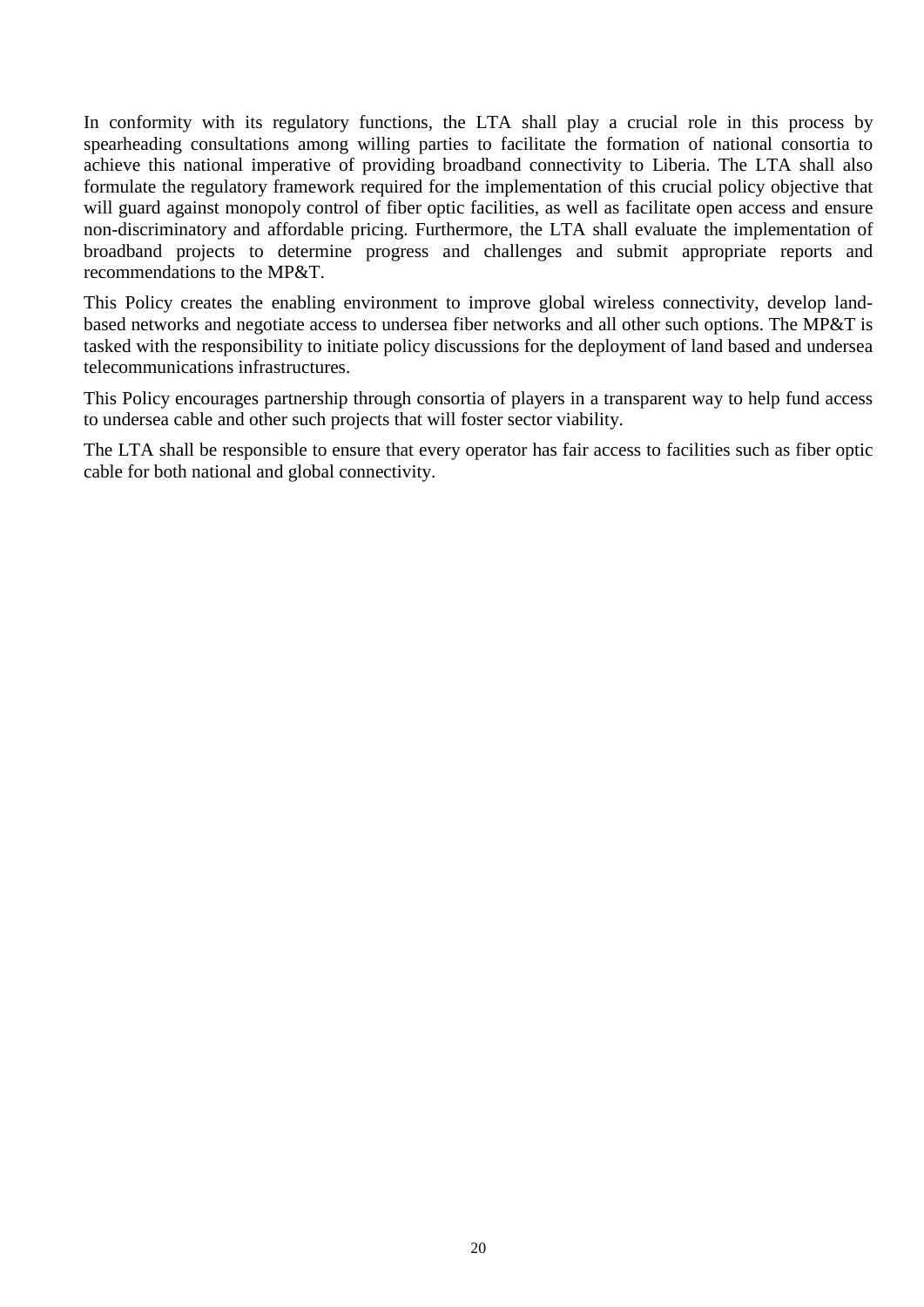In conformity with its regulatory functions, the LTA shall play a crucial role in this process by spearheading consultations among willing parties to facilitate the formation of national consortia to achieve this national imperative of providing broadband connectivity to Liberia. The LTA shall also formulate the regulatory framework required for the implementation of this crucial policy objective that will guard against monopoly control of fiber optic facilities, as well as facilitate open access and ensure non-discriminatory and affordable pricing. Furthermore, the LTA shall evaluate the implementation of broadband projects to determine progress and challenges and submit appropriate reports and recommendations to the MP&T.

This Policy creates the enabling environment to improve global wireless connectivity, develop landbased networks and negotiate access to undersea fiber networks and all other such options. The MP&T is tasked with the responsibility to initiate policy discussions for the deployment of land based and undersea telecommunications infrastructures.

This Policy encourages partnership through consortia of players in a transparent way to help fund access to undersea cable and other such projects that will foster sector viability.

The LTA shall be responsible to ensure that every operator has fair access to facilities such as fiber optic cable for both national and global connectivity.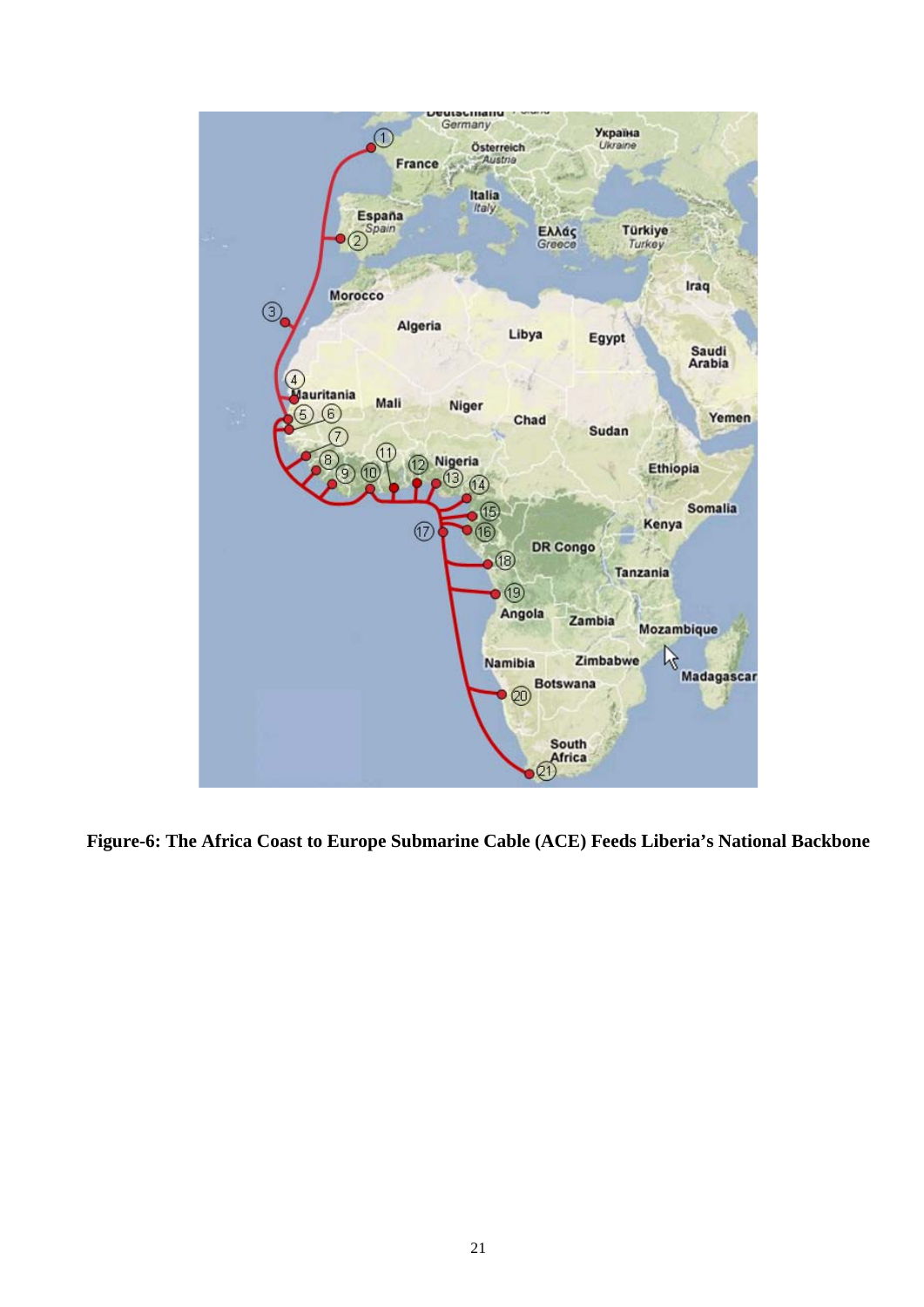

**Figure-6: The Africa Coast to Europe Submarine Cable (ACE) Feeds Liberia's National Backbone**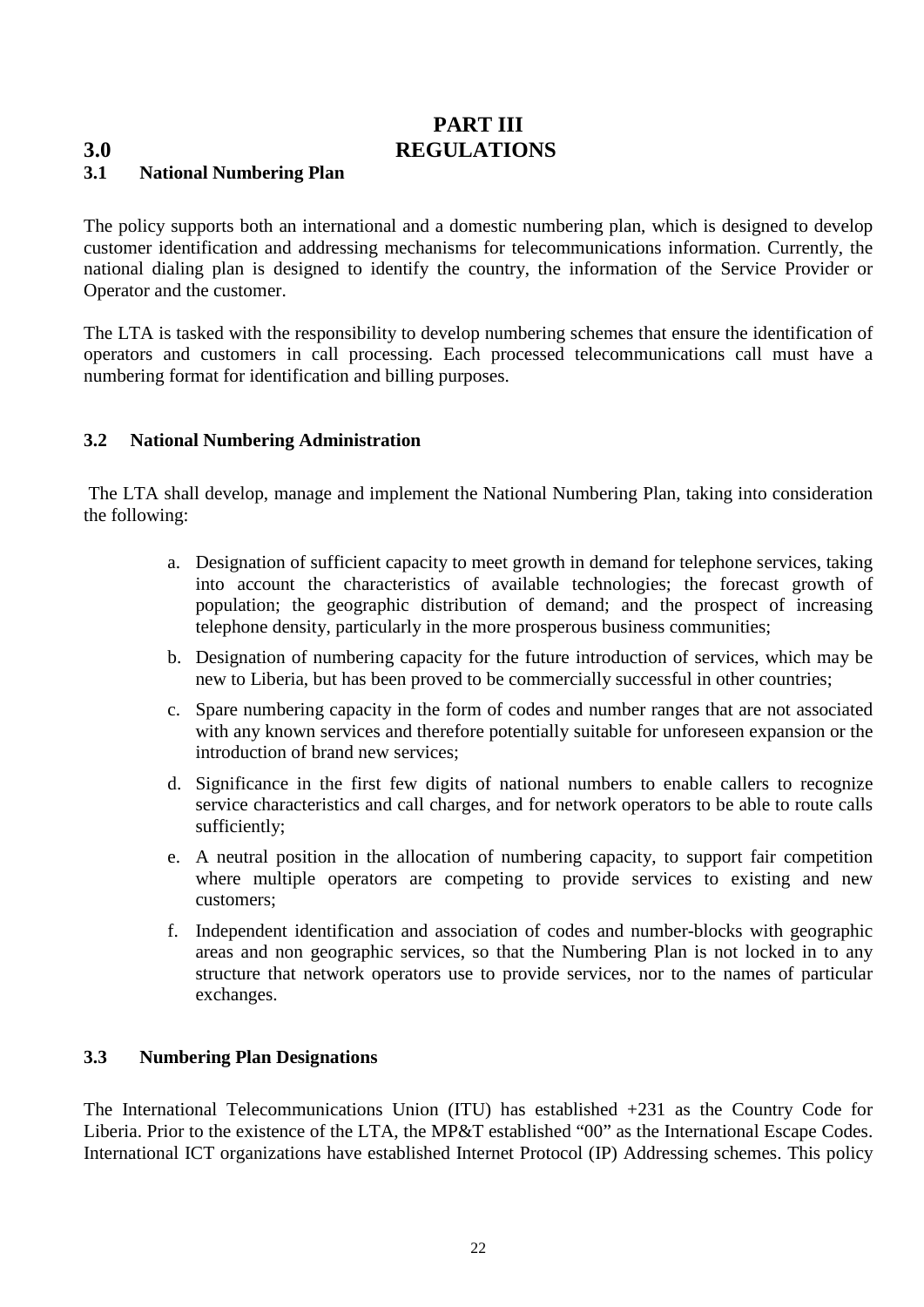**PART III**

# <span id="page-21-0"></span>**3.0 REGULATIONS**

#### <span id="page-21-1"></span>**3.1 National Numbering Plan**

The policy supports both an international and a domestic numbering plan, which is designed to develop customer identification and addressing mechanisms for telecommunications information. Currently, the national dialing plan is designed to identify the country, the information of the Service Provider or Operator and the customer.

The LTA is tasked with the responsibility to develop numbering schemes that ensure the identification of operators and customers in call processing. Each processed telecommunications call must have a numbering format for identification and billing purposes.

#### <span id="page-21-2"></span>**3.2 National Numbering Administration**

The LTA shall develop, manage and implement the National Numbering Plan, taking into consideration the following:

- a. Designation of sufficient capacity to meet growth in demand for telephone services, taking into account the characteristics of available technologies; the forecast growth of population; the geographic distribution of demand; and the prospect of increasing telephone density, particularly in the more prosperous business communities;
- b. Designation of numbering capacity for the future introduction of services, which may be new to Liberia, but has been proved to be commercially successful in other countries;
- c. Spare numbering capacity in the form of codes and number ranges that are not associated with any known services and therefore potentially suitable for unforeseen expansion or the introduction of brand new services;
- d. Significance in the first few digits of national numbers to enable callers to recognize service characteristics and call charges, and for network operators to be able to route calls sufficiently;
- e. A neutral position in the allocation of numbering capacity, to support fair competition where multiple operators are competing to provide services to existing and new customers;
- f. Independent identification and association of codes and number-blocks with geographic areas and non geographic services, so that the Numbering Plan is not locked in to any structure that network operators use to provide services, nor to the names of particular exchanges.

#### <span id="page-21-3"></span>**3.3 Numbering Plan Designations**

The International Telecommunications Union (ITU) has established +231 as the Country Code for Liberia. Prior to the existence of the LTA, the MP&T established "00" as the International Escape Codes. International ICT organizations have established Internet Protocol (IP) Addressing schemes. This policy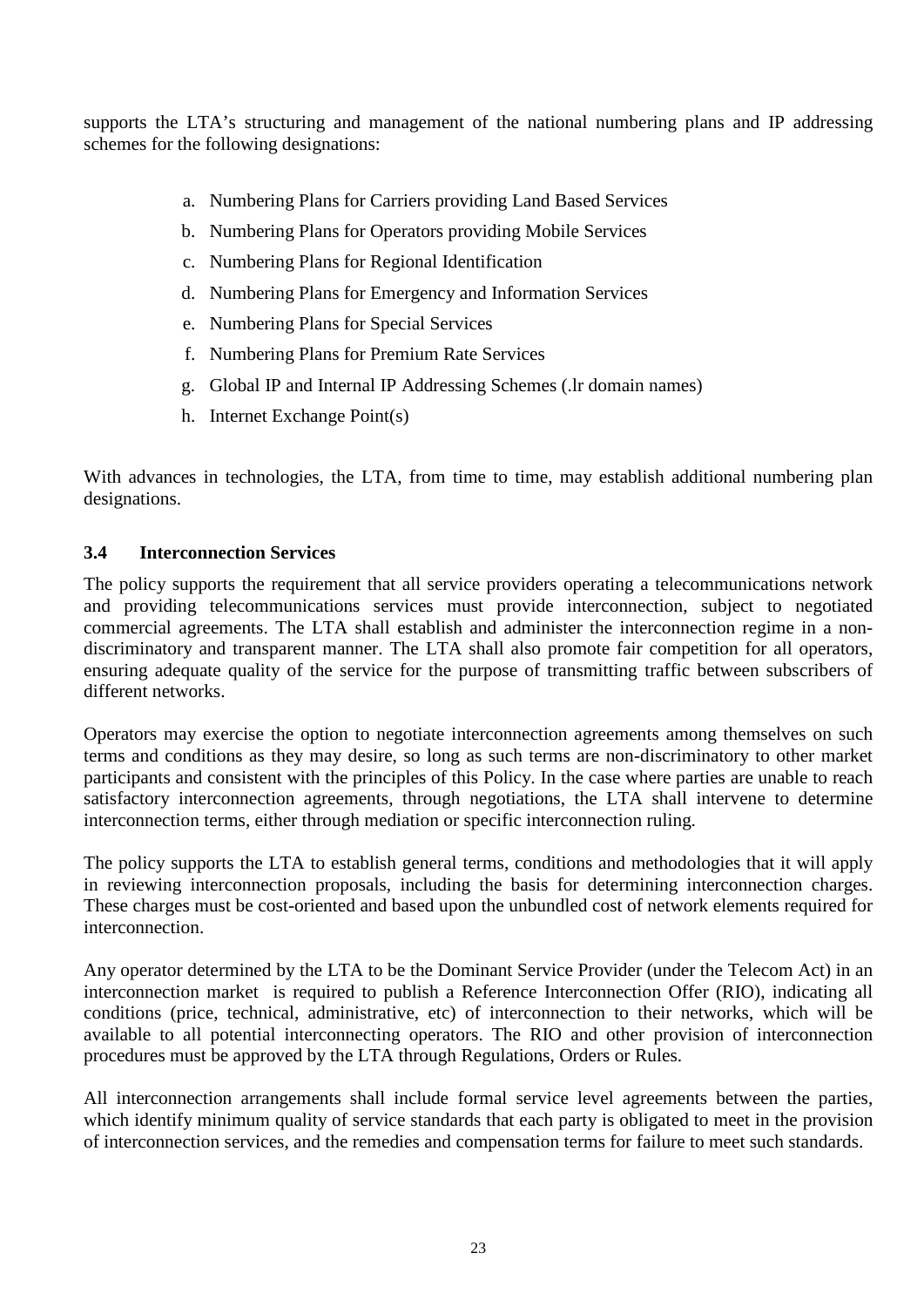supports the LTA's structuring and management of the national numbering plans and IP addressing schemes for the following designations:

- a. Numbering Plans for Carriers providing Land Based Services
- b. Numbering Plans for Operators providing Mobile Services
- c. Numbering Plans for Regional Identification
- d. Numbering Plans for Emergency and Information Services
- e. Numbering Plans for Special Services
- f. Numbering Plans for Premium Rate Services
- g. Global IP and Internal IP Addressing Schemes (.lr domain names)
- h. Internet Exchange Point(s)

With advances in technologies, the LTA, from time to time, may establish additional numbering plan designations.

#### <span id="page-22-0"></span>**3.4 Interconnection Services**

The policy supports the requirement that all service providers operating a telecommunications network and providing telecommunications services must provide interconnection, subject to negotiated commercial agreements. The LTA shall establish and administer the interconnection regime in a nondiscriminatory and transparent manner. The LTA shall also promote fair competition for all operators, ensuring adequate quality of the service for the purpose of transmitting traffic between subscribers of different networks.

Operators may exercise the option to negotiate interconnection agreements among themselves on such terms and conditions as they may desire, so long as such terms are non-discriminatory to other market participants and consistent with the principles of this Policy. In the case where parties are unable to reach satisfactory interconnection agreements, through negotiations, the LTA shall intervene to determine interconnection terms, either through mediation or specific interconnection ruling.

The policy supports the LTA to establish general terms, conditions and methodologies that it will apply in reviewing interconnection proposals, including the basis for determining interconnection charges. These charges must be cost-oriented and based upon the unbundled cost of network elements required for interconnection.

Any operator determined by the LTA to be the Dominant Service Provider (under the Telecom Act) in an interconnection market is required to publish a Reference Interconnection Offer (RIO), indicating all conditions (price, technical, administrative, etc) of interconnection to their networks, which will be available to all potential interconnecting operators. The RIO and other provision of interconnection procedures must be approved by the LTA through Regulations, Orders or Rules.

All interconnection arrangements shall include formal service level agreements between the parties, which identify minimum quality of service standards that each party is obligated to meet in the provision of interconnection services, and the remedies and compensation terms for failure to meet such standards.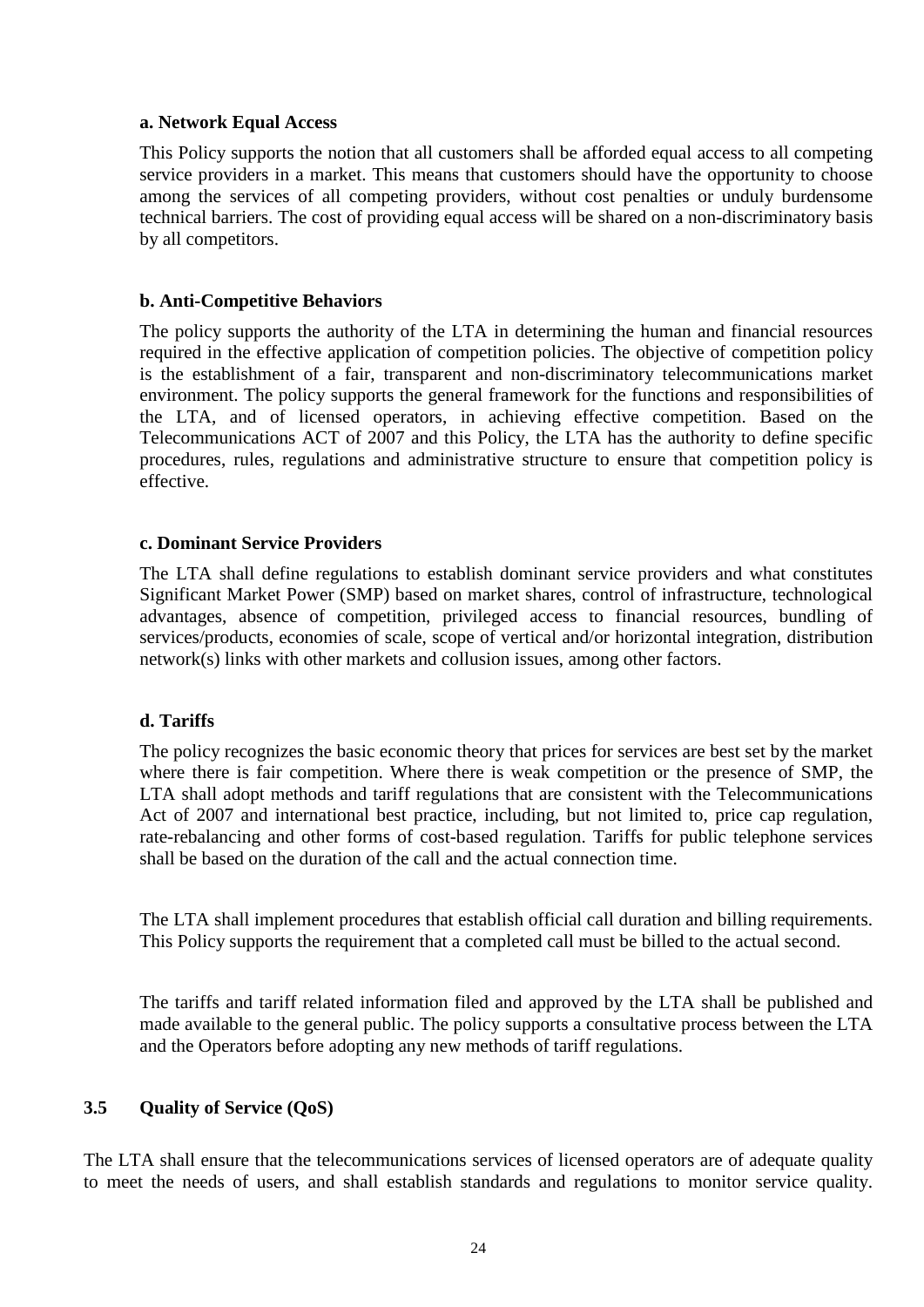#### **a. Network Equal Access**

This Policy supports the notion that all customers shall be afforded equal access to all competing service providers in a market. This means that customers should have the opportunity to choose among the services of all competing providers, without cost penalties or unduly burdensome technical barriers. The cost of providing equal access will be shared on a non-discriminatory basis by all competitors.

#### **b. Anti-Competitive Behaviors**

The policy supports the authority of the LTA in determining the human and financial resources required in the effective application of competition policies. The objective of competition policy is the establishment of a fair, transparent and non-discriminatory telecommunications market environment. The policy supports the general framework for the functions and responsibilities of the LTA, and of licensed operators, in achieving effective competition. Based on the Telecommunications ACT of 2007 and this Policy, the LTA has the authority to define specific procedures, rules, regulations and administrative structure to ensure that competition policy is effective.

#### **c. Dominant Service Providers**

The LTA shall define regulations to establish dominant service providers and what constitutes Significant Market Power (SMP) based on market shares, control of infrastructure, technological advantages, absence of competition, privileged access to financial resources, bundling of services/products, economies of scale, scope of vertical and/or horizontal integration, distribution network(s) links with other markets and collusion issues, among other factors.

#### **d. Tariffs**

The policy recognizes the basic economic theory that prices for services are best set by the market where there is fair competition. Where there is weak competition or the presence of SMP, the LTA shall adopt methods and tariff regulations that are consistent with the Telecommunications Act of 2007 and international best practice, including, but not limited to, price cap regulation, rate-rebalancing and other forms of cost-based regulation. Tariffs for public telephone services shall be based on the duration of the call and the actual connection time.

The LTA shall implement procedures that establish official call duration and billing requirements. This Policy supports the requirement that a completed call must be billed to the actual second.

The tariffs and tariff related information filed and approved by the LTA shall be published and made available to the general public. The policy supports a consultative process between the LTA and the Operators before adopting any new methods of tariff regulations.

#### <span id="page-23-0"></span>**3.5 Quality of Service (QoS)**

The LTA shall ensure that the telecommunications services of licensed operators are of adequate quality to meet the needs of users, and shall establish standards and regulations to monitor service quality.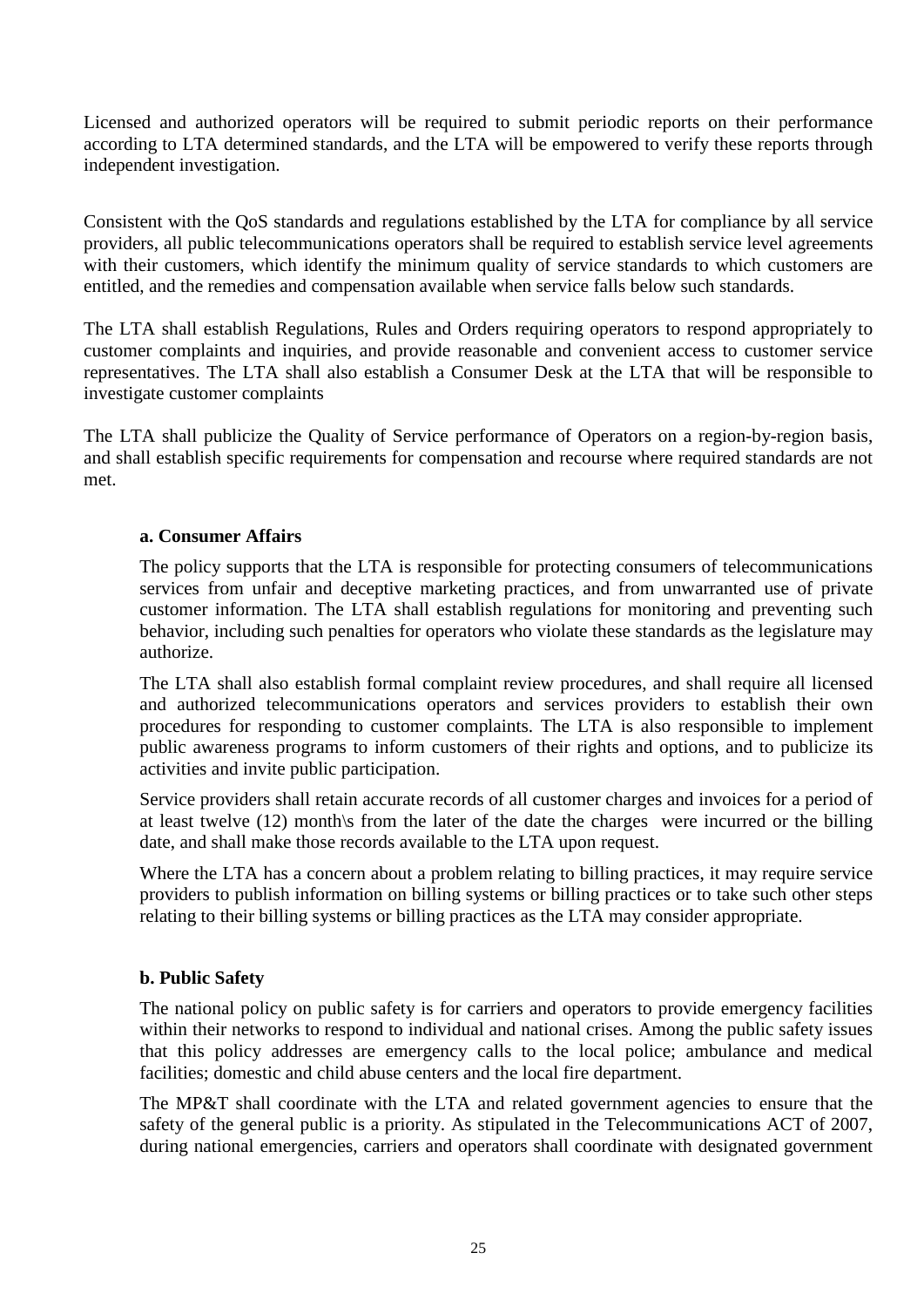Licensed and authorized operators will be required to submit periodic reports on their performance according to LTA determined standards, and the LTA will be empowered to verify these reports through independent investigation.

Consistent with the QoS standards and regulations established by the LTA for compliance by all service providers, all public telecommunications operators shall be required to establish service level agreements with their customers, which identify the minimum quality of service standards to which customers are entitled, and the remedies and compensation available when service falls below such standards.

The LTA shall establish Regulations, Rules and Orders requiring operators to respond appropriately to customer complaints and inquiries, and provide reasonable and convenient access to customer service representatives. The LTA shall also establish a Consumer Desk at the LTA that will be responsible to investigate customer complaints

The LTA shall publicize the Quality of Service performance of Operators on a region-by-region basis, and shall establish specific requirements for compensation and recourse where required standards are not met.

#### **a. Consumer Affairs**

The policy supports that the LTA is responsible for protecting consumers of telecommunications services from unfair and deceptive marketing practices, and from unwarranted use of private customer information. The LTA shall establish regulations for monitoring and preventing such behavior, including such penalties for operators who violate these standards as the legislature may authorize.

The LTA shall also establish formal complaint review procedures, and shall require all licensed and authorized telecommunications operators and services providers to establish their own procedures for responding to customer complaints. The LTA is also responsible to implement public awareness programs to inform customers of their rights and options, and to publicize its activities and invite public participation.

Service providers shall retain accurate records of all customer charges and invoices for a period of at least twelve (12) month\s from the later of the date the charges were incurred or the billing date, and shall make those records available to the LTA upon request.

Where the LTA has a concern about a problem relating to billing practices, it may require service providers to publish information on billing systems or billing practices or to take such other steps relating to their billing systems or billing practices as the LTA may consider appropriate.

#### **b. Public Safety**

The national policy on public safety is for carriers and operators to provide emergency facilities within their networks to respond to individual and national crises. Among the public safety issues that this policy addresses are emergency calls to the local police; ambulance and medical facilities; domestic and child abuse centers and the local fire department.

The MP&T shall coordinate with the LTA and related government agencies to ensure that the safety of the general public is a priority. As stipulated in the Telecommunications ACT of 2007, during national emergencies, carriers and operators shall coordinate with designated government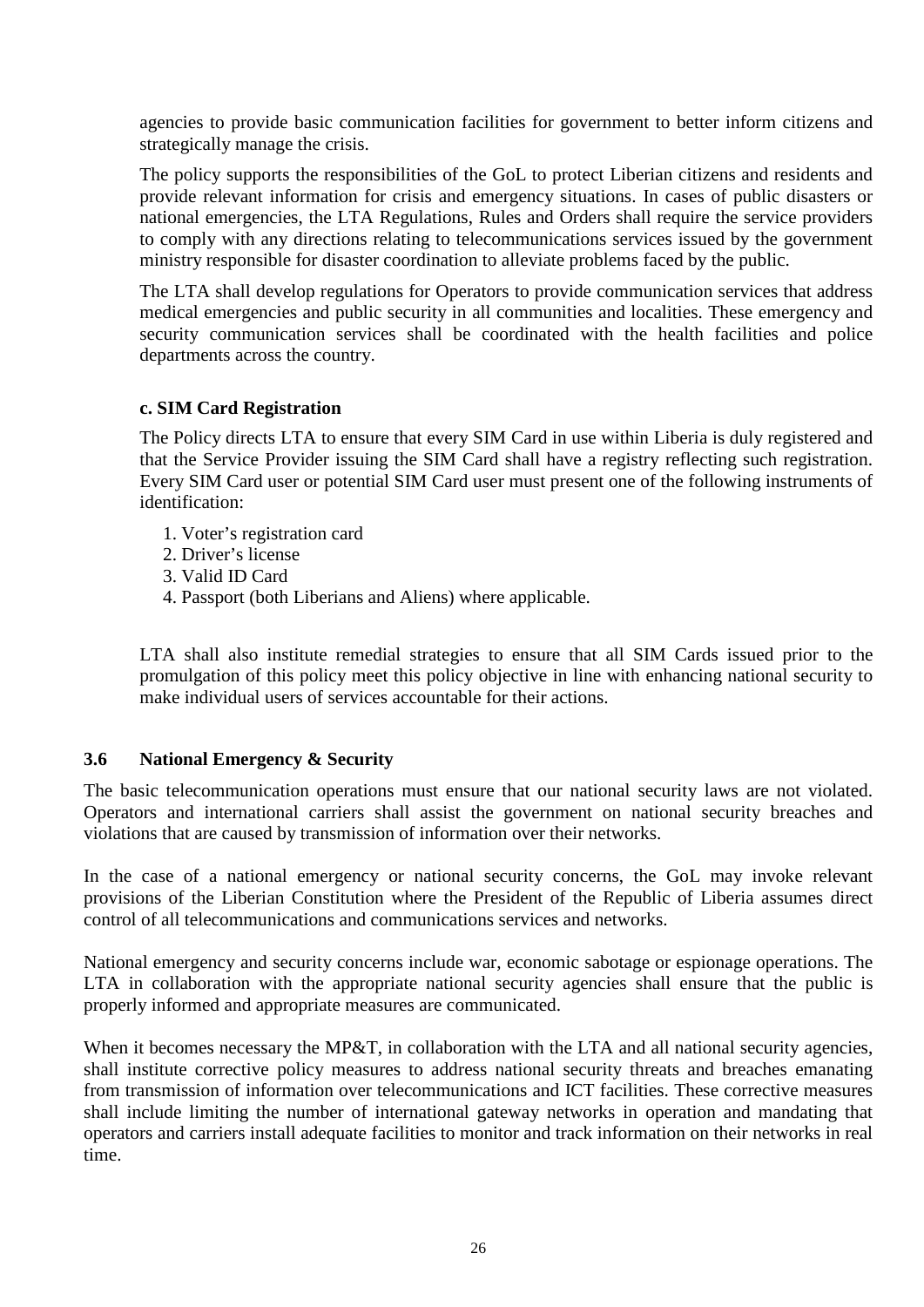agencies to provide basic communication facilities for government to better inform citizens and strategically manage the crisis.

The policy supports the responsibilities of the GoL to protect Liberian citizens and residents and provide relevant information for crisis and emergency situations. In cases of public disasters or national emergencies, the LTA Regulations, Rules and Orders shall require the service providers to comply with any directions relating to telecommunications services issued by the government ministry responsible for disaster coordination to alleviate problems faced by the public.

The LTA shall develop regulations for Operators to provide communication services that address medical emergencies and public security in all communities and localities. These emergency and security communication services shall be coordinated with the health facilities and police departments across the country.

#### **c. SIM Card Registration**

The Policy directs LTA to ensure that every SIM Card in use within Liberia is duly registered and that the Service Provider issuing the SIM Card shall have a registry reflecting such registration. Every SIM Card user or potential SIM Card user must present one of the following instruments of identification:

- 1. Voter's registration card
- 2. Driver's license
- 3. Valid ID Card
- 4. Passport (both Liberians and Aliens) where applicable.

LTA shall also institute remedial strategies to ensure that all SIM Cards issued prior to the promulgation of this policy meet this policy objective in line with enhancing national security to make individual users of services accountable for their actions.

#### <span id="page-25-0"></span>**3.6 National Emergency & Security**

The basic telecommunication operations must ensure that our national security laws are not violated. Operators and international carriers shall assist the government on national security breaches and violations that are caused by transmission of information over their networks.

In the case of a national emergency or national security concerns, the GoL may invoke relevant provisions of the Liberian Constitution where the President of the Republic of Liberia assumes direct control of all telecommunications and communications services and networks.

National emergency and security concerns include war, economic sabotage or espionage operations. The LTA in collaboration with the appropriate national security agencies shall ensure that the public is properly informed and appropriate measures are communicated.

When it becomes necessary the MP&T, in collaboration with the LTA and all national security agencies, shall institute corrective policy measures to address national security threats and breaches emanating from transmission of information over telecommunications and ICT facilities. These corrective measures shall include limiting the number of international gateway networks in operation and mandating that operators and carriers install adequate facilities to monitor and track information on their networks in real time.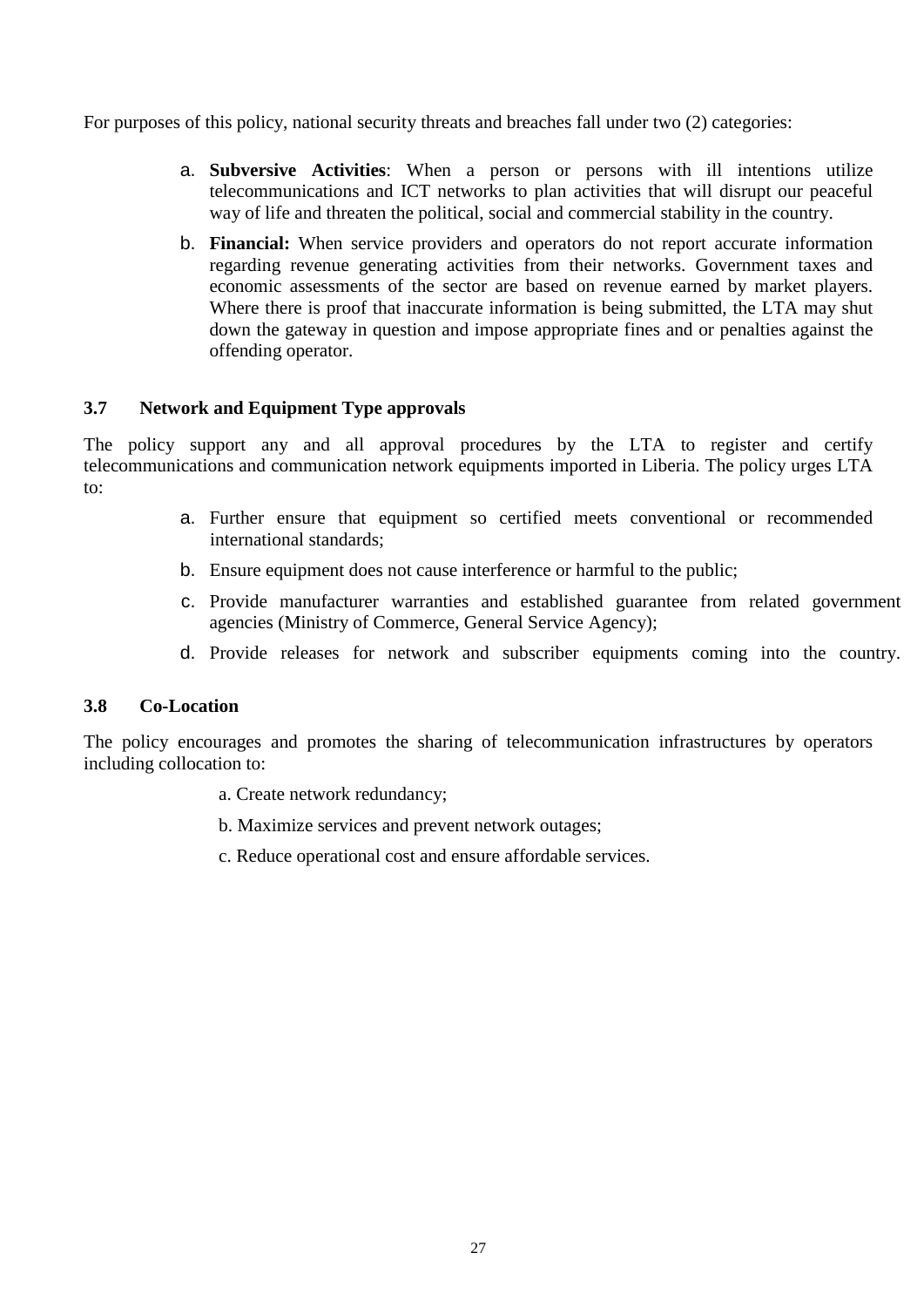For purposes of this policy, national security threats and breaches fall under two (2) categories:

- a. **Subversive Activities**: When a person or persons with ill intentions utilize telecommunications and ICT networks to plan activities that will disrupt our peaceful way of life and threaten the political, social and commercial stability in the country.
- b. **Financial:** When service providers and operators do not report accurate information regarding revenue generating activities from their networks. Government taxes and economic assessments of the sector are based on revenue earned by market players. Where there is proof that inaccurate information is being submitted, the LTA may shut down the gateway in question and impose appropriate fines and or penalties against the offending operator.

#### <span id="page-26-0"></span>**3.7 Network and Equipment Type approvals**

The policy support any and all approval procedures by the LTA to register and certify telecommunications and communication network equipments imported in Liberia. The policy urges LTA to:

- a. Further ensure that equipment so certified meets conventional or recommended international standards;
- b. Ensure equipment does not cause interference or harmful to the public;
- c. Provide manufacturer warranties and established guarantee from related government agencies (Ministry of Commerce, General Service Agency);
- d. Provide releases for network and subscriber equipments coming into the country.

#### <span id="page-26-1"></span>**3.8 Co-Location**

The policy encourages and promotes the sharing of telecommunication infrastructures by operators including collocation to:

- a. Create network redundancy;
- b. Maximize services and prevent network outages;
- c. Reduce operational cost and ensure affordable services.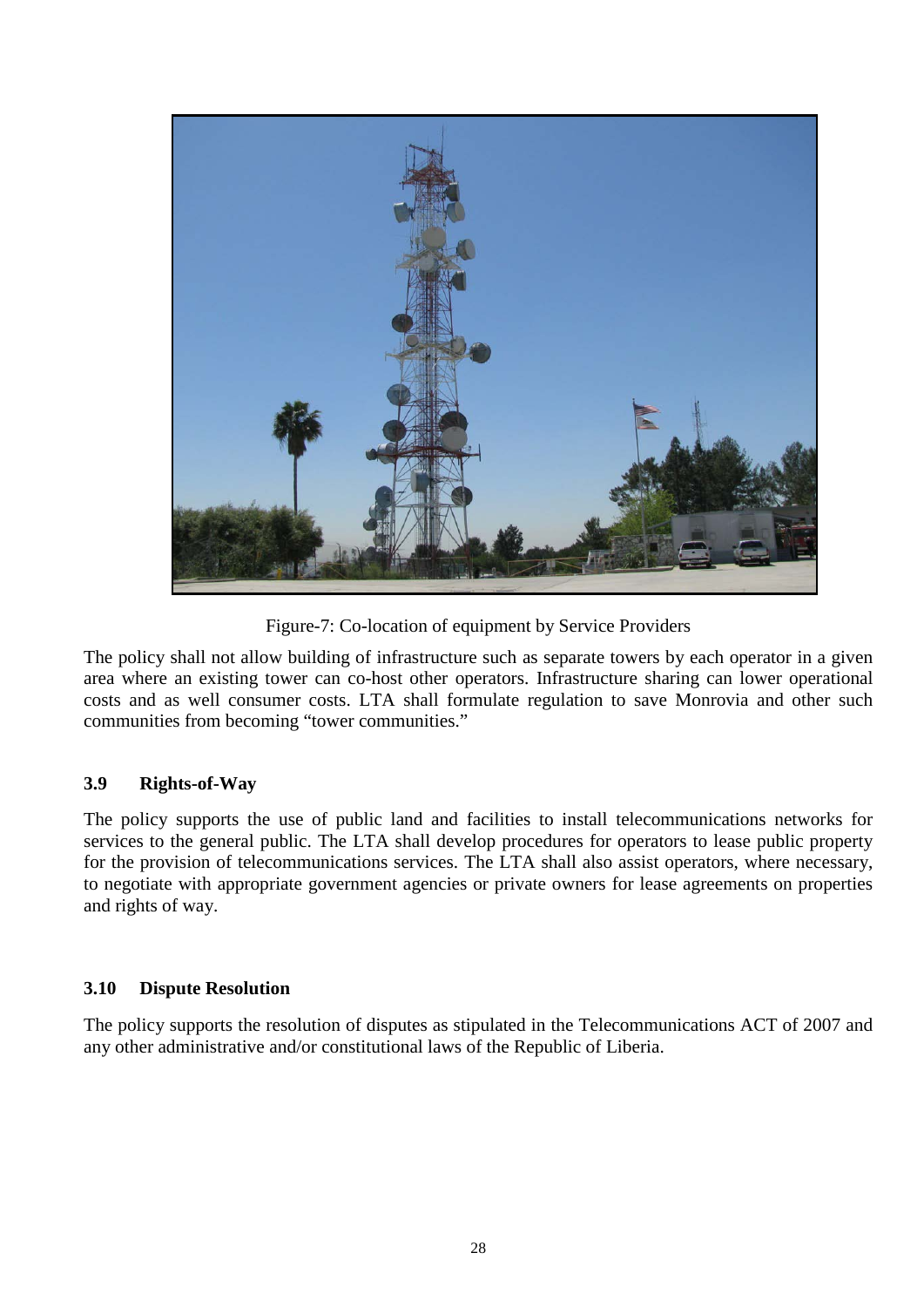

Figure-7: Co-location of equipment by Service Providers

The policy shall not allow building of infrastructure such as separate towers by each operator in a given area where an existing tower can co-host other operators. Infrastructure sharing can lower operational costs and as well consumer costs. LTA shall formulate regulation to save Monrovia and other such communities from becoming "tower communities."

#### <span id="page-27-0"></span>**3.9 Rights-of-Way**

The policy supports the use of public land and facilities to install telecommunications networks for services to the general public. The LTA shall develop procedures for operators to lease public property for the provision of telecommunications services. The LTA shall also assist operators, where necessary, to negotiate with appropriate government agencies or private owners for lease agreements on properties and rights of way.

#### <span id="page-27-1"></span>**3.10 Dispute Resolution**

The policy supports the resolution of disputes as stipulated in the Telecommunications ACT of 2007 and any other administrative and/or constitutional laws of the Republic of Liberia.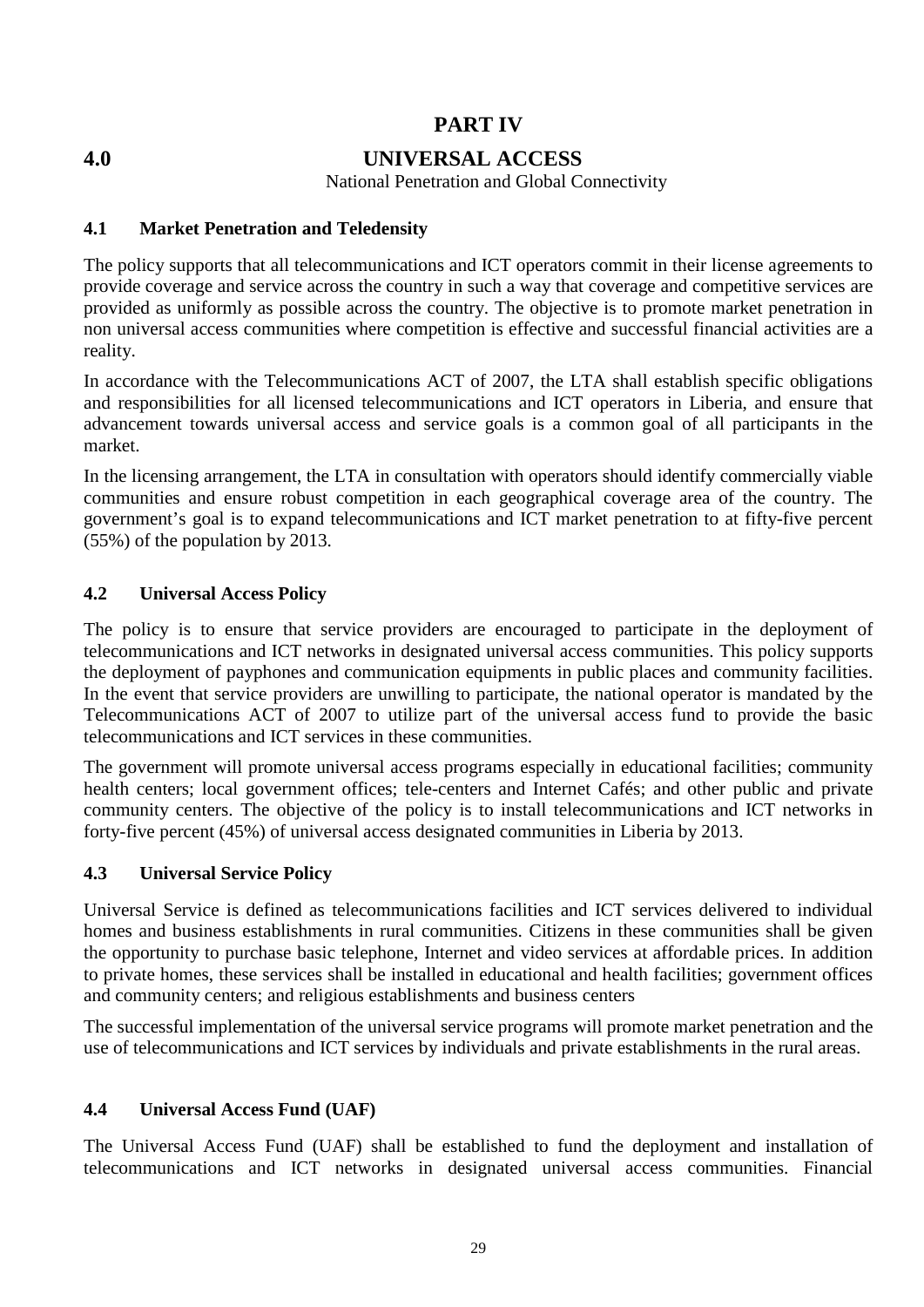# **PART IV**

<span id="page-28-0"></span>

# **4.0 UNIVERSAL ACCESS**

National Penetration and Global Connectivity

#### <span id="page-28-1"></span>**4.1 Market Penetration and Teledensity**

The policy supports that all telecommunications and ICT operators commit in their license agreements to provide coverage and service across the country in such a way that coverage and competitive services are provided as uniformly as possible across the country. The objective is to promote market penetration in non universal access communities where competition is effective and successful financial activities are a reality.

In accordance with the Telecommunications ACT of 2007, the LTA shall establish specific obligations and responsibilities for all licensed telecommunications and ICT operators in Liberia, and ensure that advancement towards universal access and service goals is a common goal of all participants in the market.

In the licensing arrangement, the LTA in consultation with operators should identify commercially viable communities and ensure robust competition in each geographical coverage area of the country. The government's goal is to expand telecommunications and ICT market penetration to at fifty-five percent (55%) of the population by 2013.

#### <span id="page-28-2"></span>**4.2 Universal Access Policy**

The policy is to ensure that service providers are encouraged to participate in the deployment of telecommunications and ICT networks in designated universal access communities. This policy supports the deployment of payphones and communication equipments in public places and community facilities. In the event that service providers are unwilling to participate, the national operator is mandated by the Telecommunications ACT of 2007 to utilize part of the universal access fund to provide the basic telecommunications and ICT services in these communities.

The government will promote universal access programs especially in educational facilities; community health centers; local government offices; tele-centers and Internet Cafés; and other public and private community centers. The objective of the policy is to install telecommunications and ICT networks in forty-five percent (45%) of universal access designated communities in Liberia by 2013.

#### <span id="page-28-3"></span>**4.3 Universal Service Policy**

Universal Service is defined as telecommunications facilities and ICT services delivered to individual homes and business establishments in rural communities. Citizens in these communities shall be given the opportunity to purchase basic telephone, Internet and video services at affordable prices. In addition to private homes, these services shall be installed in educational and health facilities; government offices and community centers; and religious establishments and business centers

The successful implementation of the universal service programs will promote market penetration and the use of telecommunications and ICT services by individuals and private establishments in the rural areas.

## <span id="page-28-4"></span>**4.4 Universal Access Fund (UAF)**

The Universal Access Fund (UAF) shall be established to fund the deployment and installation of telecommunications and ICT networks in designated universal access communities. Financial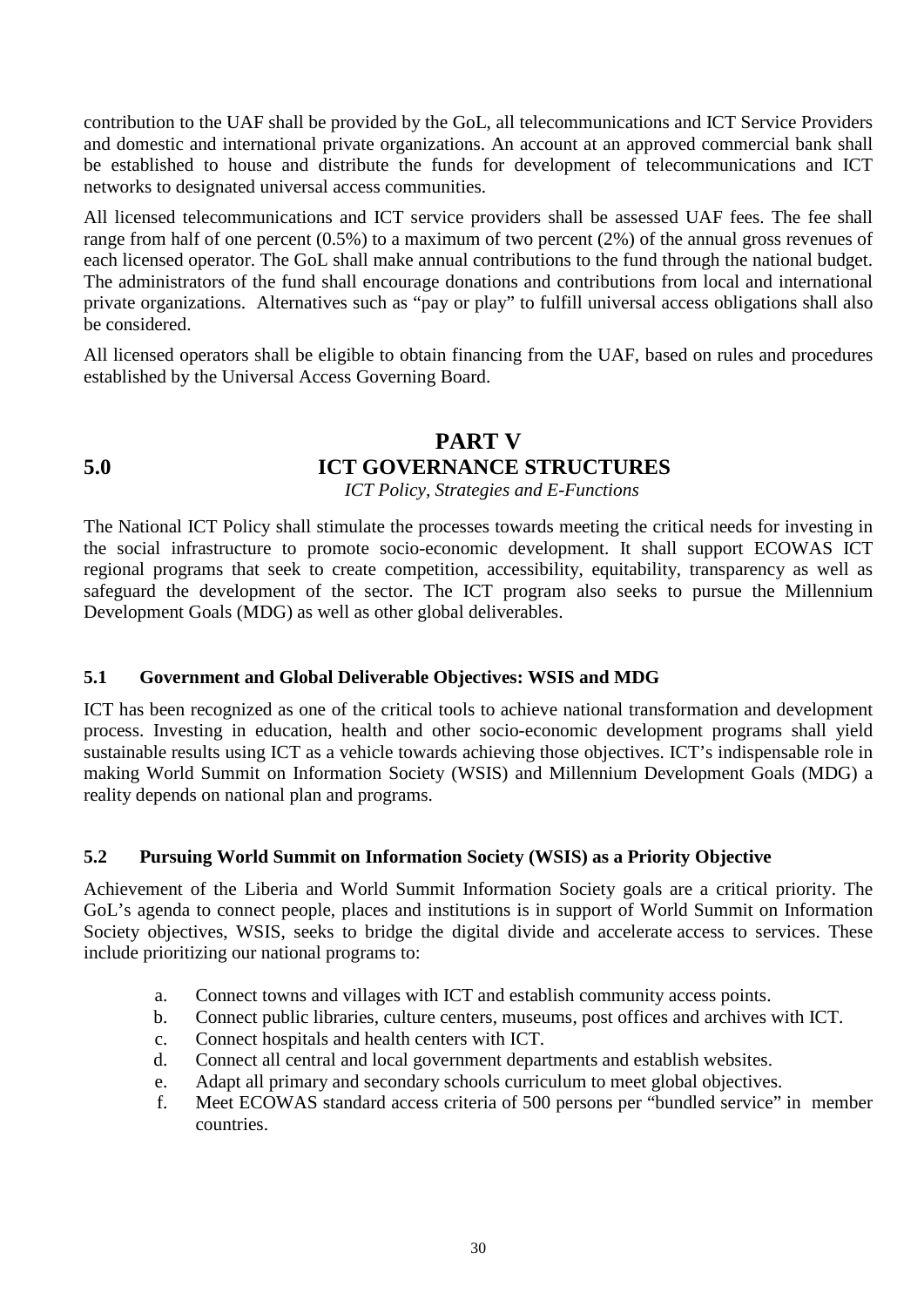contribution to the UAF shall be provided by the GoL, all telecommunications and ICT Service Providers and domestic and international private organizations. An account at an approved commercial bank shall be established to house and distribute the funds for development of telecommunications and ICT networks to designated universal access communities.

All licensed telecommunications and ICT service providers shall be assessed UAF fees. The fee shall range from half of one percent (0.5%) to a maximum of two percent (2%) of the annual gross revenues of each licensed operator. The GoL shall make annual contributions to the fund through the national budget. The administrators of the fund shall encourage donations and contributions from local and international private organizations. Alternatives such as "pay or play" to fulfill universal access obligations shall also be considered.

All licensed operators shall be eligible to obtain financing from the UAF, based on rules and procedures established by the Universal Access Governing Board.

**PART V**

# <span id="page-29-0"></span>**5.0 ICT GOVERNANCE STRUCTURES**

<span id="page-29-1"></span> *ICT Policy, Strategies and E-Functions*

The National ICT Policy shall stimulate the processes towards meeting the critical needs for investing in the social infrastructure to promote socio-economic development. It shall support ECOWAS ICT regional programs that seek to create competition, accessibility, equitability, transparency as well as safeguard the development of the sector. The ICT program also seeks to pursue the Millennium Development Goals (MDG) as well as other global deliverables.

#### <span id="page-29-2"></span>**5.1 Government and Global Deliverable Objectives: WSIS and MDG**

ICT has been recognized as one of the critical tools to achieve national transformation and development process. Investing in education, health and other socio-economic development programs shall yield sustainable results using ICT as a vehicle towards achieving those objectives. ICT's indispensable role in making World Summit on Information Society (WSIS) and Millennium Development Goals (MDG) a reality depends on national plan and programs.

#### <span id="page-29-3"></span>**5.2 Pursuing World Summit on Information Society (WSIS) as a Priority Objective**

Achievement of the Liberia and World Summit Information Society goals are a critical priority. The GoL's agenda to connect people, places and institutions is in support of World Summit on Information Society objectives, WSIS, seeks to bridge the digital divide and accelerate access to services. These include prioritizing our national programs to:

- a. Connect towns and villages with ICT and establish community access points.
- b. Connect public libraries, culture centers, museums, post offices and archives with ICT.
- c. Connect hospitals and health centers with ICT.
- d. Connect all central and local government departments and establish websites.
- e. Adapt all primary and secondary schools curriculum to meet global objectives.
- f. Meet ECOWAS standard access criteria of 500 persons per "bundled service" in member countries.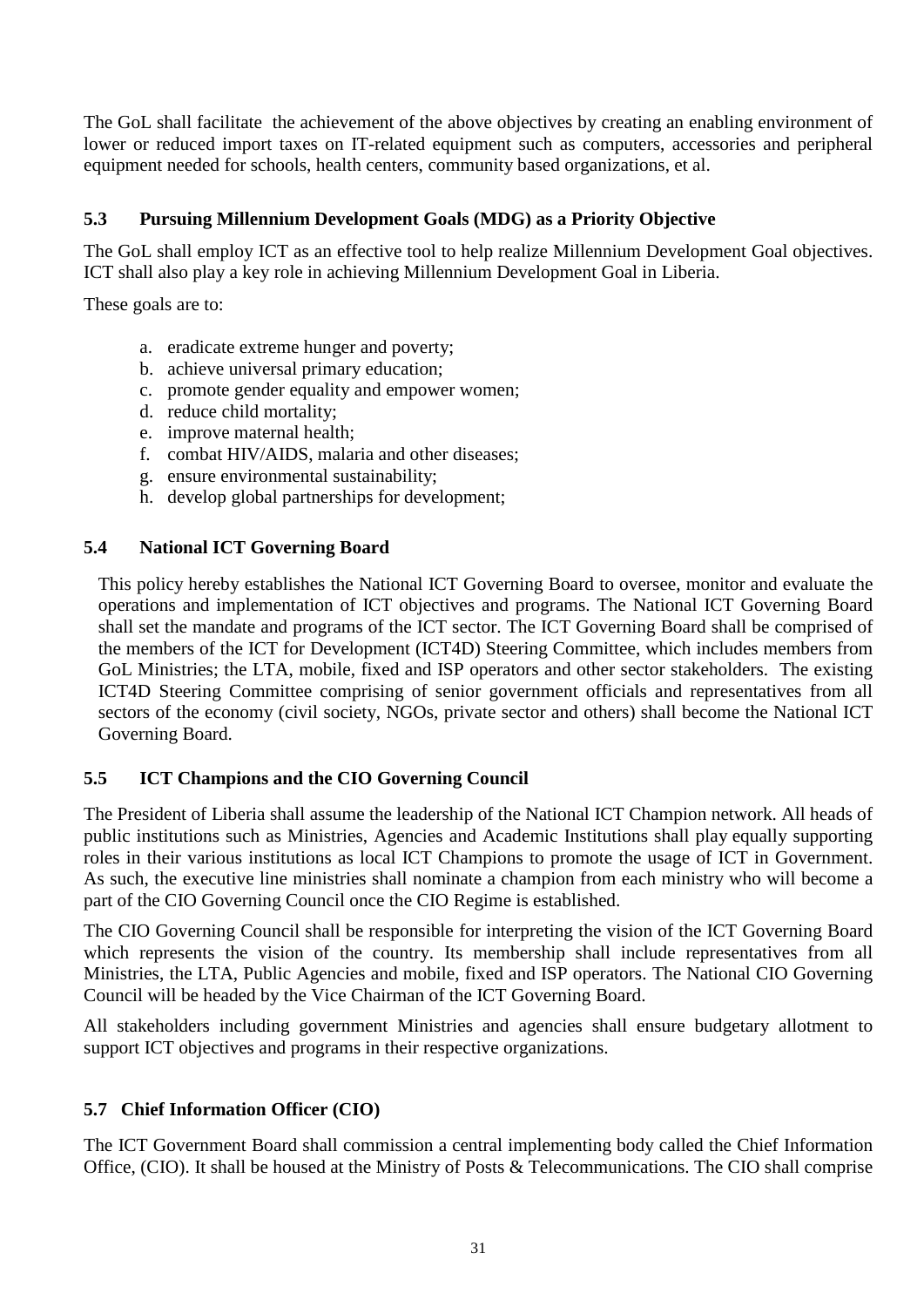The GoL shall facilitate the achievement of the above objectives by creating an enabling environment of lower or reduced import taxes on IT-related equipment such as computers, accessories and peripheral equipment needed for schools, health centers, community based organizations, et al.

#### <span id="page-30-0"></span>**5.3 Pursuing Millennium Development Goals (MDG) as a Priority Objective**

The GoL shall employ ICT as an effective tool to help realize Millennium Development Goal objectives. ICT shall also play a key role in achieving Millennium Development Goal in Liberia.

These goals are to:

- a. eradicate extreme hunger and poverty;
- b. achieve universal primary education;
- c. promote gender equality and empower women;
- d. reduce child mortality;
- e. improve maternal health;
- f. combat HIV/AIDS, malaria and other diseases;
- g. ensure environmental sustainability;
- h. develop global partnerships for development;

#### <span id="page-30-1"></span>**5.4 National ICT Governing Board**

 This policy hereby establishes the National ICT Governing Board to oversee, monitor and evaluate the operations and implementation of ICT objectives and programs. The National ICT Governing Board shall set the mandate and programs of the ICT sector. The ICT Governing Board shall be comprised of the members of the ICT for Development (ICT4D) Steering Committee, which includes members from GoL Ministries; the LTA, mobile, fixed and ISP operators and other sector stakeholders. The existing ICT4D Steering Committee comprising of senior government officials and representatives from all sectors of the economy (civil society, NGOs, private sector and others) shall become the National ICT Governing Board.

#### <span id="page-30-2"></span>**5.5 ICT Champions and the CIO Governing Council**

The President of Liberia shall assume the leadership of the National ICT Champion network. All heads of public institutions such as Ministries, Agencies and Academic Institutions shall play equally supporting roles in their various institutions as local ICT Champions to promote the usage of ICT in Government. As such, the executive line ministries shall nominate a champion from each ministry who will become a part of the CIO Governing Council once the CIO Regime is established.

The CIO Governing Council shall be responsible for interpreting the vision of the ICT Governing Board which represents the vision of the country. Its membership shall include representatives from all Ministries, the LTA, Public Agencies and mobile, fixed and ISP operators. The National CIO Governing Council will be headed by the Vice Chairman of the ICT Governing Board.

All stakeholders including government Ministries and agencies shall ensure budgetary allotment to support ICT objectives and programs in their respective organizations.

#### <span id="page-30-3"></span>**5.7 Chief Information Officer (CIO)**

The ICT Government Board shall commission a central implementing body called the Chief Information Office, (CIO). It shall be housed at the Ministry of Posts & Telecommunications. The CIO shall comprise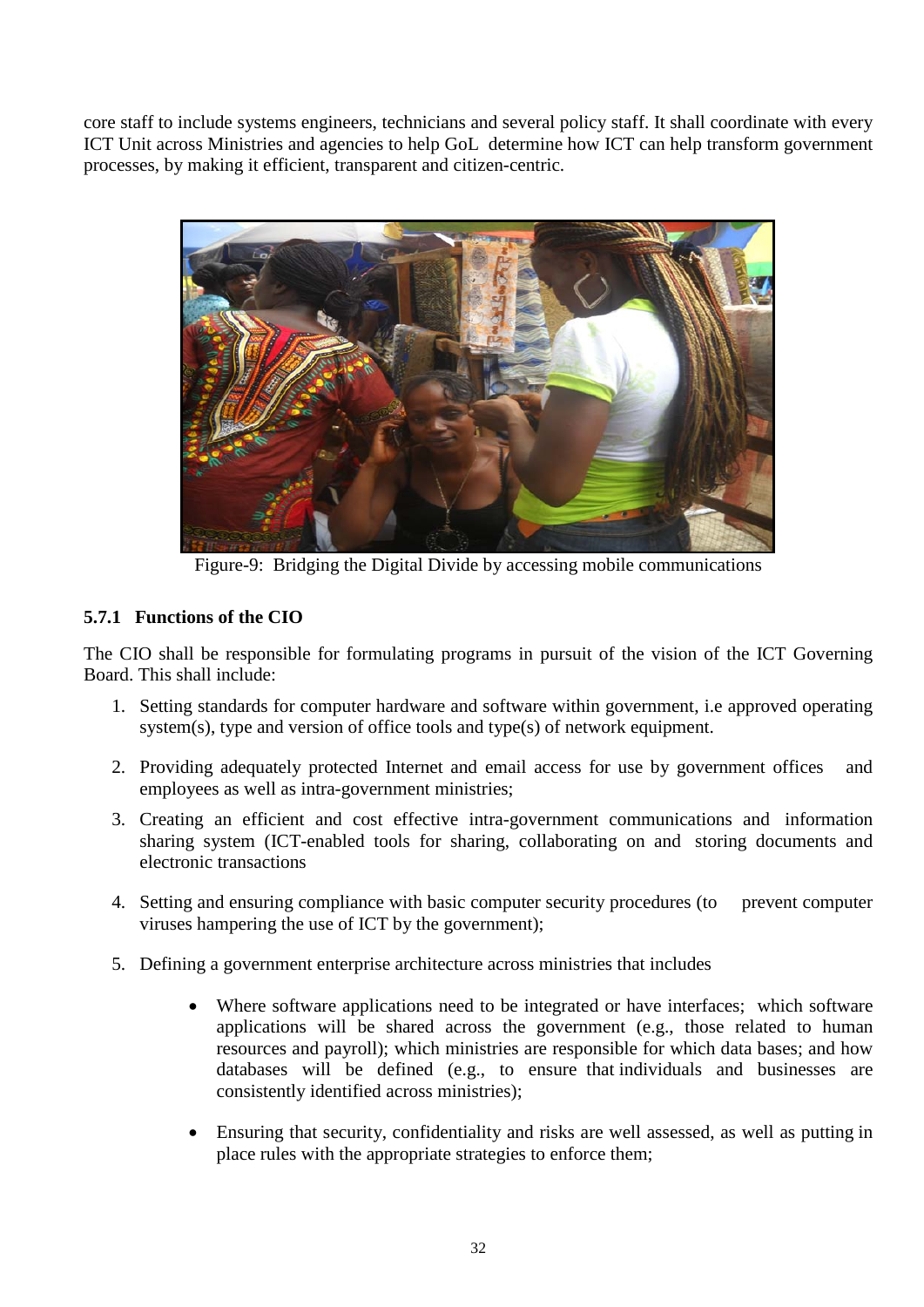core staff to include systems engineers, technicians and several policy staff. It shall coordinate with every ICT Unit across Ministries and agencies to help GoL determine how ICT can help transform government processes, by making it efficient, transparent and citizen-centric.



Figure-9: Bridging the Digital Divide by accessing mobile communications

## <span id="page-31-0"></span>**5.7.1 Functions of the CIO**

The CIO shall be responsible for formulating programs in pursuit of the vision of the ICT Governing Board. This shall include:

- 1. Setting standards for computer hardware and software within government, i.e approved operating system(s), type and version of office tools and type(s) of network equipment.
- 2. Providing adequately protected Internet and email access for use by government offices and employees as well as intra-government ministries;
- 3. Creating an efficient and cost effective intra-government communications and information sharing system (ICT-enabled tools for sharing, collaborating on and storing documents and electronic transactions
- 4. Setting and ensuring compliance with basic computer security procedures (to prevent computer viruses hampering the use of ICT by the government);
- 5. Defining a government enterprise architecture across ministries that includes
	- Where software applications need to be integrated or have interfaces; which software applications will be shared across the government (e.g., those related to human resources and payroll); which ministries are responsible for which data bases; and how databases will be defined (e.g., to ensure that individuals and businesses are consistently identified across ministries);
	- Ensuring that security, confidentiality and risks are well assessed, as well as putting in place rules with the appropriate strategies to enforce them;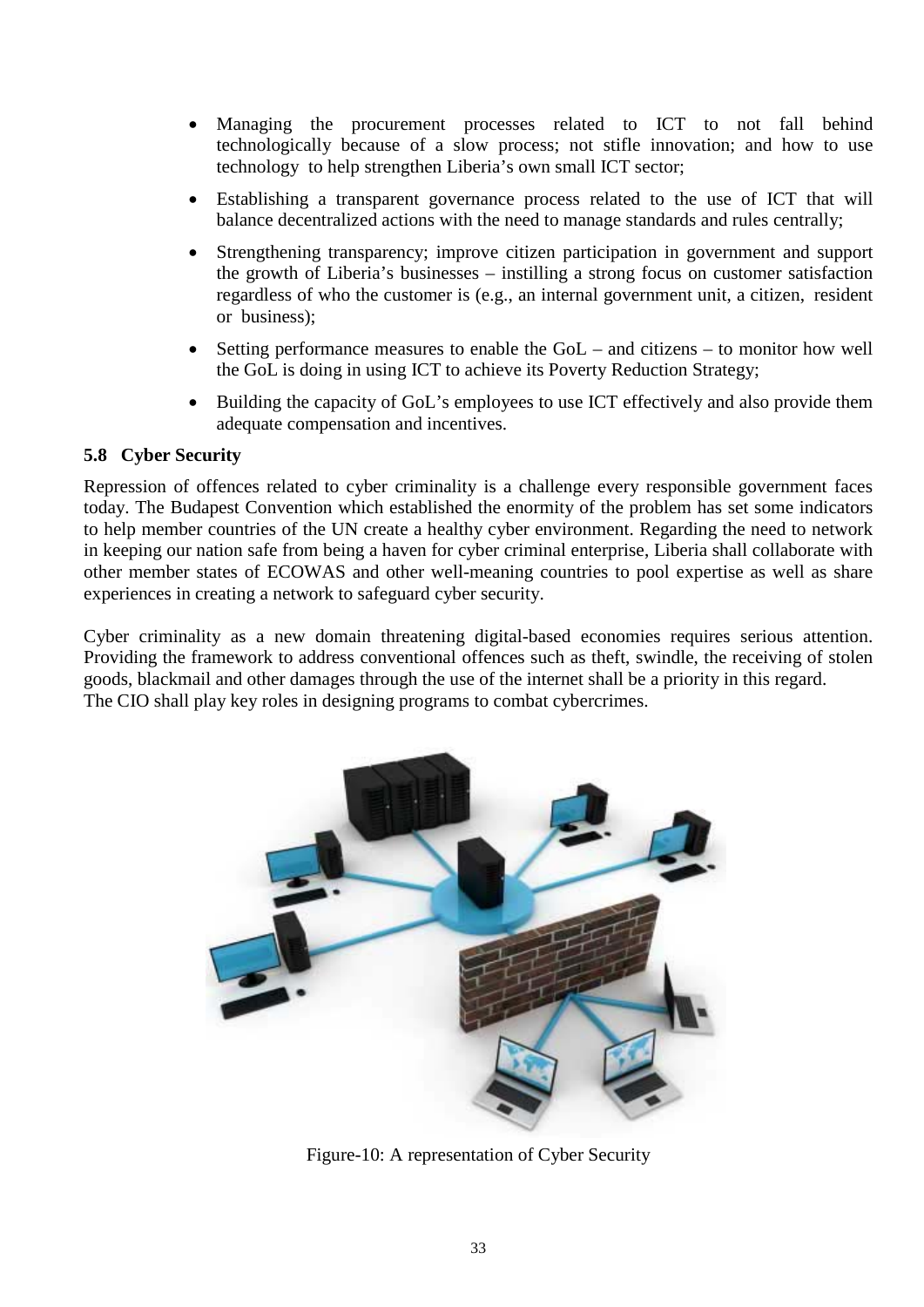- Managing the procurement processes related to ICT to not fall behind technologically because of a slow process; not stifle innovation; and how to use technology to help strengthen Liberia's own small ICT sector;
- Establishing a transparent governance process related to the use of ICT that will balance decentralized actions with the need to manage standards and rules centrally;
- Strengthening transparency; improve citizen participation in government and support the growth of Liberia's businesses – instilling a strong focus on customer satisfaction regardless of who the customer is (e.g., an internal government unit, a citizen, resident or business);
- Setting performance measures to enable the GoL and citizens to monitor how well the GoL is doing in using ICT to achieve its Poverty Reduction Strategy;
- Building the capacity of GoL's employees to use ICT effectively and also provide them adequate compensation and incentives.

#### <span id="page-32-0"></span>**5.8 Cyber Security**

Repression of offences related to cyber criminality is a challenge every responsible government faces today. The Budapest Convention which established the enormity of the problem has set some indicators to help member countries of the UN create a healthy cyber environment. Regarding the need to network in keeping our nation safe from being a haven for cyber criminal enterprise, Liberia shall collaborate with other member states of ECOWAS and other well-meaning countries to pool expertise as well as share experiences in creating a network to safeguard cyber security.

Cyber criminality as a new domain threatening digital-based economies requires serious attention. Providing the framework to address conventional offences such as theft, swindle, the receiving of stolen goods, blackmail and other damages through the use of the internet shall be a priority in this regard. The CIO shall play key roles in designing programs to combat cybercrimes.



Figure-10: A representation of Cyber Security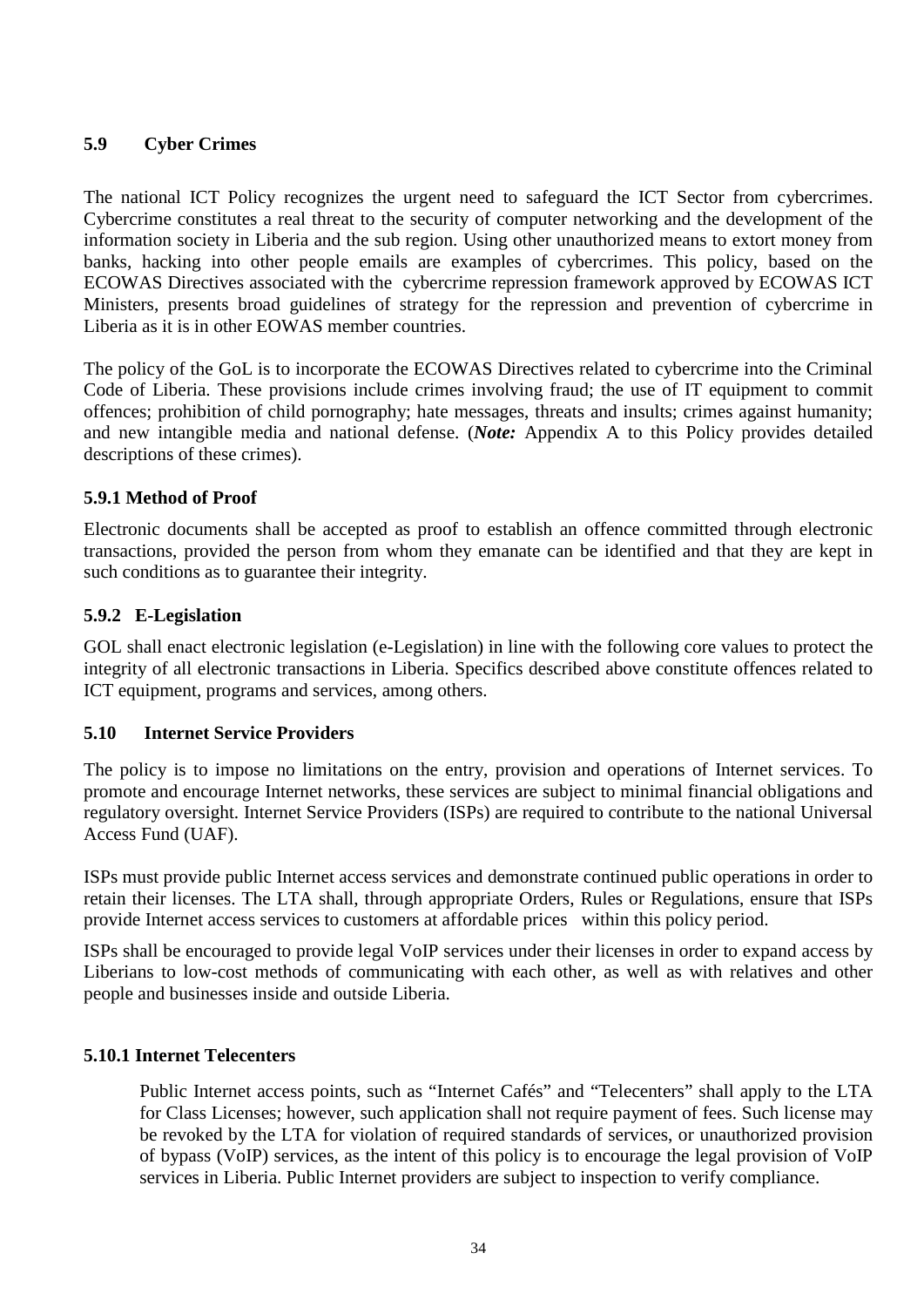#### <span id="page-33-0"></span>**5.9 Cyber Crimes**

The national ICT Policy recognizes the urgent need to safeguard the ICT Sector from cybercrimes. Cybercrime constitutes a real threat to the security of computer networking and the development of the information society in Liberia and the sub region. Using other unauthorized means to extort money from banks, hacking into other people emails are examples of cybercrimes. This policy, based on the ECOWAS Directives associated with the cybercrime repression framework approved by ECOWAS ICT Ministers, presents broad guidelines of strategy for the repression and prevention of cybercrime in Liberia as it is in other EOWAS member countries.

The policy of the GoL is to incorporate the ECOWAS Directives related to cybercrime into the Criminal Code of Liberia. These provisions include crimes involving fraud; the use of IT equipment to commit offences; prohibition of child pornography; hate messages, threats and insults; crimes against humanity; and new intangible media and national defense. (*Note:* Appendix A to this Policy provides detailed descriptions of these crimes).

#### <span id="page-33-1"></span>**5.9.1 Method of Proof**

Electronic documents shall be accepted as proof to establish an offence committed through electronic transactions, provided the person from whom they emanate can be identified and that they are kept in such conditions as to guarantee their integrity.

#### <span id="page-33-2"></span>**5.9.2 E-Legislation**

GOL shall enact electronic legislation (e-Legislation) in line with the following core values to protect the integrity of all electronic transactions in Liberia. Specifics described above constitute offences related to ICT equipment, programs and services, among others.

#### <span id="page-33-3"></span>**5.10 Internet Service Providers**

The policy is to impose no limitations on the entry, provision and operations of Internet services. To promote and encourage Internet networks, these services are subject to minimal financial obligations and regulatory oversight. Internet Service Providers (ISPs) are required to contribute to the national Universal Access Fund (UAF).

ISPs must provide public Internet access services and demonstrate continued public operations in order to retain their licenses. The LTA shall, through appropriate Orders, Rules or Regulations, ensure that ISPs provide Internet access services to customers at affordable prices within this policy period.

ISPs shall be encouraged to provide legal VoIP services under their licenses in order to expand access by Liberians to low-cost methods of communicating with each other, as well as with relatives and other people and businesses inside and outside Liberia.

#### <span id="page-33-4"></span>**5.10.1 Internet Telecenters**

Public Internet access points, such as "Internet Cafés" and "Telecenters" shall apply to the LTA for Class Licenses; however, such application shall not require payment of fees. Such license may be revoked by the LTA for violation of required standards of services, or unauthorized provision of bypass (VoIP) services, as the intent of this policy is to encourage the legal provision of VoIP services in Liberia. Public Internet providers are subject to inspection to verify compliance.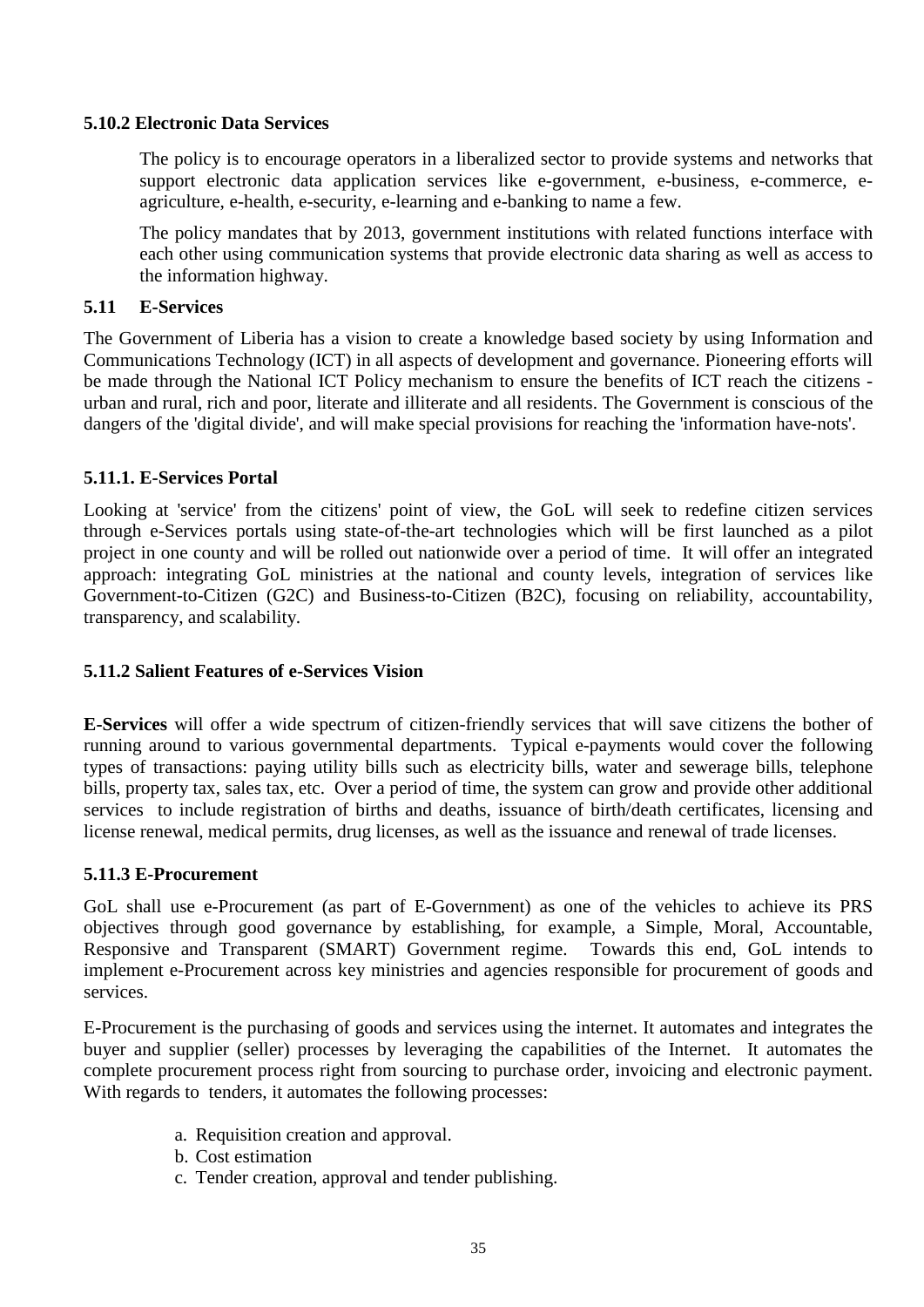#### <span id="page-34-0"></span>**5.10.2 Electronic Data Services**

The policy is to encourage operators in a liberalized sector to provide systems and networks that support electronic data application services like e-government, e-business, e-commerce, eagriculture, e-health, e-security, e-learning and e-banking to name a few.

The policy mandates that by 2013, government institutions with related functions interface with each other using communication systems that provide electronic data sharing as well as access to the information highway.

#### <span id="page-34-1"></span>**5.11 E-Services**

The Government of Liberia has a vision to create a knowledge based society by using Information and Communications Technology (ICT) in all aspects of development and governance. Pioneering efforts will be made through the National ICT Policy mechanism to ensure the benefits of ICT reach the citizens urban and rural, rich and poor, literate and illiterate and all residents. The Government is conscious of the dangers of the 'digital divide', and will make special provisions for reaching the 'information have-nots'.

#### <span id="page-34-2"></span>**5.11.1. E-Services Portal**

Looking at 'service' from the citizens' point of view, the GoL will seek to redefine citizen services through e-Services portals using state-of-the-art technologies which will be first launched as a pilot project in one county and will be rolled out nationwide over a period of time. It will offer an integrated approach: integrating GoL ministries at the national and county levels, integration of services like Government-to-Citizen (G2C) and Business-to-Citizen (B2C), focusing on reliability, accountability, transparency, and scalability.

#### <span id="page-34-3"></span>**5.11.2 Salient Features of e-Services Vision**

**E-Services** will offer a wide spectrum of citizen-friendly services that will save citizens the bother of running around to various governmental departments. Typical e-payments would cover the following types of transactions: paying utility bills such as electricity bills, water and sewerage bills, telephone bills, property tax, sales tax, etc. Over a period of time, the system can grow and provide other additional services to include registration of births and deaths, issuance of birth/death certificates, licensing and license renewal, medical permits, drug licenses, as well as the issuance and renewal of trade licenses.

#### <span id="page-34-4"></span>**5.11.3 E-Procurement**

GoL shall use e-Procurement (as part of E-Government) as one of the vehicles to achieve its PRS objectives through good governance by establishing, for example, a Simple, Moral, Accountable, Responsive and Transparent (SMART) Government regime. Towards this end, GoL intends to implement e-Procurement across key ministries and agencies responsible for procurement of goods and services.

E-Procurement is the purchasing of goods and services using the internet. It automates and integrates the buyer and supplier (seller) processes by leveraging the capabilities of the Internet. It automates the complete procurement process right from sourcing to purchase order, invoicing and electronic payment. With regards to tenders, it automates the following processes:

- a. Requisition creation and approval.
- b. Cost estimation
- c. Tender creation, approval and tender publishing.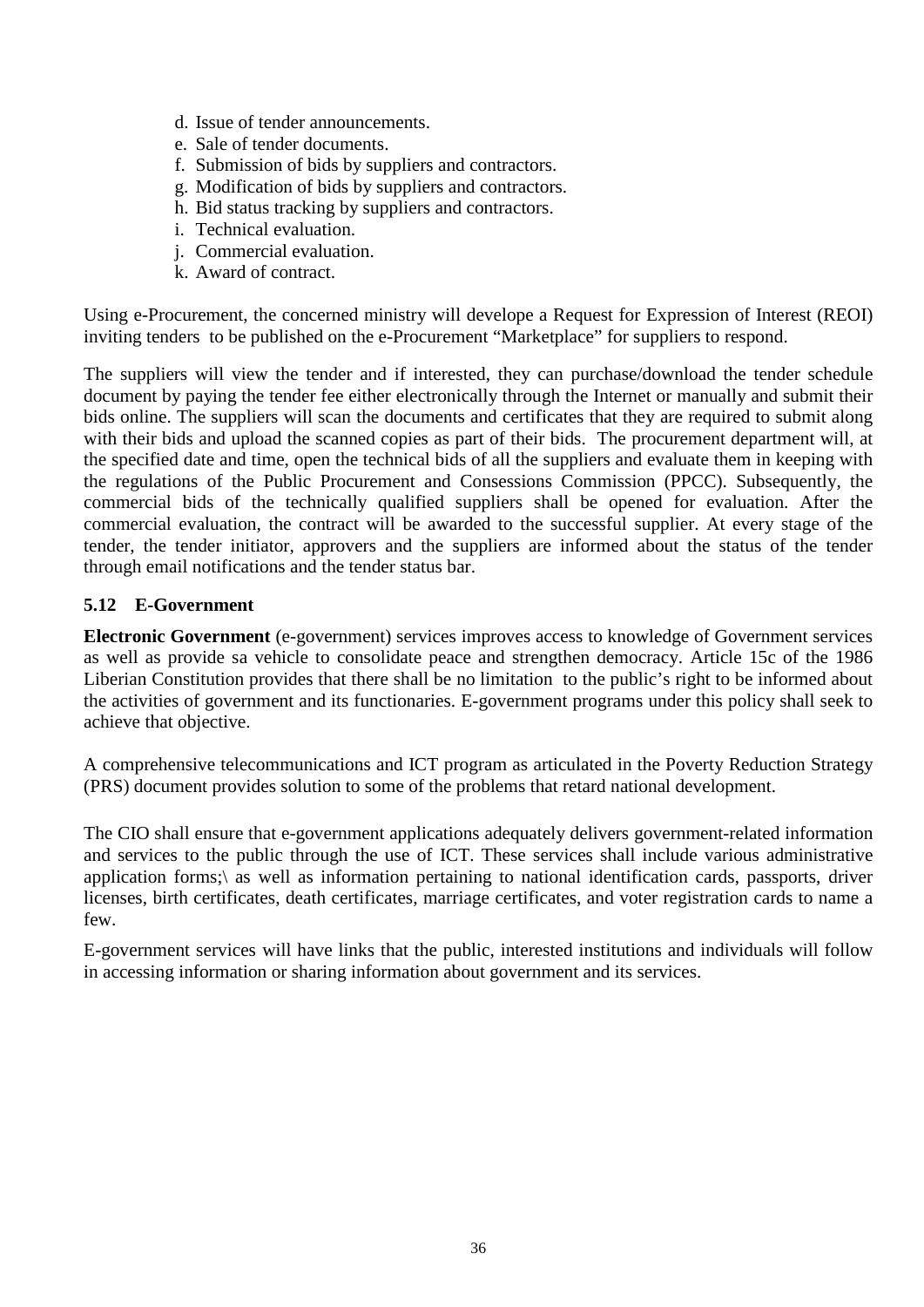- d. Issue of tender announcements.
- e. Sale of tender documents.
- f. Submission of bids by suppliers and contractors.
- g. Modification of bids by suppliers and contractors.
- h. Bid status tracking by suppliers and contractors.
- i. Technical evaluation.
- j. Commercial evaluation.
- k. Award of contract.

Using e-Procurement, the concerned ministry will develope a Request for Expression of Interest (REOI) inviting tenders to be published on the e-Procurement "Marketplace" for suppliers to respond.

The suppliers will view the tender and if interested, they can purchase/download the tender schedule document by paying the tender fee either electronically through the Internet or manually and submit their bids online. The suppliers will scan the documents and certificates that they are required to submit along with their bids and upload the scanned copies as part of their bids. The procurement department will, at the specified date and time, open the technical bids of all the suppliers and evaluate them in keeping with the regulations of the Public Procurement and Consessions Commission (PPCC). Subsequently, the commercial bids of the technically qualified suppliers shall be opened for evaluation. After the commercial evaluation, the contract will be awarded to the successful supplier. At every stage of the tender, the tender initiator, approvers and the suppliers are informed about the status of the tender through email notifications and the tender status bar.

#### <span id="page-35-0"></span>**5.12 E-Government**

**Electronic Government** (e-government) services improves access to knowledge of Government services as well as provide sa vehicle to consolidate peace and strengthen democracy. Article 15c of the 1986 Liberian Constitution provides that there shall be no limitation to the public's right to be informed about the activities of government and its functionaries. E-government programs under this policy shall seek to achieve that objective.

A comprehensive telecommunications and ICT program as articulated in the Poverty Reduction Strategy (PRS) document provides solution to some of the problems that retard national development.

The CIO shall ensure that e-government applications adequately delivers government-related information and services to the public through the use of ICT. These services shall include various administrative application forms;\ as well as information pertaining to national identification cards, passports, driver licenses, birth certificates, death certificates, marriage certificates, and voter registration cards to name a few.

E-government services will have links that the public, interested institutions and individuals will follow in accessing information or sharing information about government and its services.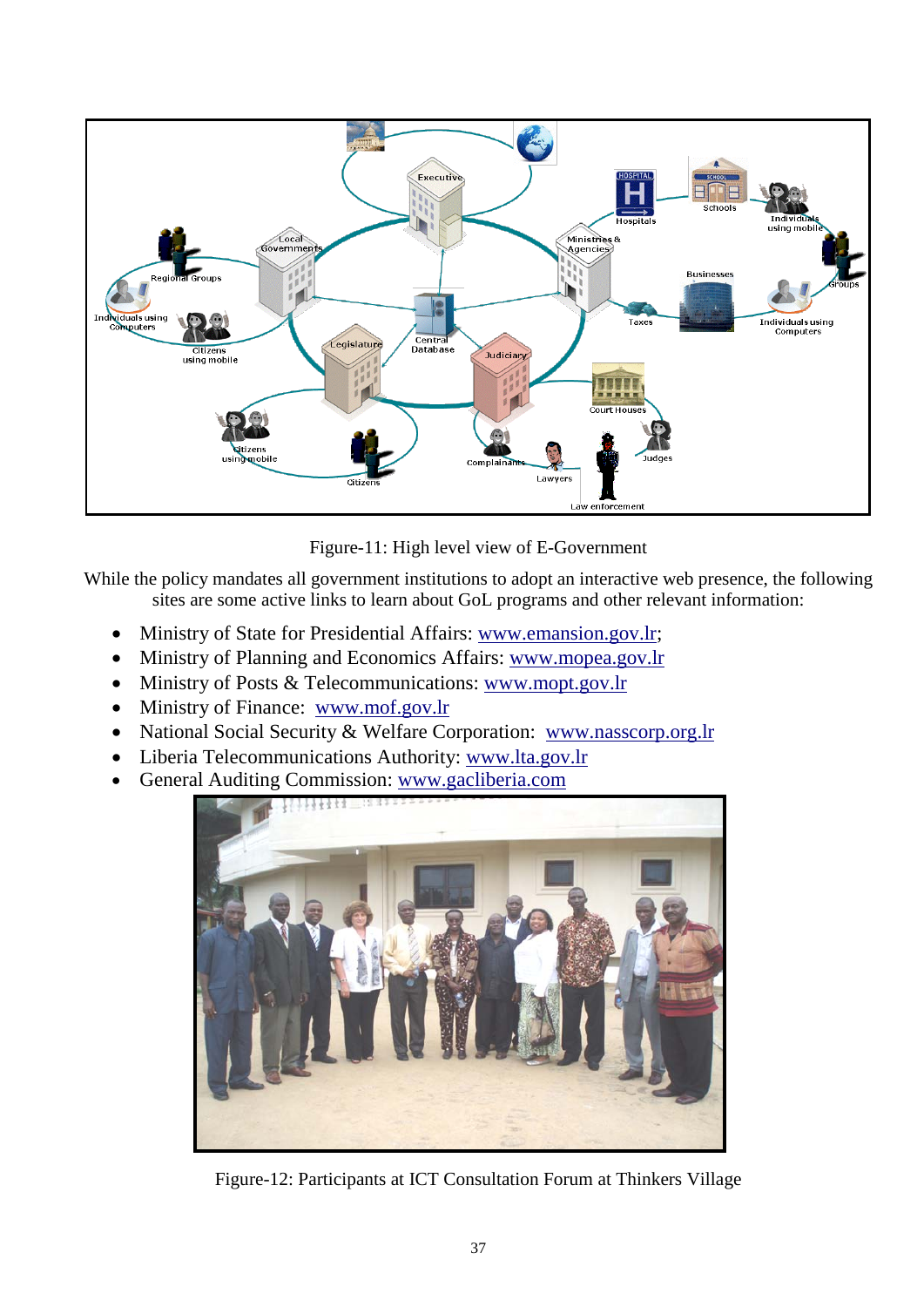

Figure-11: High level view of E-Government

While the policy mandates all government institutions to adopt an interactive web presence, the following sites are some active links to learn about GoL programs and other relevant information:

- Ministry of State for Presidential Affairs: [www.emansion.gov.lr;](http://www.emansion.gov.lr/)
- Ministry of Planning and Economics Affairs: [www.mopea.gov.lr](http://www.mopea.gov.lr/)
- Ministry of Posts & Telecommunications: [www.mopt.gov.lr](http://www.mopt.gov.lr/)
- Ministry of Finance: [www.mof.gov.lr](http://www.mof.gov.lr/)
- National Social Security & Welfare Corporation: [www.nasscorp.org.lr](http://www.nasscorp.org.lr/)
- Liberia Telecommunications Authority: [www.lta.gov.lr](http://www.lta.gov.lr/)
- General Auditing Commission: www.gacliberia.com



Figure-12: Participants at ICT Consultation Forum at Thinkers Village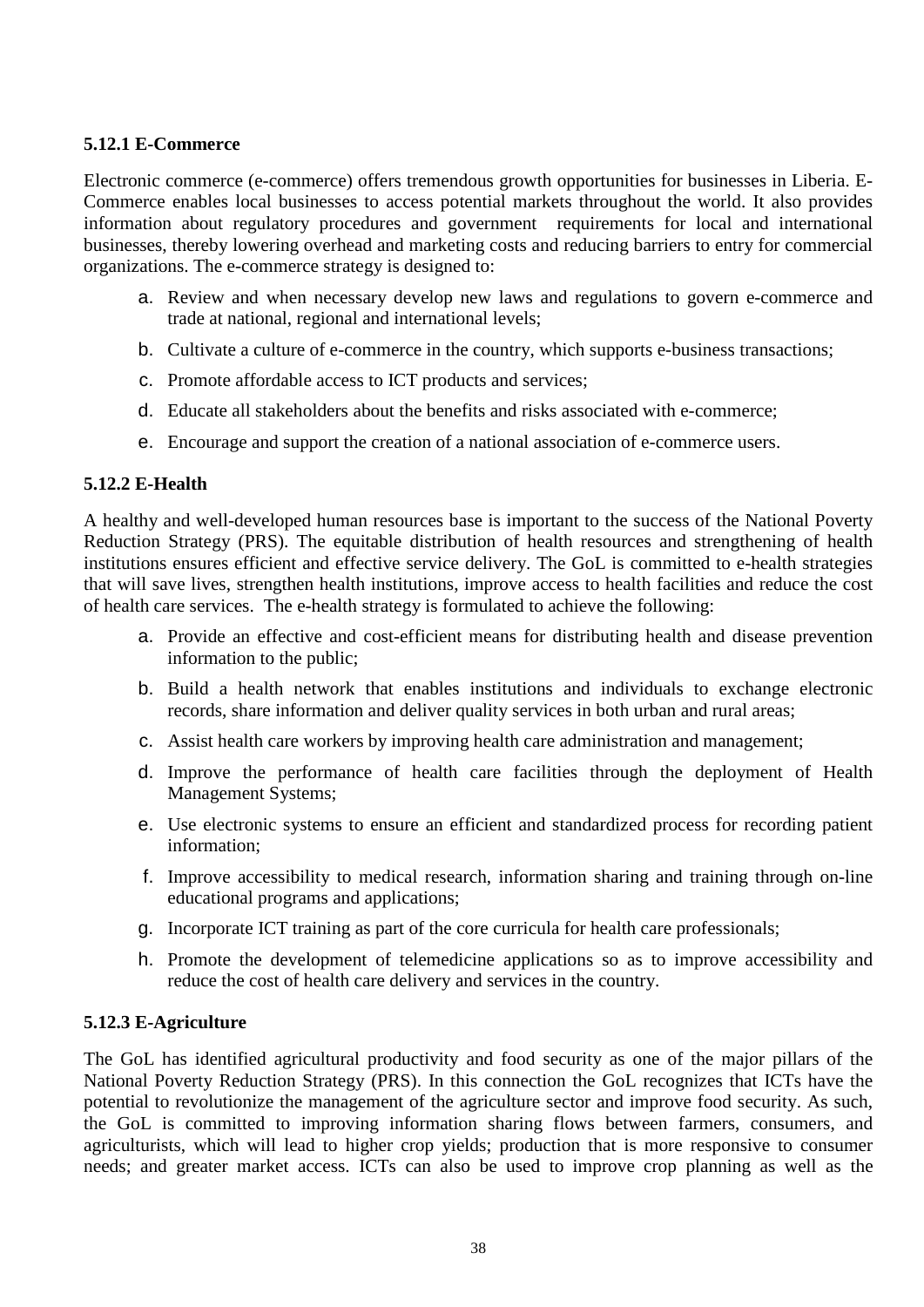#### <span id="page-37-0"></span>**5.12.1 E-Commerce**

Electronic commerce (e-commerce) offers tremendous growth opportunities for businesses in Liberia. E-Commerce enables local businesses to access potential markets throughout the world. It also provides information about regulatory procedures and government requirements for local and international businesses, thereby lowering overhead and marketing costs and reducing barriers to entry for commercial organizations. The e-commerce strategy is designed to:

- a. Review and when necessary develop new laws and regulations to govern e-commerce and trade at national, regional and international levels;
- b. Cultivate a culture of e-commerce in the country, which supports e-business transactions;
- c. Promote affordable access to ICT products and services;
- d. Educate all stakeholders about the benefits and risks associated with e-commerce;
- e. Encourage and support the creation of a national association of e-commerce users.

#### <span id="page-37-1"></span>**5.12.2 E-Health**

A healthy and well-developed human resources base is important to the success of the National Poverty Reduction Strategy (PRS). The equitable distribution of health resources and strengthening of health institutions ensures efficient and effective service delivery. The GoL is committed to e-health strategies that will save lives, strengthen health institutions, improve access to health facilities and reduce the cost of health care services. The e-health strategy is formulated to achieve the following:

- a. Provide an effective and cost-efficient means for distributing health and disease prevention information to the public;
- b. Build a health network that enables institutions and individuals to exchange electronic records, share information and deliver quality services in both urban and rural areas;
- c. Assist health care workers by improving health care administration and management;
- d. Improve the performance of health care facilities through the deployment of Health Management Systems;
- e. Use electronic systems to ensure an efficient and standardized process for recording patient information;
- f. Improve accessibility to medical research, information sharing and training through on-line educational programs and applications;
- g. Incorporate ICT training as part of the core curricula for health care professionals;
- h. Promote the development of telemedicine applications so as to improve accessibility and reduce the cost of health care delivery and services in the country.

#### <span id="page-37-2"></span>**5.12.3 E-Agriculture**

The GoL has identified agricultural productivity and food security as one of the major pillars of the National Poverty Reduction Strategy (PRS). In this connection the GoL recognizes that ICTs have the potential to revolutionize the management of the agriculture sector and improve food security. As such, the GoL is committed to improving information sharing flows between farmers, consumers, and agriculturists, which will lead to higher crop yields; production that is more responsive to consumer needs; and greater market access. ICTs can also be used to improve crop planning as well as the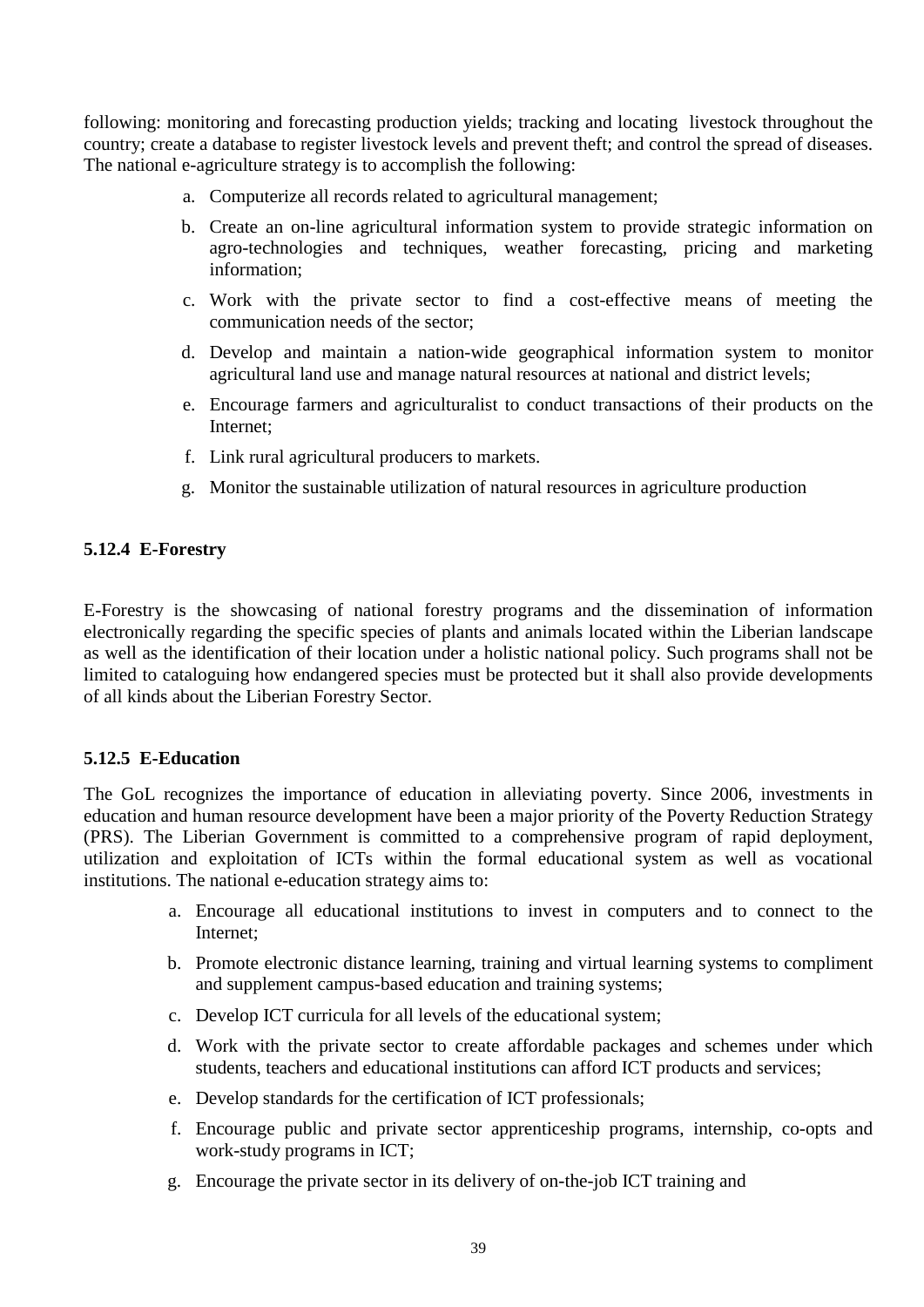following: monitoring and forecasting production yields; tracking and locating livestock throughout the country; create a database to register livestock levels and prevent theft; and control the spread of diseases. The national e-agriculture strategy is to accomplish the following:

- a. Computerize all records related to agricultural management;
- b. Create an on-line agricultural information system to provide strategic information on agro-technologies and techniques, weather forecasting, pricing and marketing information;
- c. Work with the private sector to find a cost-effective means of meeting the communication needs of the sector;
- d. Develop and maintain a nation-wide geographical information system to monitor agricultural land use and manage natural resources at national and district levels;
- e. Encourage farmers and agriculturalist to conduct transactions of their products on the Internet;
- f. Link rural agricultural producers to markets.
- g. Monitor the sustainable utilization of natural resources in agriculture production

#### **5.12.4 E-Forestry**

E-Forestry is the showcasing of national forestry programs and the dissemination of information electronically regarding the specific species of plants and animals located within the Liberian landscape as well as the identification of their location under a holistic national policy. Such programs shall not be limited to cataloguing how endangered species must be protected but it shall also provide developments of all kinds about the Liberian Forestry Sector.

#### <span id="page-38-0"></span>**5.12.5 E-Education**

The GoL recognizes the importance of education in alleviating poverty. Since 2006, investments in education and human resource development have been a major priority of the Poverty Reduction Strategy (PRS). The Liberian Government is committed to a comprehensive program of rapid deployment, utilization and exploitation of ICTs within the formal educational system as well as vocational institutions. The national e-education strategy aims to:

- a. Encourage all educational institutions to invest in computers and to connect to the Internet;
- b. Promote electronic distance learning, training and virtual learning systems to compliment and supplement campus-based education and training systems;
- c. Develop ICT curricula for all levels of the educational system;
- d. Work with the private sector to create affordable packages and schemes under which students, teachers and educational institutions can afford ICT products and services;
- e. Develop standards for the certification of ICT professionals;
- f. Encourage public and private sector apprenticeship programs, internship, co-opts and work-study programs in ICT;
- g. Encourage the private sector in its delivery of on-the-job ICT training and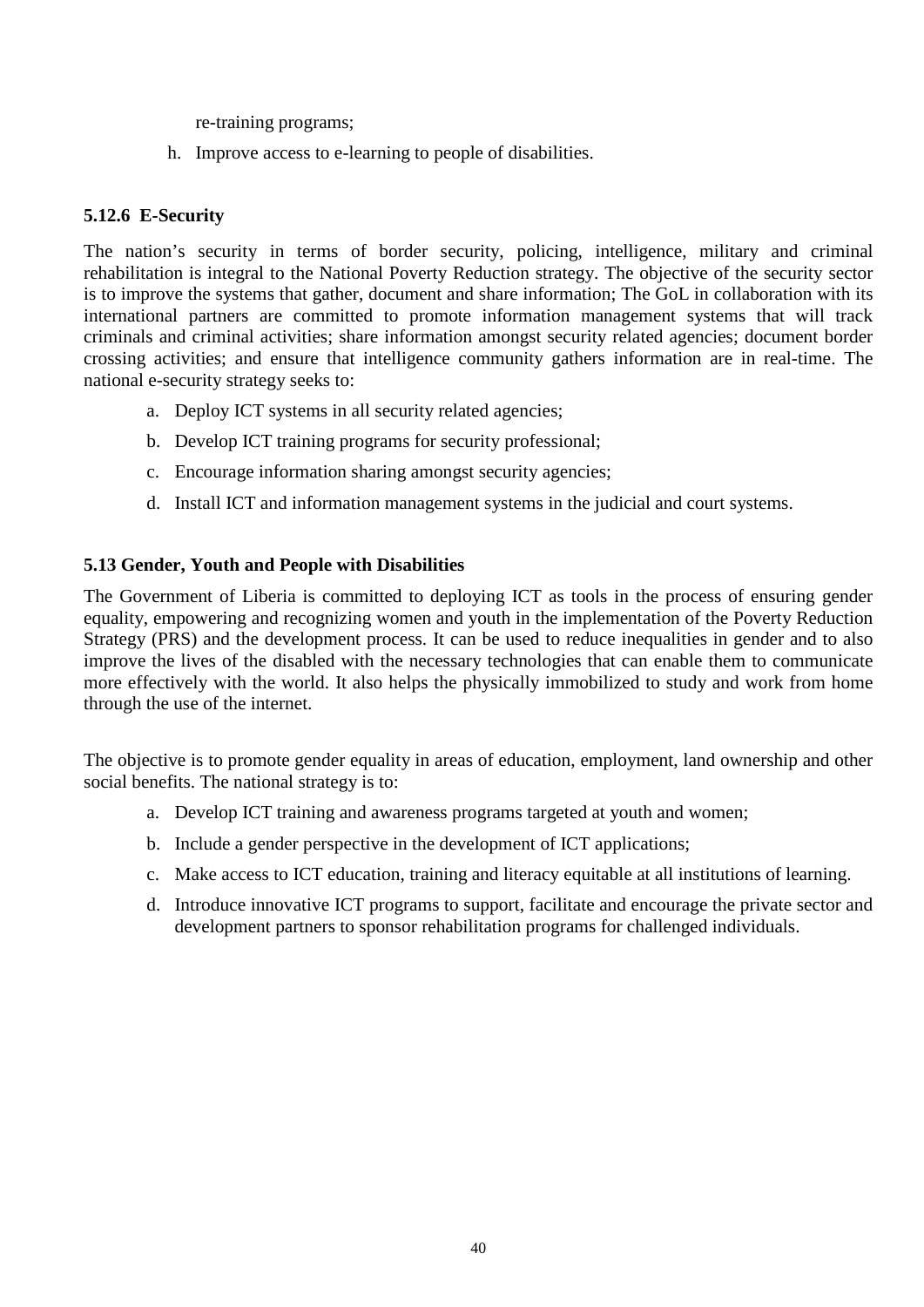re-training programs;

h. Improve access to e-learning to people of disabilities.

#### <span id="page-39-0"></span>**5.12.6 E-Security**

The nation's security in terms of border security, policing, intelligence, military and criminal rehabilitation is integral to the National Poverty Reduction strategy. The objective of the security sector is to improve the systems that gather, document and share information; The GoL in collaboration with its international partners are committed to promote information management systems that will track criminals and criminal activities; share information amongst security related agencies; document border crossing activities; and ensure that intelligence community gathers information are in real-time. The national e-security strategy seeks to:

- a. Deploy ICT systems in all security related agencies;
- b. Develop ICT training programs for security professional;
- c. Encourage information sharing amongst security agencies;
- d. Install ICT and information management systems in the judicial and court systems.

#### <span id="page-39-1"></span>**5.13 Gender, Youth and People with Disabilities**

The Government of Liberia is committed to deploying ICT as tools in the process of ensuring gender equality, empowering and recognizing women and youth in the implementation of the Poverty Reduction Strategy (PRS) and the development process. It can be used to reduce inequalities in gender and to also improve the lives of the disabled with the necessary technologies that can enable them to communicate more effectively with the world. It also helps the physically immobilized to study and work from home through the use of the internet.

The objective is to promote gender equality in areas of education, employment, land ownership and other social benefits. The national strategy is to:

- a. Develop ICT training and awareness programs targeted at youth and women;
- b. Include a gender perspective in the development of ICT applications;
- c. Make access to ICT education, training and literacy equitable at all institutions of learning.
- d. Introduce innovative ICT programs to support, facilitate and encourage the private sector and development partners to sponsor rehabilitation programs for challenged individuals.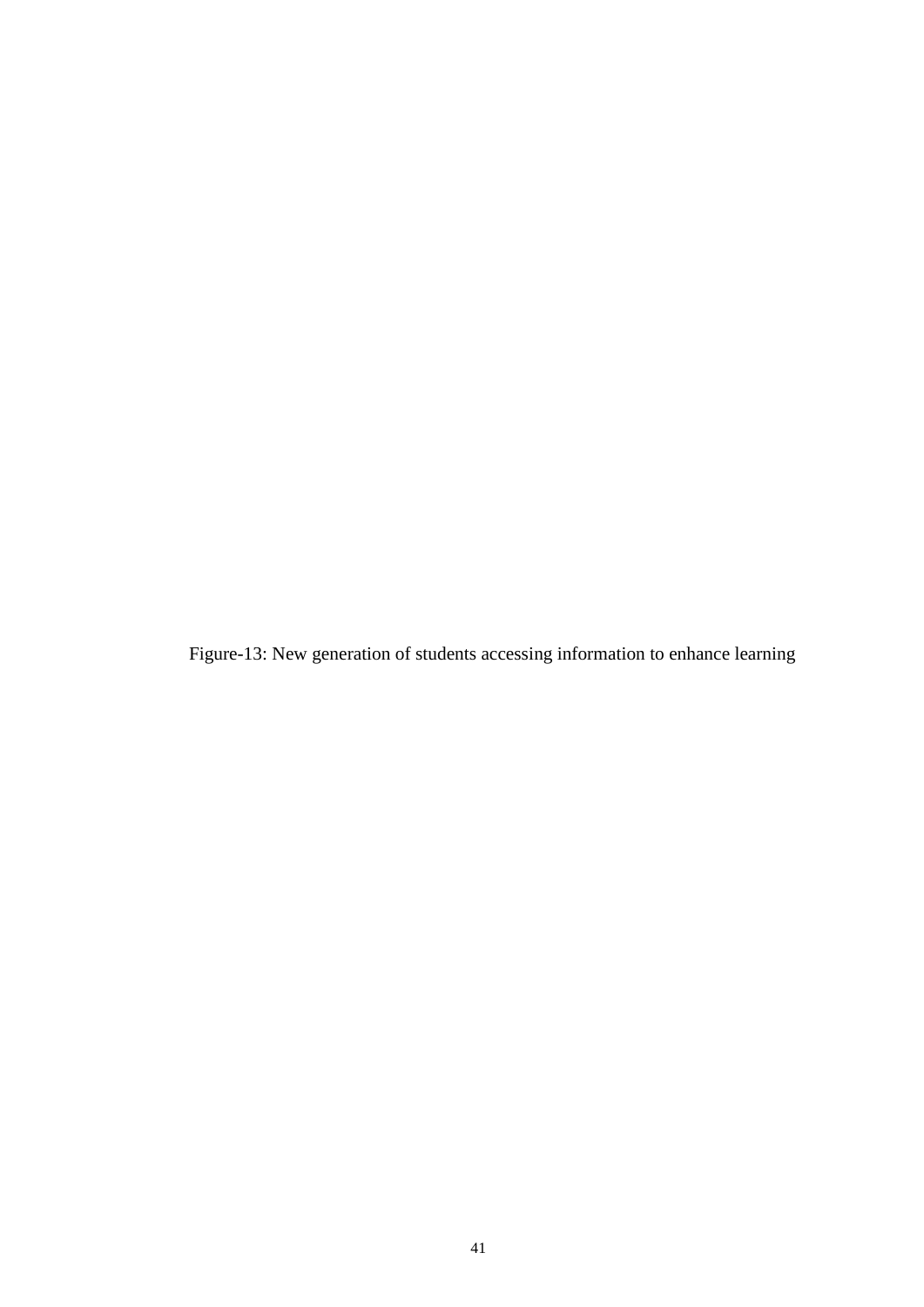Figure-13: New generation of students accessing information to enhance learning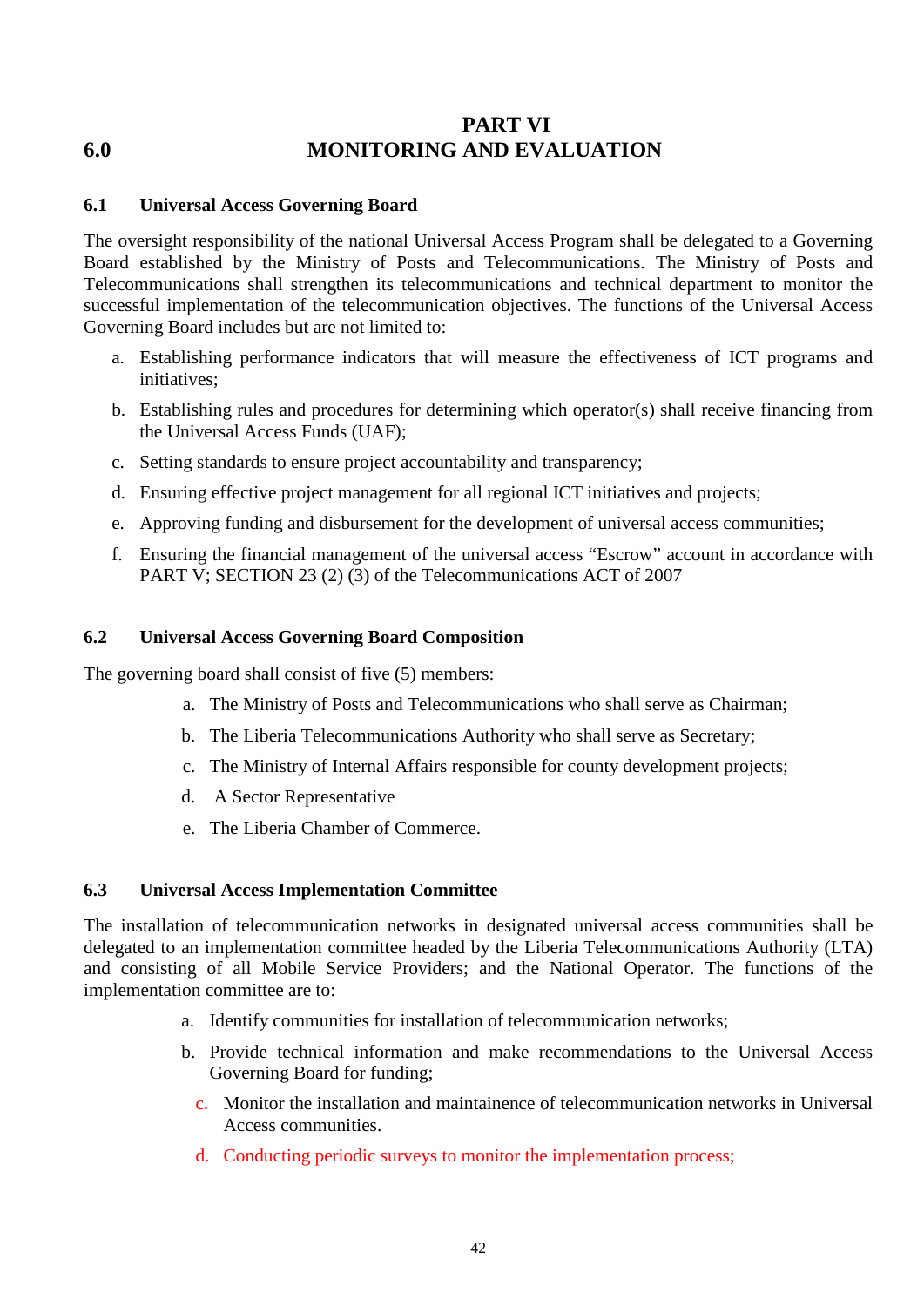# <span id="page-41-0"></span>**PART VI 6.0 MONITORING AND EVALUATION**

#### <span id="page-41-1"></span>**6.1 Universal Access Governing Board**

The oversight responsibility of the national Universal Access Program shall be delegated to a Governing Board established by the Ministry of Posts and Telecommunications. The Ministry of Posts and Telecommunications shall strengthen its telecommunications and technical department to monitor the successful implementation of the telecommunication objectives. The functions of the Universal Access Governing Board includes but are not limited to:

- a. Establishing performance indicators that will measure the effectiveness of ICT programs and initiatives;
- b. Establishing rules and procedures for determining which operator(s) shall receive financing from the Universal Access Funds (UAF);
- c. Setting standards to ensure project accountability and transparency;
- d. Ensuring effective project management for all regional ICT initiatives and projects;
- e. Approving funding and disbursement for the development of universal access communities;
- f. Ensuring the financial management of the universal access "Escrow" account in accordance with PART V; SECTION 23 (2) (3) of the Telecommunications ACT of 2007

#### <span id="page-41-2"></span>**6.2 Universal Access Governing Board Composition**

The governing board shall consist of five (5) members:

- a. The Ministry of Posts and Telecommunications who shall serve as Chairman;
- b. The Liberia Telecommunications Authority who shall serve as Secretary;
- c. The Ministry of Internal Affairs responsible for county development projects;
- d. A Sector Representative
- e. The Liberia Chamber of Commerce.

#### <span id="page-41-3"></span>**6.3 Universal Access Implementation Committee**

The installation of telecommunication networks in designated universal access communities shall be delegated to an implementation committee headed by the Liberia Telecommunications Authority (LTA) and consisting of all Mobile Service Providers; and the National Operator. The functions of the implementation committee are to:

- a. Identify communities for installation of telecommunication networks;
- b. Provide technical information and make recommendations to the Universal Access Governing Board for funding;
	- c. Monitor the installation and maintainence of telecommunication networks in Universal Access communities.
	- d. Conducting periodic surveys to monitor the implementation process;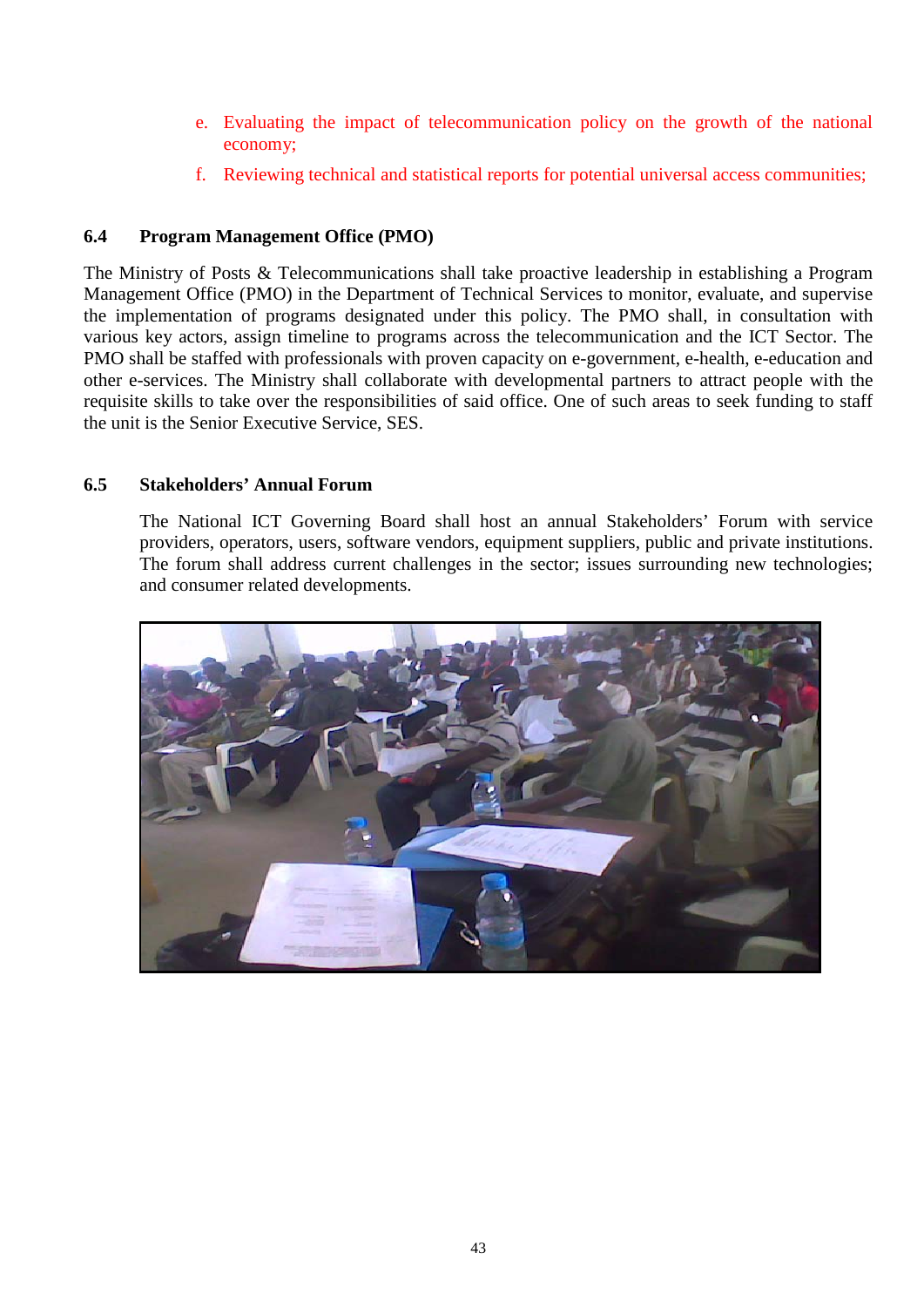- e. Evaluating the impact of telecommunication policy on the growth of the national economy;
- f. Reviewing technical and statistical reports for potential universal access communities;

#### <span id="page-42-0"></span>**6.4 Program Management Office (PMO)**

The Ministry of Posts & Telecommunications shall take proactive leadership in establishing a Program Management Office (PMO) in the Department of Technical Services to monitor, evaluate, and supervise the implementation of programs designated under this policy. The PMO shall, in consultation with various key actors, assign timeline to programs across the telecommunication and the ICT Sector. The PMO shall be staffed with professionals with proven capacity on e-government, e-health, e-education and other e-services. The Ministry shall collaborate with developmental partners to attract people with the requisite skills to take over the responsibilities of said office. One of such areas to seek funding to staff the unit is the Senior Executive Service, SES.

#### <span id="page-42-1"></span>**6.5 Stakeholders' Annual Forum**

The National ICT Governing Board shall host an annual Stakeholders' Forum with service providers, operators, users, software vendors, equipment suppliers, public and private institutions. The forum shall address current challenges in the sector; issues surrounding new technologies; and consumer related developments.

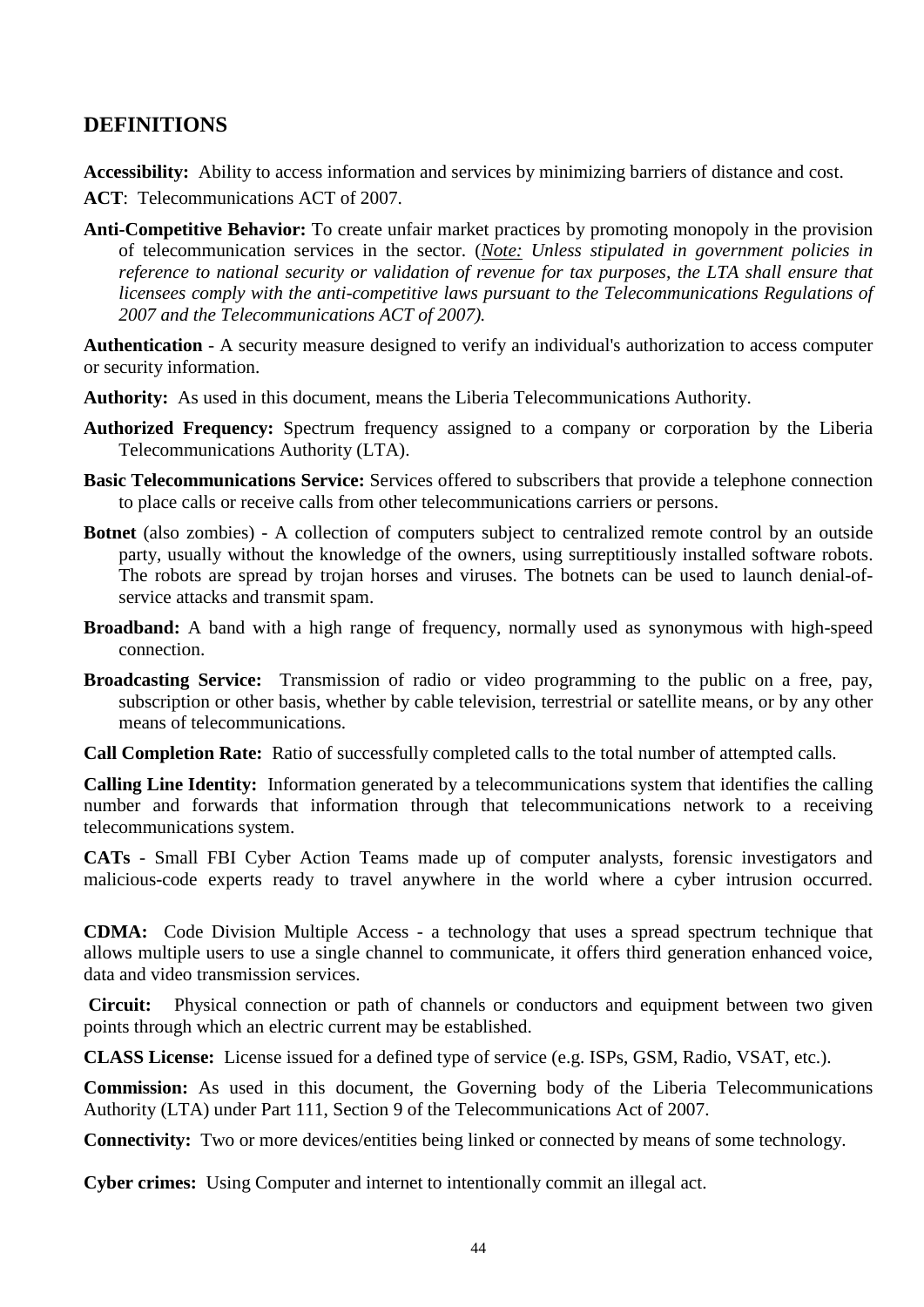# <span id="page-43-0"></span>**DEFINITIONS**

**Accessibility:** Ability to access information and services by minimizing barriers of distance and cost.

**ACT**: Telecommunications ACT of 2007.

**Anti-Competitive Behavior:** To create unfair market practices by promoting monopoly in the provision of telecommunication services in the sector. (*Note: Unless stipulated in government policies in reference to national security or validation of revenue for tax purposes, the LTA shall ensure that licensees comply with the anti-competitive laws pursuant to the Telecommunications Regulations of 2007 and the Telecommunications ACT of 2007).*

**Authentication** - A security measure designed to verify an individual's authorization to access computer or security information.

- **Authority:** As used in this document, means the Liberia Telecommunications Authority.
- **Authorized Frequency:** Spectrum frequency assigned to a company or corporation by the Liberia Telecommunications Authority (LTA).
- **Basic Telecommunications Service:** Services offered to subscribers that provide a telephone connection to place calls or receive calls from other telecommunications carriers or persons.
- **Botnet** (also zombies) A collection of computers subject to centralized remote control by an outside party, usually without the knowledge of the owners, using surreptitiously installed software robots. The robots are spread by trojan horses and viruses. The botnets can be used to launch denial-ofservice attacks and transmit spam.
- **Broadband:** A band with a high range of frequency, normally used as synonymous with high-speed connection.
- **Broadcasting Service:** Transmission of radio or video programming to the public on a free, pay, subscription or other basis, whether by cable television, terrestrial or satellite means, or by any other means of telecommunications.

**Call Completion Rate:** Ratio of successfully completed calls to the total number of attempted calls.

**Calling Line Identity:** Information generated by a telecommunications system that identifies the calling number and forwards that information through that telecommunications network to a receiving telecommunications system.

**CATs** - Small FBI Cyber Action Teams made up of computer analysts, forensic investigators and malicious-code experts ready to travel anywhere in the world where a cyber intrusion occurred.

**CDMA:** Code Division Multiple Access - a technology that uses a spread spectrum technique that allows multiple users to use a single channel to communicate, it offers third generation enhanced voice, data and video transmission services.

**Circuit:** Physical connection or path of channels or conductors and equipment between two given points through which an electric current may be established.

**CLASS License:** License issued for a defined type of service (e.g. ISPs, GSM, Radio, VSAT, etc.).

**Commission:** As used in this document, the Governing body of the Liberia Telecommunications Authority (LTA) under Part 111, Section 9 of the Telecommunications Act of 2007.

**Connectivity:** Two or more devices/entities being linked or connected by means of some technology.

**Cyber crimes:** Using Computer and internet to intentionally commit an illegal act.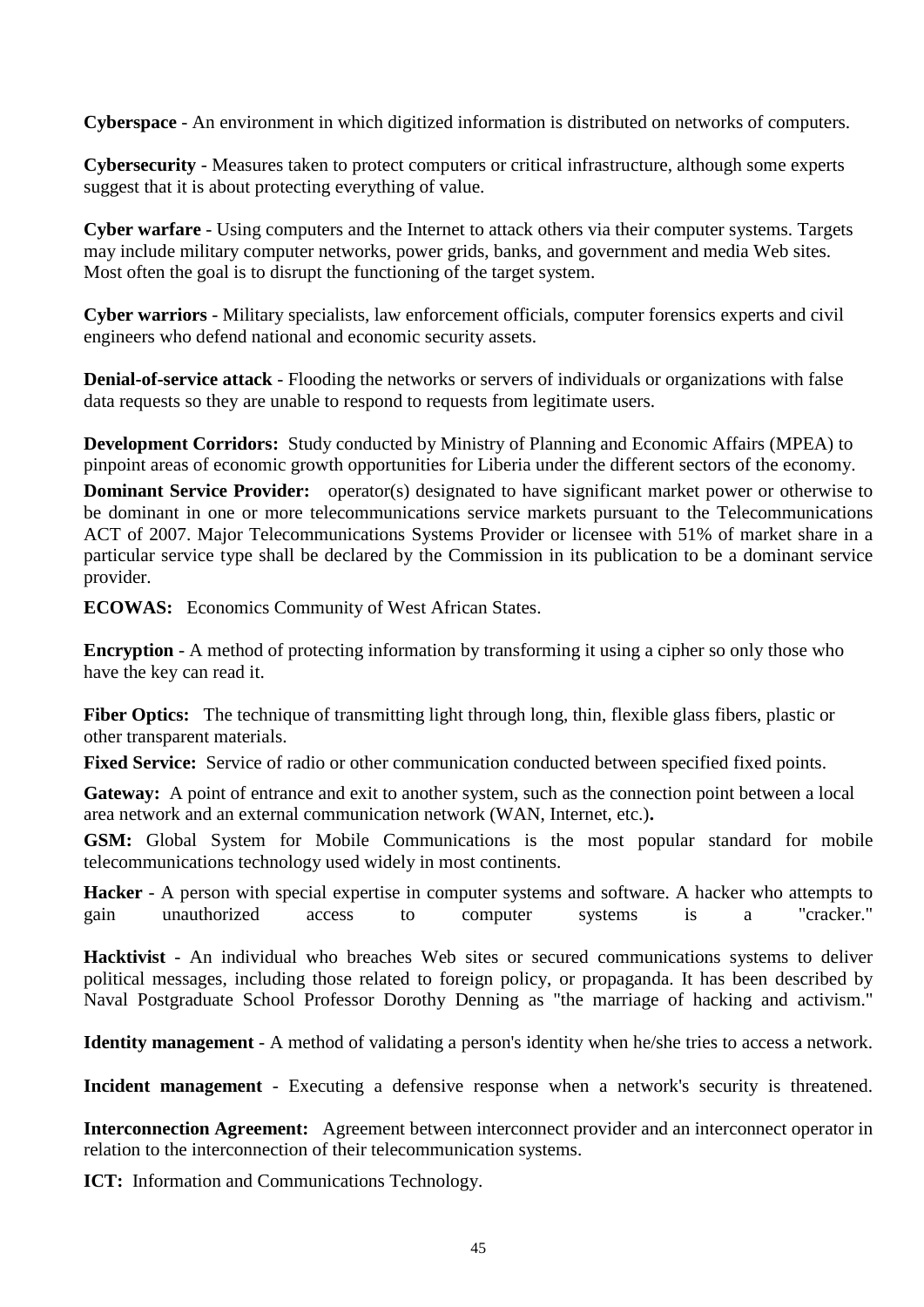**Cyberspace** - An environment in which digitized information is distributed on networks of computers.

**Cybersecurity** - Measures taken to protect computers or critical infrastructure, although some experts suggest that it is about protecting everything of value.

**Cyber warfare** - Using computers and the Internet to attack others via their computer systems. Targets may include military computer networks, power grids, banks, and government and media Web sites. Most often the goal is to disrupt the functioning of the target system.

**Cyber warriors** - Military specialists, law enforcement officials, computer forensics experts and civil engineers who defend national and economic security assets.

**Denial-of-service attack** - Flooding the networks or servers of individuals or organizations with false data requests so they are unable to respond to requests from legitimate users.

**Development Corridors:** Study conducted by Ministry of Planning and Economic Affairs (MPEA) to pinpoint areas of economic growth opportunities for Liberia under the different sectors of the economy.

**Dominant Service Provider:** operator(s) designated to have significant market power or otherwise to be dominant in one or more telecommunications service markets pursuant to the Telecommunications ACT of 2007. Major Telecommunications Systems Provider or licensee with 51% of market share in a particular service type shall be declared by the Commission in its publication to be a dominant service provider.

**ECOWAS:** Economics Community of West African States.

**Encryption** - A method of protecting information by transforming it using a cipher so only those who have the key can read it.

Fiber Optics: The technique of transmitting light through long, thin, flexible glass fibers, plastic or other transparent materials.

**Fixed Service:** Service of radio or other communication conducted between specified fixed points.

Gateway: A point of entrance and exit to another system, such as the connection point between a local area network and an external communication network (WAN, Internet, etc.)**.**

**GSM:** Global System for Mobile Communications is the most popular standard for mobile telecommunications technology used widely in most continents.

**Hacker** - A person with special expertise in computer systems and software. A hacker who attempts to gain unauthorized access to computer systems is a "cracker."

**Hacktivist** - An individual who breaches Web sites or secured communications systems to deliver political messages, including those related to foreign policy, or propaganda. It has been described by Naval Postgraduate School Professor Dorothy Denning as "the marriage of hacking and activism."

**Identity management** - A method of validating a person's identity when he/she tries to access a network.

**Incident management** - Executing a defensive response when a network's security is threatened.

**Interconnection Agreement:** Agreement between interconnect provider and an interconnect operator in relation to the interconnection of their telecommunication systems.

**ICT:** Information and Communications Technology.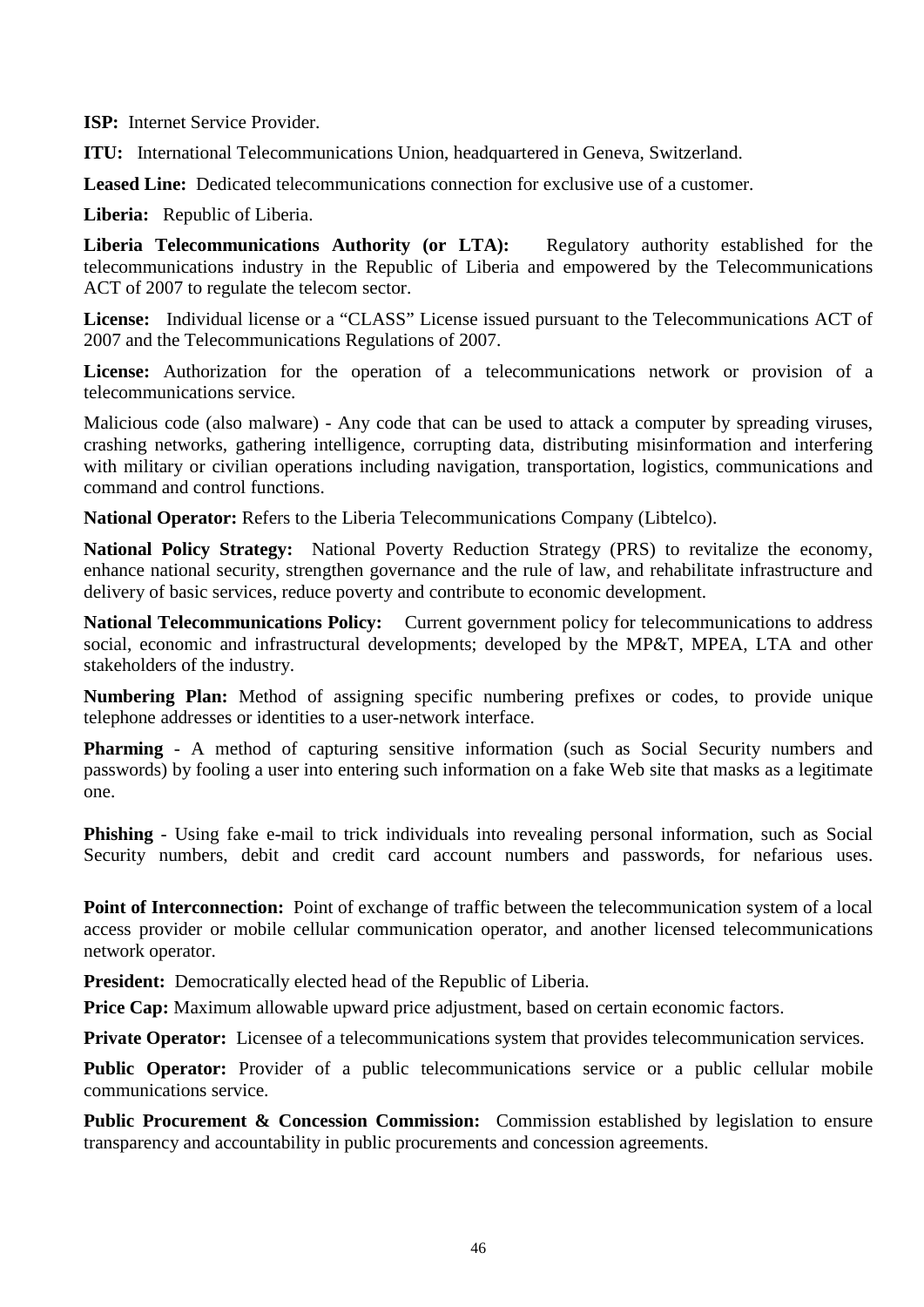**ISP:** Internet Service Provider.

**ITU:** International Telecommunications Union, headquartered in Geneva, Switzerland.

**Leased Line:** Dedicated telecommunications connection for exclusive use of a customer.

**Liberia:** Republic of Liberia.

**Liberia Telecommunications Authority (or LTA):** Regulatory authority established for the telecommunications industry in the Republic of Liberia and empowered by the Telecommunications ACT of 2007 to regulate the telecom sector.

**License:** Individual license or a "CLASS" License issued pursuant to the Telecommunications ACT of 2007 and the Telecommunications Regulations of 2007.

License: Authorization for the operation of a telecommunications network or provision of a telecommunications service.

Malicious code (also malware) - Any code that can be used to attack a computer by spreading viruses, crashing networks, gathering intelligence, corrupting data, distributing misinformation and interfering with military or civilian operations including navigation, transportation, logistics, communications and command and control functions.

**National Operator:** Refers to the Liberia Telecommunications Company (Libtelco).

**National Policy Strategy:** National Poverty Reduction Strategy (PRS) to revitalize the economy, enhance national security, strengthen governance and the rule of law, and rehabilitate infrastructure and delivery of basic services, reduce poverty and contribute to economic development.

**National Telecommunications Policy:** Current government policy for telecommunications to address social, economic and infrastructural developments; developed by the MP&T, MPEA, LTA and other stakeholders of the industry.

**Numbering Plan:** Method of assigning specific numbering prefixes or codes, to provide unique telephone addresses or identities to a user-network interface.

**Pharming** - A method of capturing sensitive information (such as Social Security numbers and passwords) by fooling a user into entering such information on a fake Web site that masks as a legitimate one.

**Phishing** - Using fake e-mail to trick individuals into revealing personal information, such as Social Security numbers, debit and credit card account numbers and passwords, for nefarious uses.

**Point of Interconnection:** Point of exchange of traffic between the telecommunication system of a local access provider or mobile cellular communication operator, and another licensed telecommunications network operator.

**President:** Democratically elected head of the Republic of Liberia.

**Price Cap:** Maximum allowable upward price adjustment, based on certain economic factors.

**Private Operator:** Licensee of a telecommunications system that provides telecommunication services.

**Public Operator:** Provider of a public telecommunications service or a public cellular mobile communications service.

**Public Procurement & Concession Commission:** Commission established by legislation to ensure transparency and accountability in public procurements and concession agreements.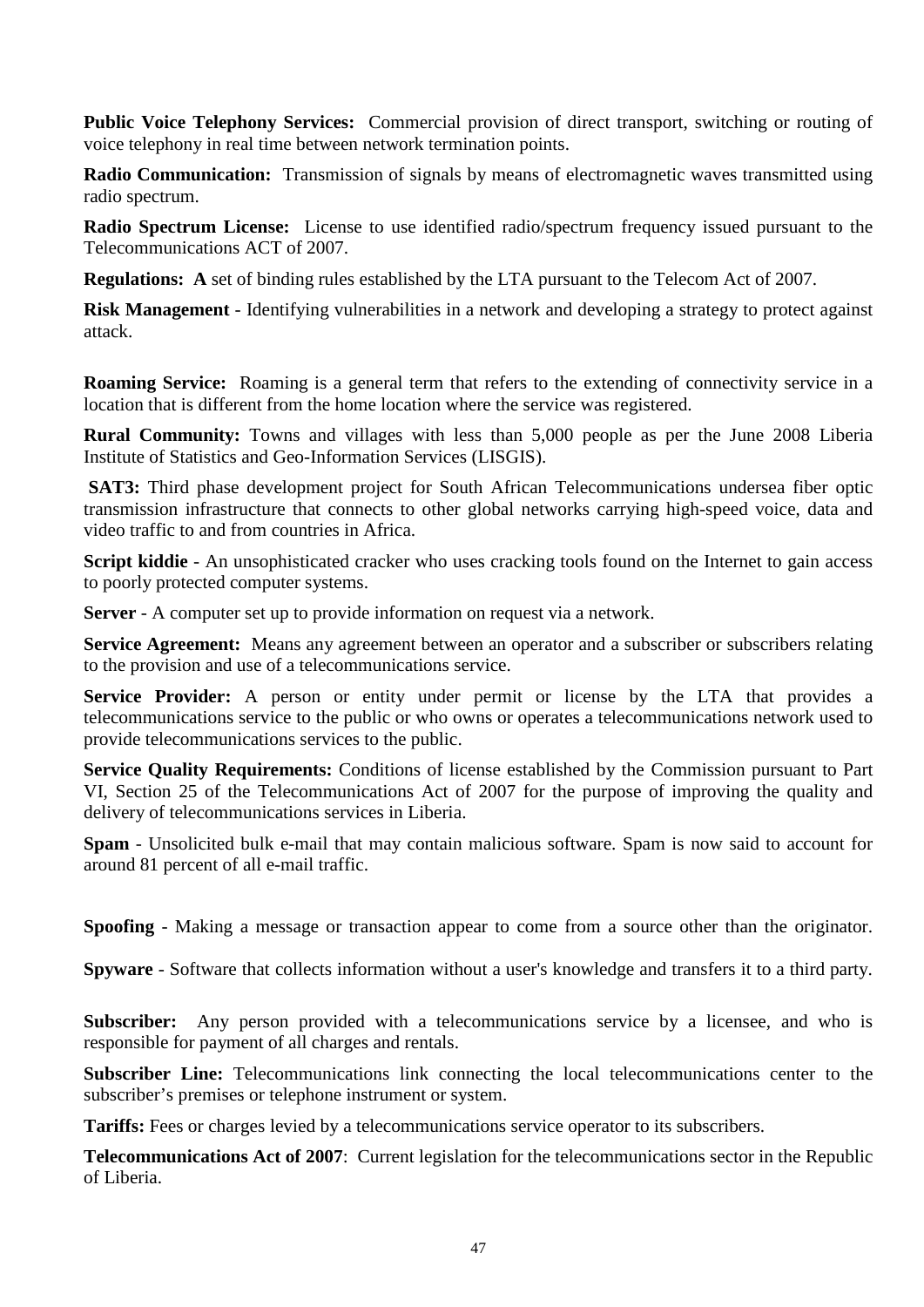**Public Voice Telephony Services:** Commercial provision of direct transport, switching or routing of voice telephony in real time between network termination points.

**Radio Communication:** Transmission of signals by means of electromagnetic waves transmitted using radio spectrum.

**Radio Spectrum License:** License to use identified radio/spectrum frequency issued pursuant to the Telecommunications ACT of 2007.

**Regulations: A** set of binding rules established by the LTA pursuant to the Telecom Act of 2007.

**Risk Management** - Identifying vulnerabilities in a network and developing a strategy to protect against attack.

**Roaming Service:** Roaming is a general term that refers to the extending of connectivity service in a location that is different from the home location where the service was registered.

**Rural Community:** Towns and villages with less than 5,000 people as per the June 2008 Liberia Institute of Statistics and Geo-Information Services (LISGIS).

**SAT3:** Third phase development project for South African Telecommunications undersea fiber optic transmission infrastructure that connects to other global networks carrying high-speed voice, data and video traffic to and from countries in Africa.

**Script kiddie** - An unsophisticated cracker who uses cracking tools found on the Internet to gain access to poorly protected computer systems.

**Server** - A computer set up to provide information on request via a network.

**Service Agreement:** Means any agreement between an operator and a subscriber or subscribers relating to the provision and use of a telecommunications service.

**Service Provider:** A person or entity under permit or license by the LTA that provides a telecommunications service to the public or who owns or operates a telecommunications network used to provide telecommunications services to the public.

**Service Quality Requirements:** Conditions of license established by the Commission pursuant to Part VI, Section 25 of the Telecommunications Act of 2007 for the purpose of improving the quality and delivery of telecommunications services in Liberia.

**Spam** - Unsolicited bulk e-mail that may contain malicious software. Spam is now said to account for around 81 percent of all e-mail traffic.

**Spoofing** - Making a message or transaction appear to come from a source other than the originator.

**Spyware** - Software that collects information without a user's knowledge and transfers it to a third party.

**Subscriber:** Any person provided with a telecommunications service by a licensee, and who is responsible for payment of all charges and rentals.

**Subscriber Line:** Telecommunications link connecting the local telecommunications center to the subscriber's premises or telephone instrument or system.

**Tariffs:** Fees or charges levied by a telecommunications service operator to its subscribers.

**Telecommunications Act of 2007**: Current legislation for the telecommunications sector in the Republic of Liberia.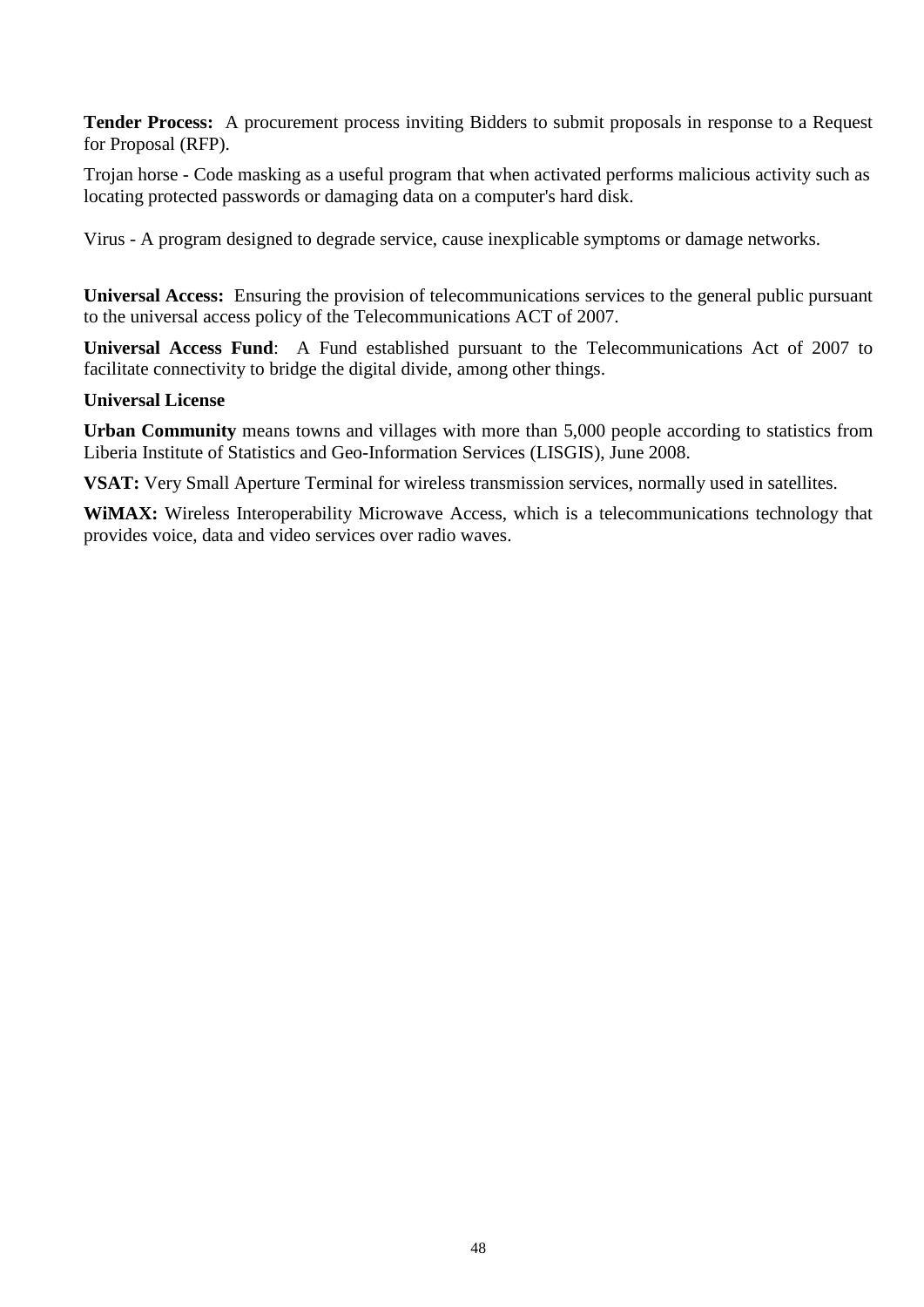**Tender Process:** A procurement process inviting Bidders to submit proposals in response to a Request for Proposal (RFP).

Trojan horse - Code masking as a useful program that when activated performs malicious activity such as locating protected passwords or damaging data on a computer's hard disk.

Virus - A program designed to degrade service, cause inexplicable symptoms or damage networks.

**Universal Access:** Ensuring the provision of telecommunications services to the general public pursuant to the universal access policy of the Telecommunications ACT of 2007.

**Universal Access Fund**: A Fund established pursuant to the Telecommunications Act of 2007 to facilitate connectivity to bridge the digital divide, among other things.

#### **Universal License**

**Urban Community** means towns and villages with more than 5,000 people according to statistics from Liberia Institute of Statistics and Geo-Information Services (LISGIS), June 2008.

**VSAT:** Very Small Aperture Terminal for wireless transmission services, normally used in satellites.

**WiMAX:** Wireless Interoperability Microwave Access, which is a telecommunications technology that provides voice, data and video services over radio waves.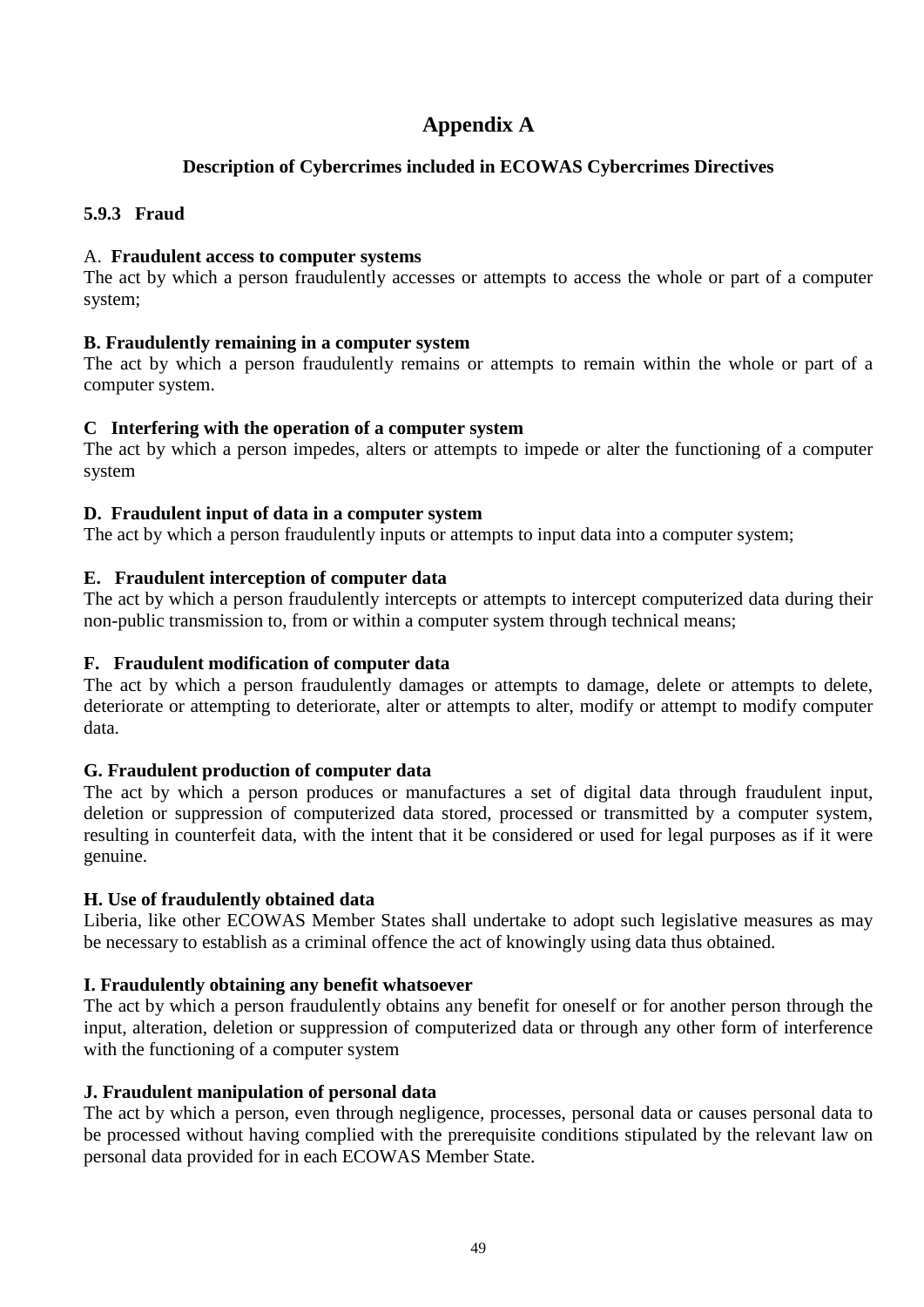# **Appendix A**

#### **Description of Cybercrimes included in ECOWAS Cybercrimes Directives**

#### <span id="page-48-1"></span><span id="page-48-0"></span>**5.9.3 Fraud**

#### A. **Fraudulent access to computer systems**

The act by which a person fraudulently accesses or attempts to access the whole or part of a computer system;

#### **B. Fraudulently remaining in a computer system**

The act by which a person fraudulently remains or attempts to remain within the whole or part of a computer system.

#### **C Interfering with the operation of a computer system**

The act by which a person impedes, alters or attempts to impede or alter the functioning of a computer system

#### **D. Fraudulent input of data in a computer system**

The act by which a person fraudulently inputs or attempts to input data into a computer system;

#### **E. Fraudulent interception of computer data**

The act by which a person fraudulently intercepts or attempts to intercept computerized data during their non-public transmission to, from or within a computer system through technical means;

#### **F. Fraudulent modification of computer data**

The act by which a person fraudulently damages or attempts to damage, delete or attempts to delete, deteriorate or attempting to deteriorate, alter or attempts to alter, modify or attempt to modify computer data.

#### **G. Fraudulent production of computer data**

The act by which a person produces or manufactures a set of digital data through fraudulent input, deletion or suppression of computerized data stored, processed or transmitted by a computer system, resulting in counterfeit data, with the intent that it be considered or used for legal purposes as if it were genuine.

#### **H. Use of fraudulently obtained data**

Liberia, like other ECOWAS Member States shall undertake to adopt such legislative measures as may be necessary to establish as a criminal offence the act of knowingly using data thus obtained.

#### **I. Fraudulently obtaining any benefit whatsoever**

The act by which a person fraudulently obtains any benefit for oneself or for another person through the input, alteration, deletion or suppression of computerized data or through any other form of interference with the functioning of a computer system

#### **J. Fraudulent manipulation of personal data**

The act by which a person, even through negligence, processes, personal data or causes personal data to be processed without having complied with the prerequisite conditions stipulated by the relevant law on personal data provided for in each ECOWAS Member State.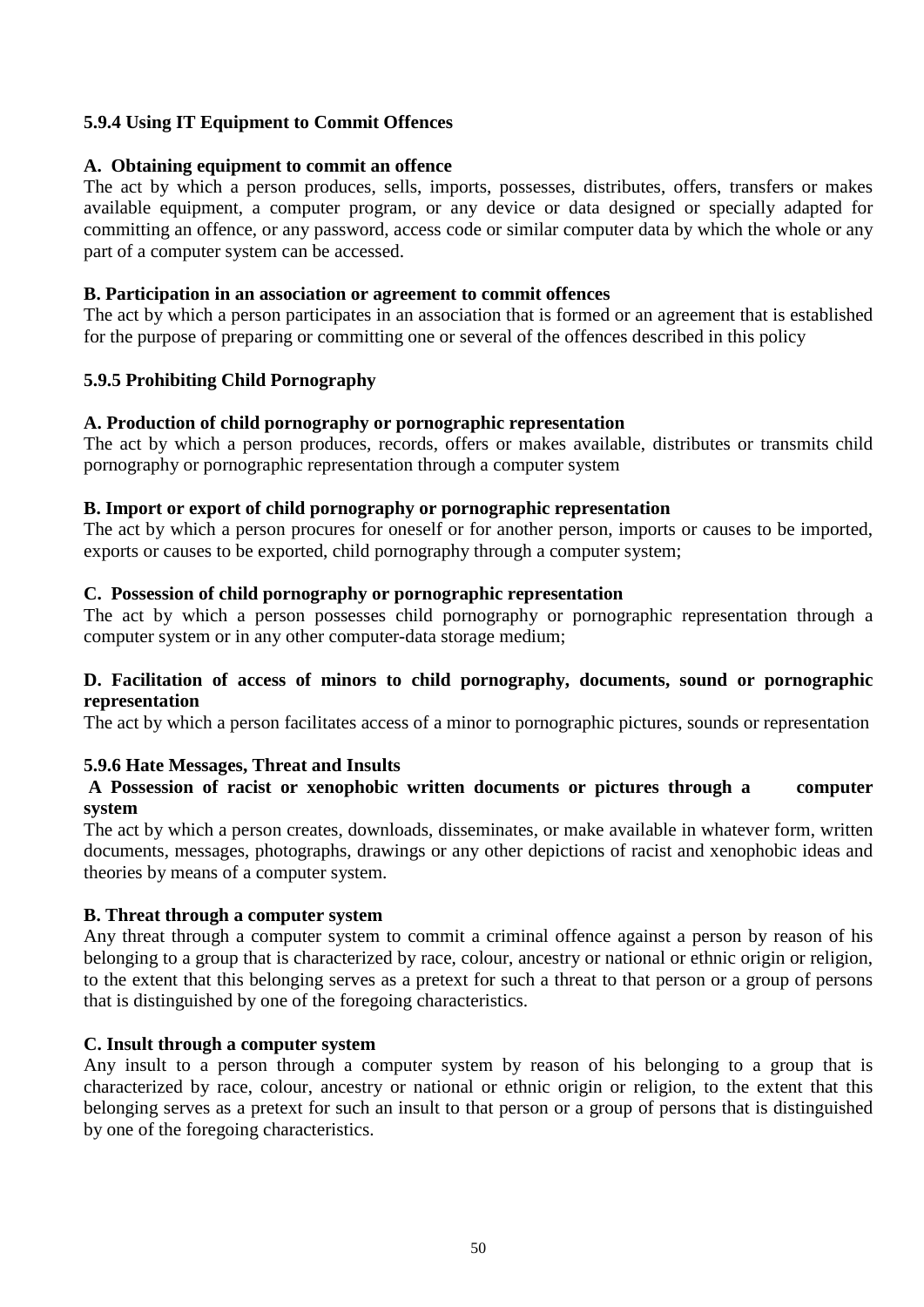#### **5.9.4 Using IT Equipment to Commit Offences**

#### **A. Obtaining equipment to commit an offence**

The act by which a person produces, sells, imports, possesses, distributes, offers, transfers or makes available equipment, a computer program, or any device or data designed or specially adapted for committing an offence, or any password, access code or similar computer data by which the whole or any part of a computer system can be accessed.

#### **B. Participation in an association or agreement to commit offences**

The act by which a person participates in an association that is formed or an agreement that is established for the purpose of preparing or committing one or several of the offences described in this policy

#### **5.9.5 Prohibiting Child Pornography**

#### **A. Production of child pornography or pornographic representation**

The act by which a person produces, records, offers or makes available, distributes or transmits child pornography or pornographic representation through a computer system

#### **B. Import or export of child pornography or pornographic representation**

The act by which a person procures for oneself or for another person, imports or causes to be imported, exports or causes to be exported, child pornography through a computer system;

#### **C. Possession of child pornography or pornographic representation**

The act by which a person possesses child pornography or pornographic representation through a computer system or in any other computer-data storage medium;

#### **D. Facilitation of access of minors to child pornography, documents, sound or pornographic representation**

The act by which a person facilitates access of a minor to pornographic pictures, sounds or representation

#### **5.9.6 Hate Messages, Threat and Insults**

#### **A Possession of racist or xenophobic written documents or pictures through a computer system**

The act by which a person creates, downloads, disseminates, or make available in whatever form, written documents, messages, photographs, drawings or any other depictions of racist and xenophobic ideas and theories by means of a computer system.

#### **B. Threat through a computer system**

Any threat through a computer system to commit a criminal offence against a person by reason of his belonging to a group that is characterized by race, colour, ancestry or national or ethnic origin or religion, to the extent that this belonging serves as a pretext for such a threat to that person or a group of persons that is distinguished by one of the foregoing characteristics.

#### **C. Insult through a computer system**

Any insult to a person through a computer system by reason of his belonging to a group that is characterized by race, colour, ancestry or national or ethnic origin or religion, to the extent that this belonging serves as a pretext for such an insult to that person or a group of persons that is distinguished by one of the foregoing characteristics.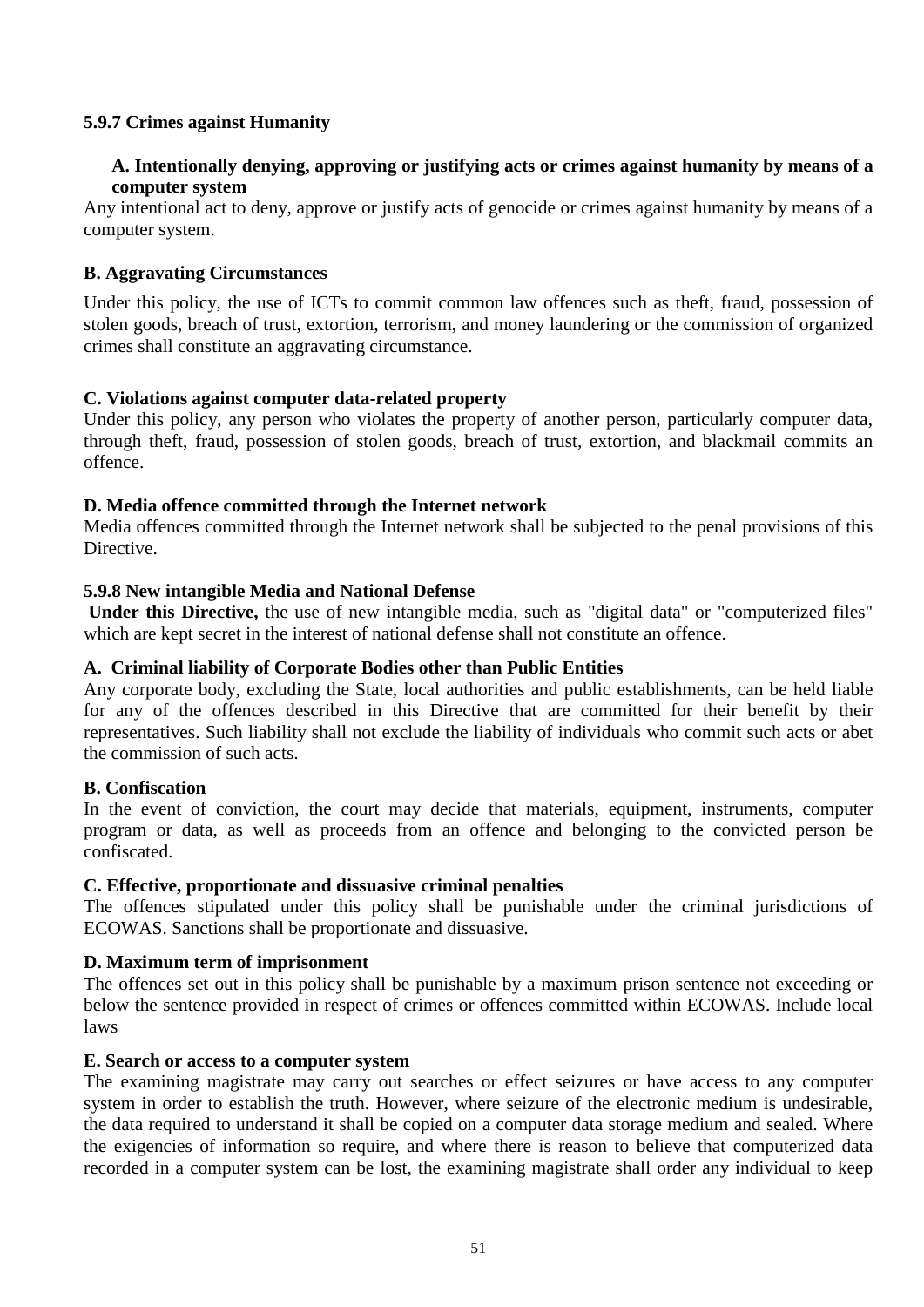#### **5.9.7 Crimes against Humanity**

#### **A. Intentionally denying, approving or justifying acts or crimes against humanity by means of a computer system**

Any intentional act to deny, approve or justify acts of genocide or crimes against humanity by means of a computer system.

#### **B. Aggravating Circumstances**

Under this policy, the use of ICTs to commit common law offences such as theft, fraud, possession of stolen goods, breach of trust, extortion, terrorism, and money laundering or the commission of organized crimes shall constitute an aggravating circumstance.

#### **C. Violations against computer data-related property**

Under this policy, any person who violates the property of another person, particularly computer data, through theft, fraud, possession of stolen goods, breach of trust, extortion, and blackmail commits an offence.

#### **D. Media offence committed through the Internet network**

Media offences committed through the Internet network shall be subjected to the penal provisions of this Directive.

#### **5.9.8 New intangible Media and National Defense**

**Under this Directive,** the use of new intangible media, such as "digital data" or "computerized files" which are kept secret in the interest of national defense shall not constitute an offence.

#### **A. Criminal liability of Corporate Bodies other than Public Entities**

Any corporate body, excluding the State, local authorities and public establishments, can be held liable for any of the offences described in this Directive that are committed for their benefit by their representatives. Such liability shall not exclude the liability of individuals who commit such acts or abet the commission of such acts.

#### **B. Confiscation**

In the event of conviction, the court may decide that materials, equipment, instruments, computer program or data, as well as proceeds from an offence and belonging to the convicted person be confiscated.

#### **C. Effective, proportionate and dissuasive criminal penalties**

The offences stipulated under this policy shall be punishable under the criminal jurisdictions of ECOWAS. Sanctions shall be proportionate and dissuasive.

#### **D. Maximum term of imprisonment**

The offences set out in this policy shall be punishable by a maximum prison sentence not exceeding or below the sentence provided in respect of crimes or offences committed within ECOWAS. Include local laws

#### **E. Search or access to a computer system**

The examining magistrate may carry out searches or effect seizures or have access to any computer system in order to establish the truth. However, where seizure of the electronic medium is undesirable, the data required to understand it shall be copied on a computer data storage medium and sealed. Where the exigencies of information so require, and where there is reason to believe that computerized data recorded in a computer system can be lost, the examining magistrate shall order any individual to keep